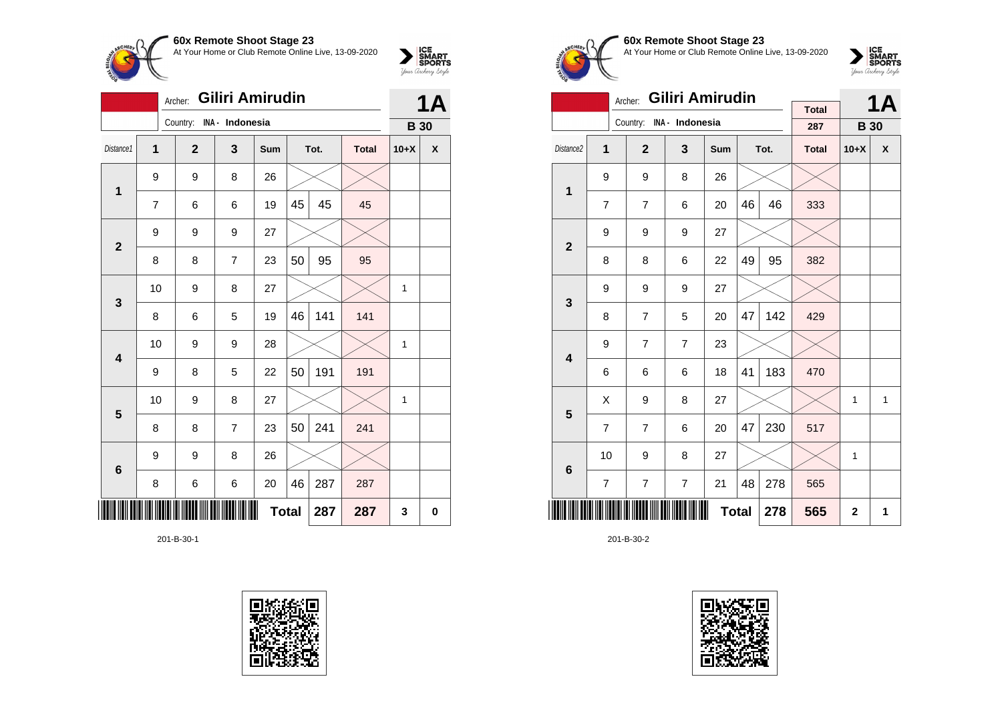

|                 | Giliri Amirudin<br>Archer: |                                                    |                |              |    |        |     |              |             |  |
|-----------------|----------------------------|----------------------------------------------------|----------------|--------------|----|--------|-----|--------------|-------------|--|
|                 |                            | Country: INA - Indonesia                           |                |              |    |        |     | <b>B</b> 30  |             |  |
| Distance1       | 1                          | $\overline{2}$<br>3<br>Tot.<br><b>Total</b><br>Sum |                |              |    | $10+X$ | X   |              |             |  |
| 1               | 9                          | 9                                                  | 8              | 26           |    |        |     |              |             |  |
|                 | 7                          | 6                                                  | 6              | 19           | 45 | 45     | 45  |              |             |  |
| $\mathbf{2}$    | 9                          | 9                                                  | 9              | 27           |    |        |     |              |             |  |
|                 | 8                          | 8                                                  | $\overline{7}$ | 23           | 50 | 95     | 95  |              |             |  |
| 3               | 10                         | 9                                                  | 8              | 27           |    |        |     | 1            |             |  |
|                 | 8                          | 6                                                  | 5              | 19           | 46 | 141    | 141 |              |             |  |
| 4               | 10                         | 9                                                  | 9              | 28           |    |        |     | $\mathbf{1}$ |             |  |
|                 | 9                          | 8                                                  | 5              | 22           | 50 | 191    | 191 |              |             |  |
| 5               | 10                         | 9                                                  | 8              | 27           |    |        |     | 1            |             |  |
|                 | 8                          | 8                                                  | $\overline{7}$ | 23           | 50 | 241    | 241 |              |             |  |
| $6\phantom{1}6$ | 9                          | 9                                                  | 8              | 26           |    |        |     |              |             |  |
|                 | 8                          | 6                                                  | 6              | 20           | 46 | 287    | 287 |              |             |  |
|                 |                            |                                                    |                | <b>Total</b> |    | 287    | 287 | 3            | $\mathbf 0$ |  |

201-B-30-1





**60x Remote Shoot Stage 23** At Your Home or Club Remote Online Live, 13-09-2020



|                         |                | Giliri Amirudin<br>Archer: |                 | <b>Total</b> |    | <b>1A</b> |              |             |                    |
|-------------------------|----------------|----------------------------|-----------------|--------------|----|-----------|--------------|-------------|--------------------|
|                         |                | Country:                   | INA - Indonesia |              |    |           | 287          | <b>B</b> 30 |                    |
| Distance2               | 1              | $\overline{2}$             | 3               | Sum          |    | Tot.      | <b>Total</b> | $10+X$      | $\pmb{\mathsf{X}}$ |
| 1                       | 9              | 9                          | 8               | 26           |    |           |              |             |                    |
|                         | $\overline{7}$ | $\overline{7}$             | 6               | 20           | 46 | 46        | 333          |             |                    |
| $\overline{\mathbf{2}}$ | 9              | 9                          | 9               | 27           |    |           |              |             |                    |
|                         | 8              | 8                          | 6               | 22           | 49 | 95        | 382          |             |                    |
| 3                       | 9              | 9                          | 9               | 27           |    |           |              |             |                    |
|                         | 8              | $\overline{7}$             | 5               | 20           | 47 | 142       | 429          |             |                    |
| $\overline{\mathbf{4}}$ | 9              | $\overline{7}$             | $\overline{7}$  | 23           |    |           |              |             |                    |
|                         | 6              | 6                          | 6               | 18           | 41 | 183       | 470          |             |                    |
| 5                       | Χ              | 9                          | 8               | 27           |    |           |              | 1           | 1                  |
|                         | $\overline{7}$ | $\overline{7}$             | 6               | 20           | 47 | 230       | 517          |             |                    |
| $6\phantom{1}6$         | 10             | 9                          | 8               | 27           |    |           |              | 1           |                    |
|                         | $\overline{7}$ | $\overline{7}$             | 278             | 565          |    |           |              |             |                    |
|                         |                | 565                        | $\overline{2}$  | 1            |    |           |              |             |                    |

201-B-30-2

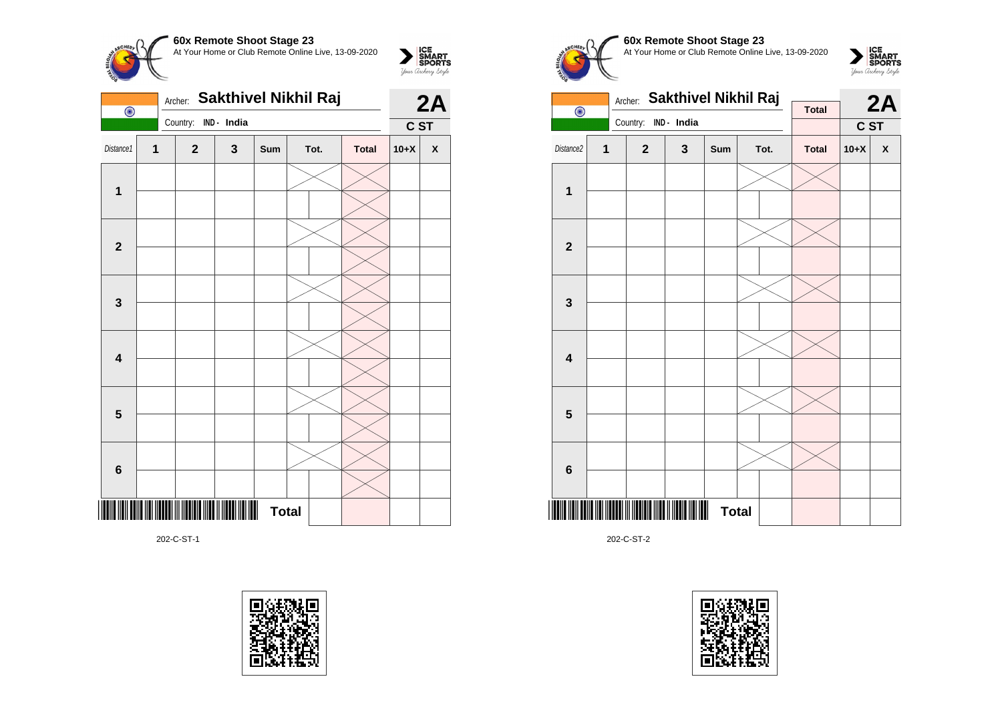

| Sakthivel Nikhil Raj<br>Archer:<br>$\overline{\odot}$ |                         |              |             |              |                      |  |        | 2A                 |
|-------------------------------------------------------|-------------------------|--------------|-------------|--------------|----------------------|--|--------|--------------------|
|                                                       |                         | Country:     | IND - India |              |                      |  | C ST   |                    |
| Distance1                                             | $\overline{\mathbf{1}}$ | $\mathbf{2}$ | $\mathbf 3$ | Sum          | Tot.<br><b>Total</b> |  | $10+X$ | $\pmb{\mathsf{X}}$ |
|                                                       |                         |              |             |              |                      |  |        |                    |
| $\mathbf{1}$                                          |                         |              |             |              |                      |  |        |                    |
| $\mathbf{2}$                                          |                         |              |             |              |                      |  |        |                    |
|                                                       |                         |              |             |              |                      |  |        |                    |
| $\mathbf{3}$                                          |                         |              |             |              |                      |  |        |                    |
|                                                       |                         |              |             |              |                      |  |        |                    |
| $\overline{\mathbf{4}}$                               |                         |              |             |              |                      |  |        |                    |
|                                                       |                         |              |             |              |                      |  |        |                    |
| $5\phantom{1}$                                        |                         |              |             |              |                      |  |        |                    |
|                                                       |                         |              |             |              |                      |  |        |                    |
|                                                       |                         |              |             |              |                      |  |        |                    |
| 6                                                     |                         |              |             |              |                      |  |        |                    |
|                                                       |                         |              |             | <b>Total</b> |                      |  |        |                    |

202-C-ST-1









202-C-ST-2

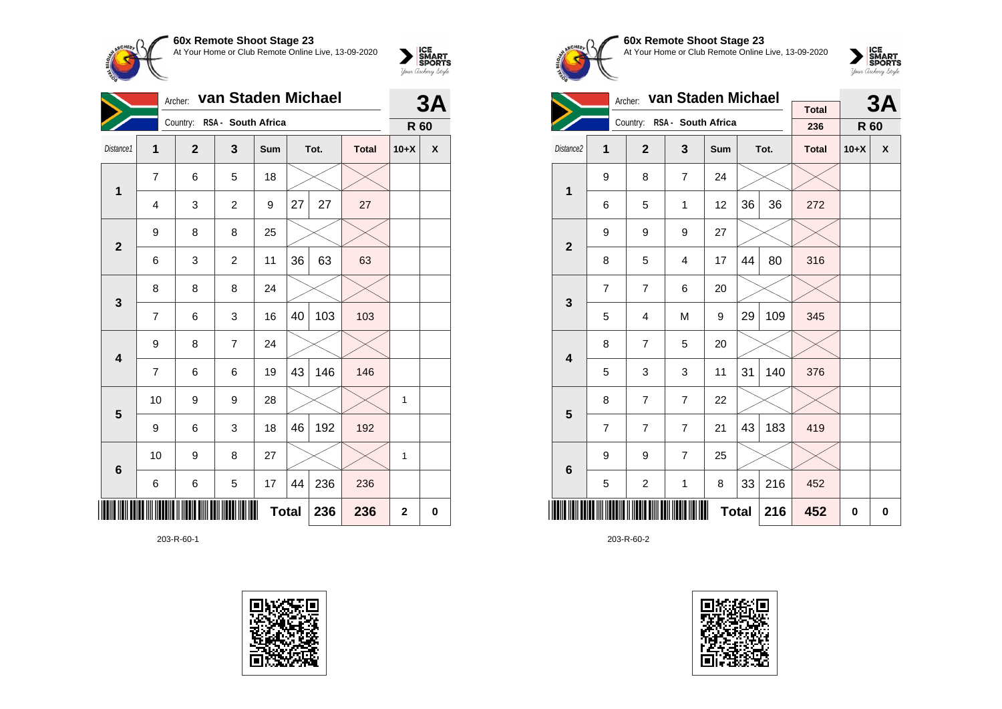

| van Staden Michael<br>Archer: |                |                |                             |     |              |      |              |             | 3A                 |
|-------------------------------|----------------|----------------|-----------------------------|-----|--------------|------|--------------|-------------|--------------------|
|                               |                |                | Country: RSA - South Africa |     |              |      |              | R 60        |                    |
| Distance1                     | 1              | $\overline{2}$ | 3                           | Sum |              | Tot. | <b>Total</b> | $10+X$      | $\pmb{\mathsf{x}}$ |
| 1                             | 7              | 6              | 5                           | 18  |              |      |              |             |                    |
|                               | 4              | 3              | $\overline{c}$              | 9   | 27           | 27   | 27           |             |                    |
| $\overline{2}$                | 9              | 8              | 8                           | 25  |              |      |              |             |                    |
|                               | 6              | 3              | $\overline{c}$              | 11  | 36           | 63   | 63           |             |                    |
| $\mathbf{3}$                  | 8              | 8              | 8                           | 24  |              |      |              |             |                    |
|                               | 7              | 6              | 3                           | 16  | 40           | 103  | 103          |             |                    |
| $\overline{\mathbf{4}}$       | 9              | 8              | $\overline{7}$              | 24  |              |      |              |             |                    |
|                               | $\overline{7}$ | 6              | 6                           | 19  | 43           | 146  | 146          |             |                    |
| $5\phantom{1}$                | 10             | 9              | 9                           | 28  |              |      |              | 1           |                    |
|                               | 9              | 6              | 3                           | 18  | 46           | 192  | 192          |             |                    |
| 6                             | 10             | 9              | 8                           | 27  |              |      |              | 1           |                    |
|                               | 6              | 6              | 5                           | 17  | 44           | 236  | 236          |             |                    |
|                               |                |                |                             |     | <b>Total</b> | 236  | 236          | $\mathbf 2$ | 0                  |

203-R-60-1





**60x Remote Shoot Stage 23** At Your Home or Club Remote Online Live, 13-09-2020

 $\sum_{\text{your } \text{Order}} \frac{\text{ICE}}{\text{SDORTS}}$ 

|                         |                | Archer:                 | van Staden Michael          |              |    | 3A   |              |        |   |
|-------------------------|----------------|-------------------------|-----------------------------|--------------|----|------|--------------|--------|---|
|                         |                |                         | Country: RSA - South Africa |              |    |      | <b>Total</b> |        |   |
|                         |                |                         |                             |              |    |      | 236          | R 60   |   |
| Distance2               | 1              | $\overline{2}$          | $\overline{\mathbf{3}}$     | Sum          |    | Tot. | <b>Total</b> | $10+X$ | X |
| 1                       | 9              | 8                       | $\overline{7}$              | 24           |    |      |              |        |   |
|                         | 6              | 5                       | 1                           | 12           | 36 | 36   | 272          |        |   |
| $\overline{2}$          | 9              | 9                       | 9                           | 27           |    |      |              |        |   |
|                         | 8              | 5                       | $\overline{4}$              | 17           | 44 | 80   | 316          |        |   |
| 3                       | $\overline{7}$ | $\overline{7}$          | 6                           | 20           |    |      |              |        |   |
|                         | 5              | $\overline{\mathbf{4}}$ | M                           | 9            | 29 | 109  | 345          |        |   |
| $\overline{\mathbf{4}}$ | 8              | $\overline{7}$          | 5                           | 20           |    |      |              |        |   |
|                         | 5              | 3                       | 3                           | 11           | 31 | 140  | 376          |        |   |
| 5                       | 8              | $\overline{7}$          | $\overline{7}$              | 22           |    |      |              |        |   |
|                         | $\overline{7}$ | $\overline{7}$          | $\overline{7}$              | 21           | 43 | 183  | 419          |        |   |
| $6\phantom{1}6$         | 9              | 9                       | $\overline{7}$              | 25           |    |      |              |        |   |
|                         | 5              | $\overline{c}$          | 1                           | 8            | 33 | 216  | 452          |        |   |
|                         |                |                         |                             | <b>Total</b> |    | 216  | 452          | 0      | 0 |

203-R-60-2

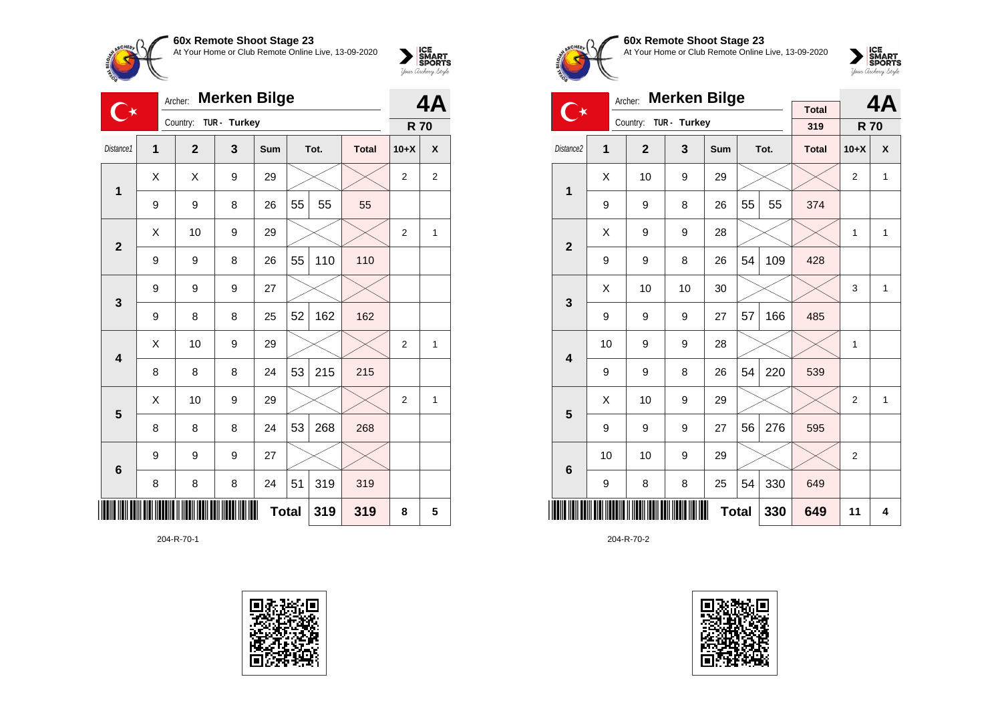

| <b>Merken Bilge</b><br>Archer:<br>$\rightarrow$ |   |                                                           |              |              |    |     |        | 4A             |                |
|-------------------------------------------------|---|-----------------------------------------------------------|--------------|--------------|----|-----|--------|----------------|----------------|
|                                                 |   | Country:                                                  | TUR - Turkey |              |    |     |        | <b>R70</b>     |                |
| Distance1                                       | 1 | 3<br>$\overline{2}$<br>Tot.<br><b>Total</b><br><b>Sum</b> |              |              |    |     | $10+X$ | X              |                |
| 1                                               | X | X                                                         | 9            | 29           |    |     |        | $\overline{2}$ | $\overline{2}$ |
|                                                 | 9 | 9                                                         | 8            | 26           | 55 | 55  | 55     |                |                |
| $\overline{2}$                                  | X | 10                                                        | 9            | 29           |    |     |        | $\overline{2}$ | 1              |
|                                                 | 9 | 9                                                         | 8            | 26           | 55 | 110 | 110    |                |                |
| 3                                               | 9 | 9                                                         | 9            | 27           |    |     |        |                |                |
|                                                 | 9 | 8                                                         | 8            | 25           | 52 | 162 | 162    |                |                |
| $\overline{\mathbf{4}}$                         | Χ | 10                                                        | 9            | 29           |    |     |        | $\overline{2}$ | 1              |
|                                                 | 8 | 8                                                         | 8            | 24           | 53 | 215 | 215    |                |                |
| 5                                               | X | 10                                                        | 9            | 29           |    |     |        | 2              | 1              |
|                                                 | 8 | 8                                                         | 8            | 24           | 53 | 268 | 268    |                |                |
| $6\phantom{1}$                                  | 9 | 9                                                         | 9            | 27           |    |     |        |                |                |
|                                                 | 8 | 8                                                         | 8            | 24           | 51 | 319 | 319    |                |                |
|                                                 |   |                                                           |              | <b>Total</b> |    | 319 | 319    | 8              | 5              |

204-R-70-1





### **60x Remote Shoot Stage 23** At Your Home or Club Remote Online Live, 13-09-2020

 $\sum_{\text{Jour} \text{C} \text{under}} \left| \begin{matrix} \text{ICE} \\ \text{SDORTS} \\ \text{SPORTS} \end{matrix} \right|_{\text{Jour} \text{d} \text{ref}}$ 

|                         |    | <b>Merken Bilge</b><br>Archer: |              |            |              | 4Α   |              |                |              |
|-------------------------|----|--------------------------------|--------------|------------|--------------|------|--------------|----------------|--------------|
|                         |    | Country:                       | TUR - Turkey |            |              |      | <b>Total</b> |                |              |
|                         |    |                                |              |            |              |      | 319          | <b>R70</b>     |              |
| Distance <sub>2</sub>   | 1  | $\mathbf{2}$                   | 3            | <b>Sum</b> |              | Tot. | <b>Total</b> | $10+X$         | X            |
| $\overline{1}$          | X  | 10                             | 9            | 29         |              |      |              | $\overline{2}$ | $\mathbf{1}$ |
|                         | 9  | 9                              | 8            | 26         | 55           | 55   | 374          |                |              |
| $\overline{2}$          | X  | 9                              | 9            | 28         |              |      |              | 1              | 1            |
|                         | 9  | 9                              | 8            | 26         | 54           | 109  | 428          |                |              |
| 3                       | X  | 10                             | 10           | 30         |              |      |              | 3              | $\mathbf{1}$ |
|                         | 9  | 9                              | 9            | 27         | 57           | 166  | 485          |                |              |
| $\overline{\mathbf{4}}$ | 10 | 9                              | 9            | 28         |              |      |              | 1              |              |
|                         | 9  | 9                              | 8            | 26         | 54           | 220  | 539          |                |              |
| 5                       | X  | 10                             | 9            | 29         |              |      |              | $\overline{2}$ | $\mathbf{1}$ |
|                         | 9  | 9                              | 9            | 27         | 56           | 276  | 595          |                |              |
| 6                       | 10 | 10                             | 9            | 29         |              |      |              | $\overline{2}$ |              |
|                         | 9  | 8                              | 8            | 25         | 54           | 330  | 649          |                |              |
|                         |    |                                |              |            | <b>Total</b> | 330  | 649          | 11             | 4            |

204-R-70-2

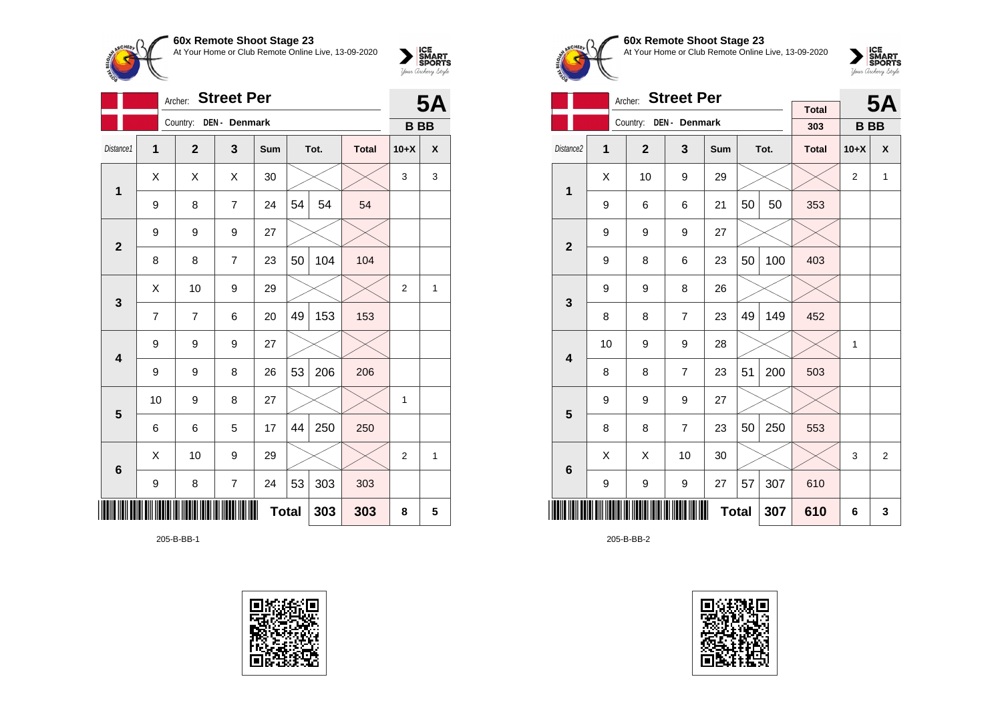

|                         |    | <b>5A</b>      |                |     |              |      |              |                |                    |
|-------------------------|----|----------------|----------------|-----|--------------|------|--------------|----------------|--------------------|
|                         |    | Country:       | DEN - Denmark  |     |              |      |              | <b>BB</b>      |                    |
| Distance1               | 1  | $\overline{2}$ | 3              | Sum |              | Tot. | <b>Total</b> | $10+X$         | $\pmb{\mathsf{X}}$ |
| $\mathbf{1}$            | Χ  | Χ              | X              | 30  |              |      |              | 3              | 3                  |
|                         | 9  | 8              | 7              | 24  | 54           | 54   | 54           |                |                    |
| $\overline{2}$          | 9  | 9              | 9              | 27  |              |      |              |                |                    |
|                         | 8  | 8              | $\overline{7}$ | 23  | 50           | 104  | 104          |                |                    |
| 3                       | Χ  | 10             | 9              | 29  |              |      |              | $\overline{2}$ | $\mathbf{1}$       |
|                         | 7  | $\overline{7}$ | 6              | 20  | 49           | 153  | 153          |                |                    |
| $\overline{\mathbf{4}}$ | 9  | 9              | 9              | 27  |              |      |              |                |                    |
|                         | 9  | 9              | 8              | 26  | 53           | 206  | 206          |                |                    |
| 5                       | 10 | 9              | 8              | 27  |              |      |              | 1              |                    |
|                         | 6  | 6              | 5              | 17  | 44           | 250  | 250          |                |                    |
| $6\phantom{1}6$         | X  | 10             | 9              | 29  |              |      |              | $\overline{2}$ | $\mathbf{1}$       |
|                         | 9  | 8              | 7              | 24  | 53           | 303  | 303          |                |                    |
|                         |    |                |                |     | <b>Total</b> | 303  | 303          | 8              | 5                  |

205-B-BB-1





## **60x Remote Shoot Stage 23** At Your Home or Club Remote Online Live, 13-09-2020



|                         |    | <b>Street Per</b><br>Archer: |                        |              |    | <b>5A</b> |                     |                |                |
|-------------------------|----|------------------------------|------------------------|--------------|----|-----------|---------------------|----------------|----------------|
|                         |    |                              | Country: DEN - Denmark |              |    |           | <b>Total</b><br>303 | <b>BB</b>      |                |
| Distance2               | 1  | $\overline{2}$               | 3                      | <b>Sum</b>   |    | Tot.      | <b>Total</b>        | $10+X$         | X              |
|                         |    |                              |                        |              |    |           |                     |                |                |
| 1                       | X  | 10                           | 9                      | 29           |    |           |                     | $\overline{2}$ | $\mathbf{1}$   |
|                         | 9  | 6                            | 6                      | 21           | 50 | 50        | 353                 |                |                |
| $\overline{2}$          | 9  | 9                            | 9                      | 27           |    |           |                     |                |                |
|                         | 9  | 8                            | 6                      | 23           | 50 | 100       | 403                 |                |                |
| 3                       | 9  | 9                            | 8                      | 26           |    |           |                     |                |                |
|                         | 8  | 8                            | $\overline{7}$         | 23           | 49 | 149       | 452                 |                |                |
| $\overline{\mathbf{A}}$ | 10 | 9                            | 9                      | 28           |    |           |                     | $\mathbf{1}$   |                |
|                         | 8  | 8                            | $\overline{7}$         | 23           | 51 | 200       | 503                 |                |                |
| 5                       | 9  | 9                            | 9                      | 27           |    |           |                     |                |                |
|                         | 8  | 8                            | $\overline{7}$         | 23           | 50 | 250       | 553                 |                |                |
| 6                       | X  | X                            | 10                     | 30           |    |           |                     | 3              | $\overline{2}$ |
|                         | 9  | 9                            | 9                      | 27           | 57 | 307       | 610                 |                |                |
|                         |    |                              |                        | <b>Total</b> |    | 307       | 610                 | 6              | 3              |

205-B-BB-2

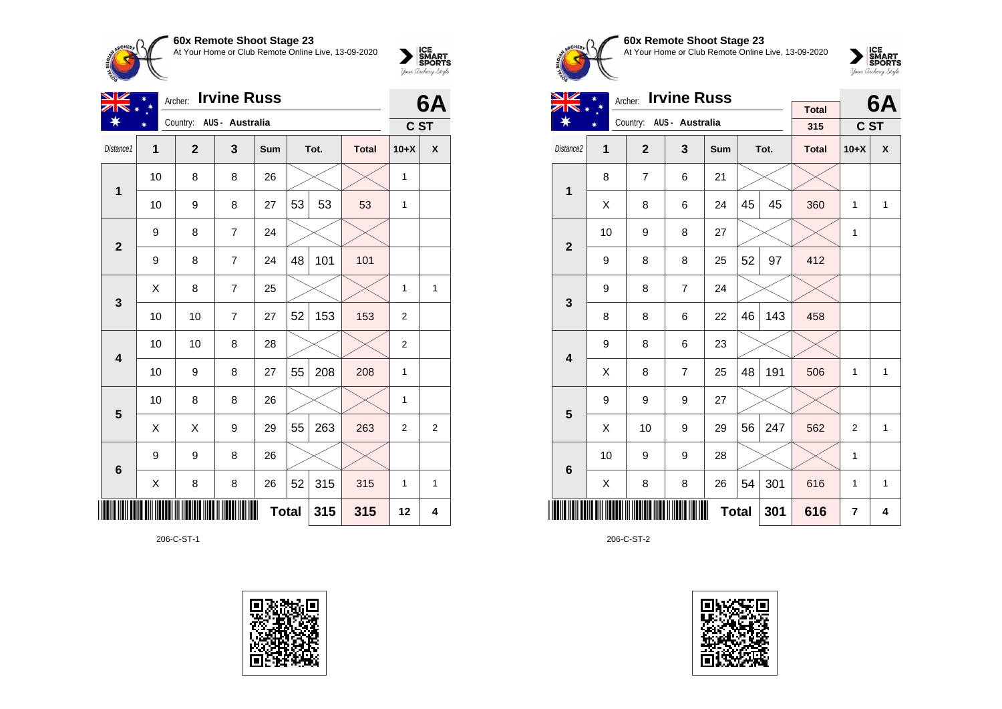**60x Remote Shoot Stage 23**<br>At Your Home or Club Remote Online



| טעג וופוווטופ טווטטו טומעכ בט                       |  |
|-----------------------------------------------------|--|
| At Your Home or Club Remote Online Live, 13-09-2020 |  |



| VZ                      | <b>Irvine Russ</b><br>Archer: |                          |                |              |    |      |              |                | 6A |
|-------------------------|-------------------------------|--------------------------|----------------|--------------|----|------|--------------|----------------|----|
| ∗                       |                               | Country: AUS - Australia |                |              |    |      |              | C ST           |    |
| Distance1               | $\overline{1}$                | $\overline{2}$           | 3              | Sum          |    | Tot. | <b>Total</b> | $10+X$         | X  |
| 1                       | 10                            | 8                        | 8              | 26           |    |      |              | 1              |    |
|                         | 10                            | 9                        | 8              | 27           | 53 | 53   | 53           | 1              |    |
| $\mathbf{2}$            | 9                             | 8                        | 7              | 24           |    |      |              |                |    |
|                         | 9                             | 8                        | $\overline{7}$ | 24           | 48 | 101  | 101          |                |    |
| 3                       | X                             | 8                        | 7              | 25           |    |      |              | 1              | 1  |
|                         | 10                            | 10                       | 7              | 27           | 52 | 153  | 153          | 2              |    |
| $\overline{\mathbf{4}}$ | 10                            | 10                       | 8              | 28           |    |      |              | 2              |    |
|                         | 10                            | 9                        | 8              | 27           | 55 | 208  | 208          | 1              |    |
| 5                       | 10                            | 8                        | 8              | 26           |    |      |              | 1              |    |
|                         | X                             | X                        | 9              | 29           | 55 | 263  | 263          | $\overline{2}$ | 2  |
| $6\phantom{1}6$         | 9                             | 9                        | 8              | 26           |    |      |              |                |    |
|                         | X                             | 8                        | 8              | 26           | 52 | 315  | 315          | 1              | 1  |
| ║                       |                               |                          |                | <b>Total</b> |    | 315  | 315          | 12             | 4  |

206-C-ST-1





## **60x Remote Shoot Stage 23** At Your Home or Club Remote Online Live, 13-09-2020

 $\sum_{\text{Jour} \text{C} \text{under}} \left| \begin{matrix} \text{ICE} \\ \text{SDORTS} \\ \text{SPORTS} \end{matrix} \right|_{\text{Jour} \text{d} \text{ref}}$ 

| NZ                      | Archer: Irvine Russ |                |                          |              |    |      |              |                | <b>6A</b> |
|-------------------------|---------------------|----------------|--------------------------|--------------|----|------|--------------|----------------|-----------|
| ∗                       |                     |                | Country: AUS - Australia |              |    |      | <b>Total</b> |                |           |
|                         | ∗                   |                |                          |              |    |      | 315          | C ST           |           |
| Distance <sub>2</sub>   | 1                   | $\mathbf{2}$   | 3                        | <b>Sum</b>   |    | Tot. | <b>Total</b> | $10+X$         | X         |
| 1                       | 8                   | $\overline{7}$ | 6                        | 21           |    |      |              |                |           |
|                         | X                   | 8              | 6                        | 24           | 45 | 45   | 360          | 1              | 1         |
| $\overline{2}$          | 10                  | 9              | 8                        | 27           |    |      |              | 1              |           |
|                         | 9                   | 8              | 8                        | 25           | 52 | 97   | 412          |                |           |
| 3                       | 9                   | 8              | $\overline{7}$           | 24           |    |      |              |                |           |
|                         | 8                   | 8              | 6                        | 22           | 46 | 143  | 458          |                |           |
| $\overline{\mathbf{4}}$ | 9                   | 8              | 6                        | 23           |    |      |              |                |           |
|                         | Χ                   | 8              | $\overline{7}$           | 25           | 48 | 191  | 506          | 1              | 1         |
| 5                       | 9                   | 9              | 9                        | 27           |    |      |              |                |           |
|                         | X                   | 10             | 9                        | 29           | 56 | 247  | 562          | $\overline{2}$ | 1         |
| $6\phantom{1}6$         | 10                  | 9              | 9                        | 28           |    |      |              | 1              |           |
|                         | X                   | 8              | 8                        | 26           | 54 | 301  | 616          | 1              | 1         |
|                         |                     |                |                          | <b>Total</b> |    | 301  | 616          | 7              | 4         |

206-C-ST-2

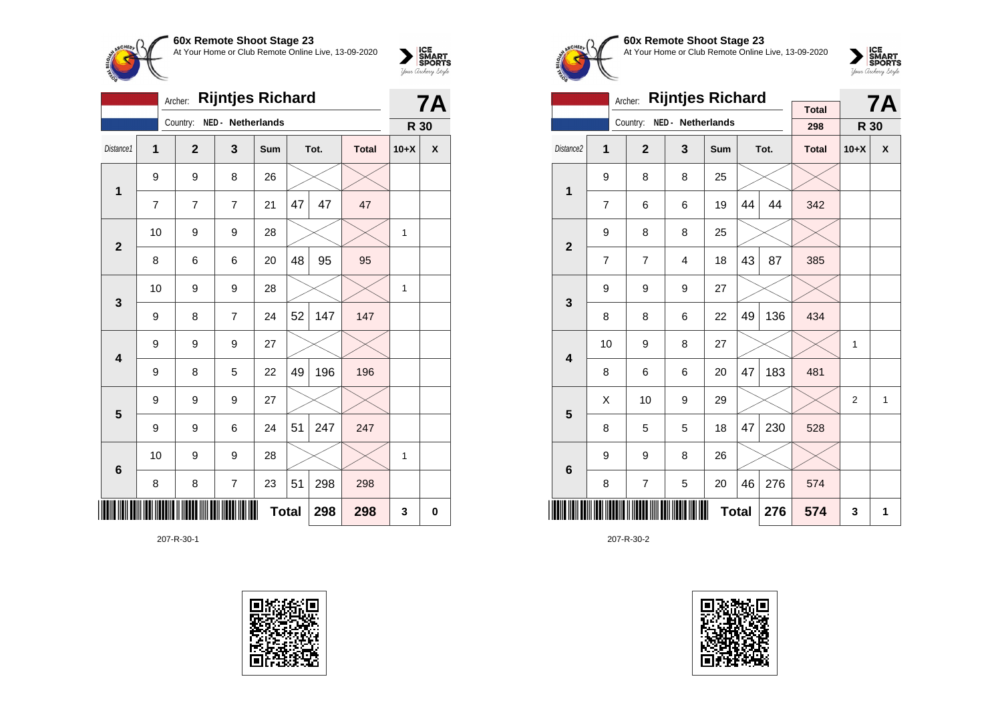

| <b>Rijntjes Richard</b><br>Archer: |                |                |                   |     |              |      |              |              | <b>7A</b>                 |
|------------------------------------|----------------|----------------|-------------------|-----|--------------|------|--------------|--------------|---------------------------|
|                                    |                | Country:       | NED - Netherlands |     |              |      |              | R 30         |                           |
| Distance1                          | $\overline{1}$ | $\overline{2}$ | 3                 | Sum |              | Tot. | <b>Total</b> | $10+X$       | $\boldsymbol{\mathsf{X}}$ |
| 1                                  | 9              | 9              | 8                 | 26  |              |      |              |              |                           |
|                                    | 7              | $\overline{7}$ | $\overline{7}$    | 21  | 47           | 47   | 47           |              |                           |
| $\overline{2}$                     | 10             | 9              | 9                 | 28  |              |      |              | $\mathbf{1}$ |                           |
|                                    | 8              | 6              | 6                 | 20  | 48           | 95   | 95           |              |                           |
| 3                                  | 10             | 9              | 9                 | 28  |              |      |              | $\mathbf{1}$ |                           |
|                                    | 9              | 8              | $\overline{7}$    | 24  | 52           | 147  | 147          |              |                           |
| 4                                  | 9              | 9              | 9                 | 27  |              |      |              |              |                           |
|                                    | 9              | 8              | 5                 | 22  | 49           | 196  | 196          |              |                           |
| 5                                  | 9              | 9              | 9                 | 27  |              |      |              |              |                           |
|                                    | 9              | 9              | 6                 | 24  | 51           | 247  | 247          |              |                           |
| $6\phantom{1}6$                    | 10             | 9              | 9                 | 28  |              |      |              | 1            |                           |
|                                    | 8              | 8              | $\overline{7}$    | 23  | 51           | 298  | 298          |              |                           |
| ║║                                 |                |                |                   |     | <b>Total</b> | 298  | 298          | 3            | 0                         |

207-R-30-1





**60x Remote Shoot Stage 23** At Your Home or Club Remote Online Live, 13-09-2020



|                         |    | <b>Rijntjes Richard</b><br>Archer: |                   |     |    | <b>7A</b> |                     |                |   |
|-------------------------|----|------------------------------------|-------------------|-----|----|-----------|---------------------|----------------|---|
|                         |    | Country:                           | NED - Netherlands |     |    |           | <b>Total</b><br>298 | R 30           |   |
| Distance2               | 1  | $\overline{2}$                     | 3                 | Sum |    | Tot.      | <b>Total</b>        | $10+X$         | X |
| 1                       | 9  | 8                                  | 8                 | 25  |    |           |                     |                |   |
|                         | 7  | 6                                  | 6                 | 19  | 44 | 44        | 342                 |                |   |
| $\overline{\mathbf{2}}$ | 9  | 8                                  | 8                 | 25  |    |           |                     |                |   |
|                         | 7  | $\overline{7}$                     | $\overline{4}$    | 18  | 43 | 87        | 385                 |                |   |
| 3                       | 9  | 9                                  | 9                 | 27  |    |           |                     |                |   |
|                         | 8  | 8                                  | 6                 | 22  | 49 | 136       | 434                 |                |   |
| $\overline{\mathbf{4}}$ | 10 | 9                                  | 8                 | 27  |    |           |                     | 1              |   |
|                         | 8  | 6                                  | 6                 | 20  | 47 | 183       | 481                 |                |   |
| 5                       | Χ  | 10                                 | 9                 | 29  |    |           |                     | $\overline{2}$ | 1 |
|                         | 8  | 5                                  | 5                 | 18  | 47 | 230       | 528                 |                |   |
| $6\phantom{1}6$         | 9  | 9                                  | 8                 | 26  |    |           |                     |                |   |
|                         | 8  | $\overline{7}$                     | 5                 | 20  | 46 | 276       | 574                 |                |   |
|                         |    |                                    | 276               | 574 | 3  | 1         |                     |                |   |

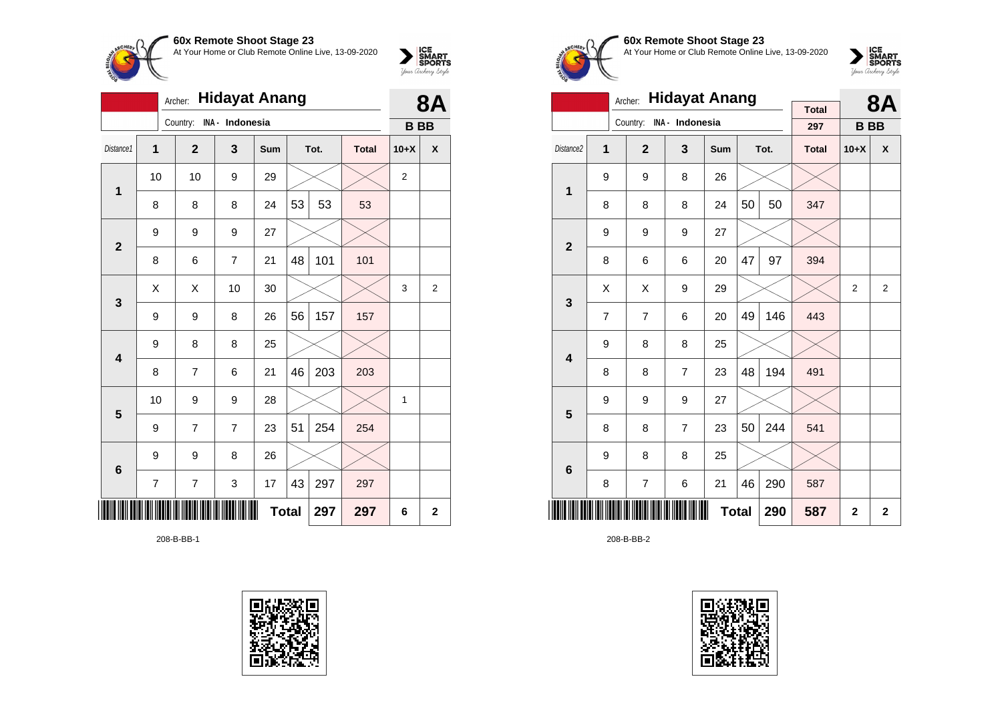

|                 |    | 8Α                       |                |              |    |      |              |                |                |
|-----------------|----|--------------------------|----------------|--------------|----|------|--------------|----------------|----------------|
|                 |    | Country: INA - Indonesia |                |              |    |      |              | <b>BB</b>      |                |
| Distance1       | 1  | $\overline{2}$           | 3              | Sum          |    | Tot. | <b>Total</b> | $10+X$         | X              |
| 1               | 10 | 10                       | 9              | 29           |    |      |              | $\overline{2}$ |                |
|                 | 8  | 8                        | 8              | 24           | 53 | 53   | 53           |                |                |
| $\overline{2}$  | 9  | 9                        | 9              | 27           |    |      |              |                |                |
|                 | 8  | 6                        | 7              | 21           | 48 | 101  | 101          |                |                |
| 3               | X  | Χ                        | 10             | 30           |    |      |              | 3              | $\overline{2}$ |
|                 | 9  | 9                        | 8              | 26           | 56 | 157  | 157          |                |                |
| 4               | 9  | 8                        | 8              | 25           |    |      |              |                |                |
|                 | 8  | 7                        | 6              | 21           | 46 | 203  | 203          |                |                |
| 5               | 10 | 9                        | 9              | 28           |    |      |              | 1              |                |
|                 | 9  | 7                        | $\overline{7}$ | 23           | 51 | 254  | 254          |                |                |
| $6\phantom{1}6$ | 9  | 9                        | 8              | 26           |    |      |              |                |                |
|                 | 7  | $\overline{7}$           | 3              | 17           | 43 | 297  | 297          |                |                |
|                 |    |                          |                | <b>Total</b> |    | 297  | 297          | 6              | $\mathbf{2}$   |

208-B-BB-1





# **60x Remote Shoot Stage 23** At Your Home or Club Remote Online Live, 13-09-2020

 $\sum_{\text{Jour Theory } \text{Styds}}\begin{cases} \text{ICE} \\ \text{SDORTS} \\ \text{SPORTS} \end{cases}$ 

|                         |                                                 | <b>Hidayat Anang</b><br>Archer: |                         |              |             | <b>8A</b> |              |                |                |
|-------------------------|-------------------------------------------------|---------------------------------|-------------------------|--------------|-------------|-----------|--------------|----------------|----------------|
|                         |                                                 |                                 |                         |              |             |           | <b>Total</b> |                |                |
|                         |                                                 | Country:                        | INA - Indonesia         |              |             |           | 297          | <b>BB</b>      |                |
| Distance <sub>2</sub>   | 1                                               | $\overline{2}$                  | $\overline{\mathbf{3}}$ | Sum          |             | Tot.      | <b>Total</b> | $10+X$         | X              |
| 1                       | 9                                               | 9                               | 8                       | 26           |             |           |              |                |                |
|                         | 8                                               | 8                               | 8                       | 24           | 50          | 50        | 347          |                |                |
|                         | 9                                               | 9                               | 9                       | 27           |             |           |              |                |                |
|                         | $\overline{2}$<br>47<br>97<br>8<br>6<br>6<br>20 |                                 |                         |              |             |           |              |                |                |
| 3                       | X                                               | X                               | 9                       | 29           |             |           |              | $\overline{2}$ | $\overline{2}$ |
|                         | 7                                               | $\overline{7}$                  | 6                       | 20           | 49          | 146       | 443          |                |                |
| $\overline{\mathbf{4}}$ | 9                                               | 8                               | 8                       | 25           |             |           |              |                |                |
|                         | 8                                               | 8                               | $\overline{7}$          | 23           | 48          | 194       | 491          |                |                |
| 5                       | 9                                               | 9                               | 9                       | 27           |             |           |              |                |                |
|                         | 8                                               | 8                               | $\overline{7}$          | 23           | 50          | 244       | 541          |                |                |
| 6                       | 9                                               | 8                               | 8                       | 25           |             |           |              |                |                |
|                         | 8                                               | $\overline{7}$                  | 290                     | 587          |             |           |              |                |                |
|                         |                                                 | 290                             | 587                     | $\mathbf{2}$ | $\mathbf 2$ |           |              |                |                |

208-B-BB-2

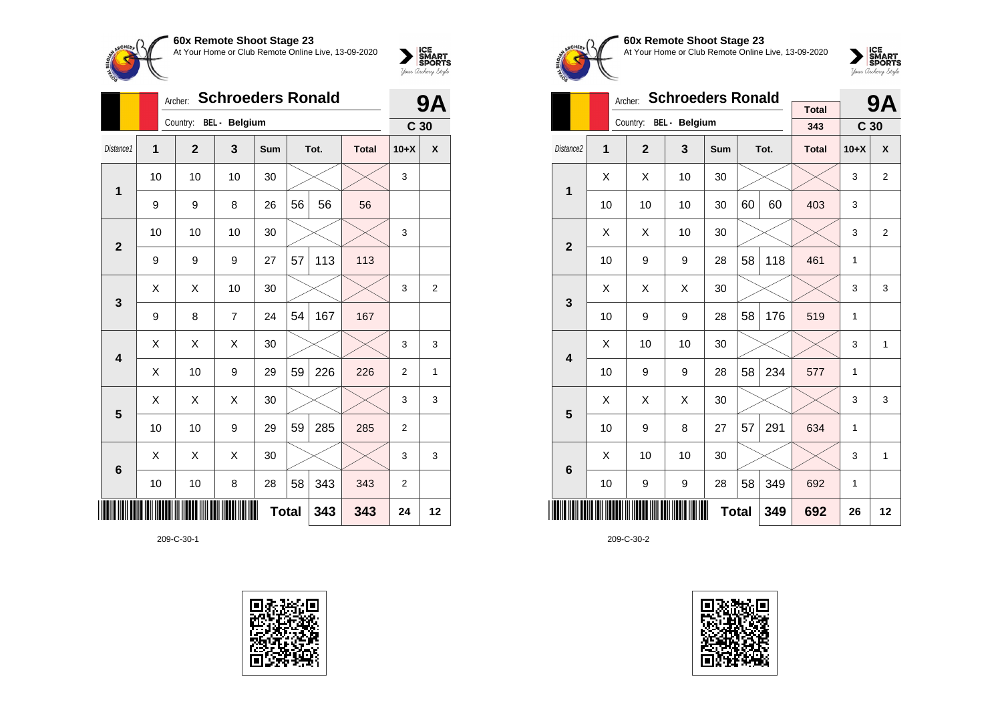

|                         |    | Archer: |                        |    | <b>9A</b>    |    |      |              |                 |                |
|-------------------------|----|---------|------------------------|----|--------------|----|------|--------------|-----------------|----------------|
|                         |    |         | Country: BEL - Belgium |    |              |    |      |              | C <sub>30</sub> |                |
| Distance1               | 1  |         | $\mathbf{2}$           | 3  | Sum          |    | Tot. | <b>Total</b> | $10+X$          | X              |
| $\mathbf{1}$            | 10 |         | 10                     | 10 | 30           |    |      |              | 3               |                |
|                         | 9  |         | 9                      | 8  | 26           | 56 | 56   | 56           |                 |                |
| $\overline{2}$          | 10 |         | 10                     | 10 | 30           |    |      |              | 3               |                |
|                         | 9  |         | 9                      | 9  | 27           | 57 | 113  | 113          |                 |                |
| 3                       | X  |         | X                      | 10 | 30           |    |      |              | 3               | $\overline{2}$ |
|                         | 9  |         | 8                      | 7  | 24           | 54 | 167  | 167          |                 |                |
| 4                       | Χ  |         | Χ                      | X  | 30           |    |      |              | 3               | 3              |
|                         | X  |         | 10                     | 9  | 29           | 59 | 226  | 226          | $\overline{2}$  | 1              |
| $\overline{\mathbf{5}}$ | X  |         | X                      | X  | 30           |    |      |              | 3               | 3              |
|                         | 10 |         | 10                     | 9  | 29           | 59 | 285  | 285          | $\overline{2}$  |                |
| $6\phantom{1}6$         | Χ  |         | X                      | X  | 30           |    |      |              | 3               | 3              |
|                         | 10 |         | 10                     | 8  | 28           | 58 | 343  | 343          | 2               |                |
|                         |    |         |                        |    | <b>Total</b> |    | 343  | 343          | 24              | 12             |

209-C-30-1





**60x Remote Shoot Stage 23** At Your Home or Club Remote Online Live, 13-09-2020



|                         | <b>Schroeders Ronald</b><br>Archer: |                |               |     |    |      |                     |                 | <b>9A</b>      |
|-------------------------|-------------------------------------|----------------|---------------|-----|----|------|---------------------|-----------------|----------------|
|                         |                                     | Country:       | BEL - Belgium |     |    |      | <b>Total</b><br>343 | C <sub>30</sub> |                |
|                         |                                     |                |               |     |    |      |                     |                 |                |
| Distance <sub>2</sub>   | 1                                   | $\overline{2}$ | 3             | Sum |    | Tot. | <b>Total</b>        | $10+X$          | X              |
| 1                       | X                                   | Χ              | 10            | 30  |    |      |                     | 3               | 2              |
|                         | 10                                  | 10             | 10            | 30  | 60 | 60   | 403                 | 3               |                |
| $\overline{2}$          | X                                   | X              | 10            | 30  |    |      |                     | 3               | $\overline{2}$ |
|                         | 10                                  | 9              | 9             | 28  | 58 | 118  | 461                 | 1               |                |
| 3                       | X                                   | X              | Χ             | 30  |    |      |                     | 3               | 3              |
|                         | 10                                  | 9              | 9             | 28  | 58 | 176  | 519                 | 1               |                |
|                         | X                                   | 10             | 10            | 30  |    |      |                     | 3               | 1              |
| $\overline{\mathbf{4}}$ | 10                                  | 9              | 9             | 28  | 58 | 234  | 577                 | 1               |                |
| 5                       | X                                   | X              | X             | 30  |    |      |                     | 3               | 3              |
|                         | 10                                  | 9              | 8             | 27  | 57 | 291  | 634                 | 1               |                |
| 6                       | X                                   | 10             | 10            | 30  |    |      |                     | 3               | $\mathbf{1}$   |
|                         | 10                                  | 9              | 349           | 692 | 1  |      |                     |                 |                |
|                         | <b>Total</b><br>349                 |                |               |     |    |      |                     | 26              | 12             |

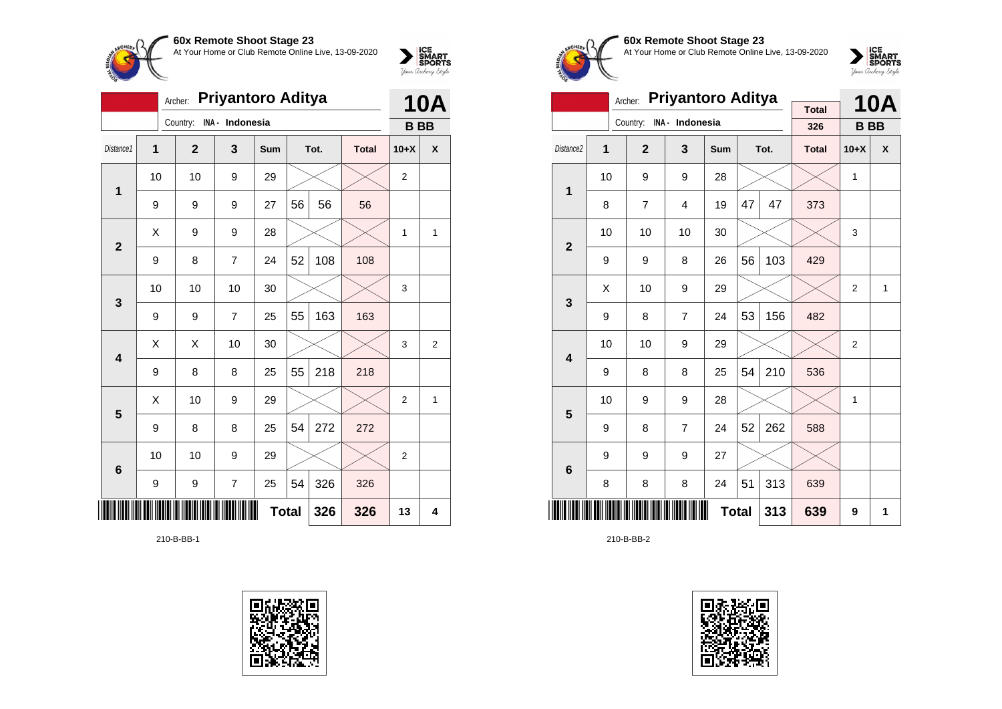

|                 |                                                         | <b>10A</b>   |                 |     |    |      |              |                  |   |
|-----------------|---------------------------------------------------------|--------------|-----------------|-----|----|------|--------------|------------------|---|
|                 |                                                         | Country:     | INA - Indonesia |     |    |      |              | <b>BB</b>        |   |
| Distance1       | 1                                                       | $\mathbf{2}$ | 3               | Sum |    | Tot. | <b>Total</b> | $10+X$           | X |
| $\mathbf{1}$    | 10                                                      | 10           | 9               | 29  |    |      |              | $\boldsymbol{2}$ |   |
|                 | 9                                                       | 9            | 9               | 27  | 56 | 56   | 56           |                  |   |
|                 | X                                                       | 9            | 9               | 28  |    |      |              | 1                | 1 |
|                 | $\overline{2}$<br>52<br>7<br>108<br>108<br>9<br>8<br>24 |              |                 |     |    |      |              |                  |   |
| $\mathbf{3}$    | 10                                                      | 10           | 10              | 30  |    |      |              | 3                |   |
|                 | 9                                                       | 9            | $\overline{7}$  | 25  | 55 | 163  | 163          |                  |   |
| 4               | X                                                       | Χ            | 10              | 30  |    |      |              | 3                | 2 |
|                 | 9                                                       | 8            | 8               | 25  | 55 | 218  | 218          |                  |   |
| 5               | X                                                       | 10           | 9               | 29  |    |      |              | $\overline{2}$   | 1 |
|                 | 9                                                       | 8            | 8               | 25  | 54 | 272  | 272          |                  |   |
| $6\phantom{1}6$ | 10                                                      | 10           | 9               | 29  |    |      |              | 2                |   |
|                 | 54<br>326<br>9<br>7<br>25<br>326<br>9                   |              |                 |     |    |      |              |                  |   |
|                 | <b>Total</b><br>326<br>326                              |              |                 |     |    |      |              |                  |   |

210-B-BB-1





**60x Remote Shoot Stage 23** At Your Home or Club Remote Online Live, 13-09-2020



|                         |    | Archer:        | <b>Priyantoro Aditya</b> | <b>Total</b> |    | <b>10A</b> |              |                |                  |
|-------------------------|----|----------------|--------------------------|--------------|----|------------|--------------|----------------|------------------|
|                         |    | Country:       | INA - Indonesia          |              |    |            | 326          | <b>BB</b>      |                  |
| Distance <sub>2</sub>   | 1  | $\overline{2}$ | 3                        | <b>Sum</b>   |    | Tot.       | <b>Total</b> | $10+X$         | $\boldsymbol{x}$ |
| 1                       | 10 | 9              | 9                        | 28           |    |            |              | $\mathbf{1}$   |                  |
|                         | 8  | 7              | $\overline{4}$           | 19           | 47 | 47         | 373          |                |                  |
| $\overline{2}$          | 10 | 10             |                          |              | 3  |            |              |                |                  |
|                         | 9  | 9              | 103                      | 429          |    |            |              |                |                  |
| 3                       | X  | 10             | 9                        | 29           |    |            |              | 2              | 1                |
|                         | 9  | 8              | $\overline{7}$           | 24           | 53 | 156        | 482          |                |                  |
| $\overline{\mathbf{4}}$ | 10 | 10             | 9                        | 29           |    |            |              | $\overline{2}$ |                  |
|                         | 9  | 8              | 8                        | 25           | 54 | 210        | 536          |                |                  |
| 5                       | 10 | 9              | 9                        | 28           |    |            |              | 1              |                  |
|                         | 9  | 8              | $\overline{7}$           | 24           | 52 | 262        | 588          |                |                  |
| $6\phantom{1}6$         | 9  | 9              | 9                        | 27           |    |            |              |                |                  |
|                         | 8  | 8              | 313                      | 639          |    |            |              |                |                  |
|                         |    |                | 313                      | 639          | 9  | 1          |              |                |                  |

210-B-BB-2

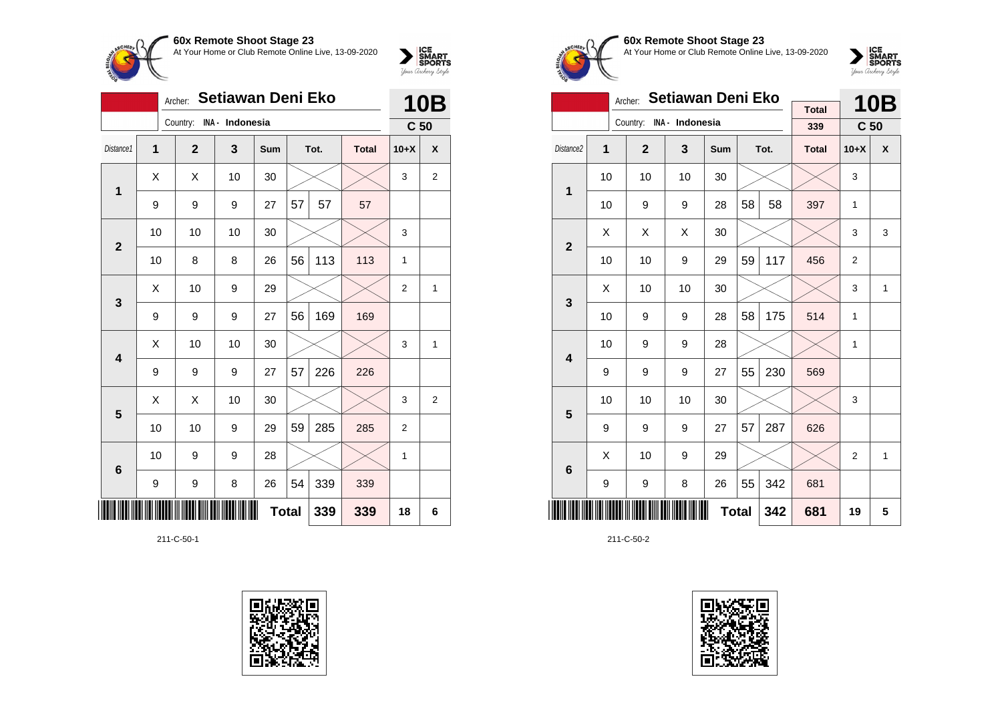

|                 |                | Setiawan Deni Eko<br>Archer: |                 |     |              |      |              |                 |                    |  |  |
|-----------------|----------------|------------------------------|-----------------|-----|--------------|------|--------------|-----------------|--------------------|--|--|
|                 |                | Country:                     | INA - Indonesia |     |              |      |              | C <sub>50</sub> |                    |  |  |
| Distance1       | $\overline{1}$ | $\overline{2}$               | 3               | Sum |              | Tot. | <b>Total</b> | $10+X$          | $\pmb{\mathsf{X}}$ |  |  |
| 1               | X              | X                            | 10              | 30  |              |      |              | 3               | 2                  |  |  |
|                 | 9              | 9                            | 9               | 27  | 57           | 57   | 57           |                 |                    |  |  |
| $\overline{2}$  | 10             | 10                           | 10              | 30  |              |      |              | 3               |                    |  |  |
|                 | 10             | 8                            | 8               | 26  | 56           | 113  | 113          | $\mathbf{1}$    |                    |  |  |
| 3               | Χ              | 10                           | 9               | 29  |              |      |              | $\overline{2}$  | 1                  |  |  |
|                 | 9              | 9                            | 9               | 27  | 56           | 169  | 169          |                 |                    |  |  |
| 4               | Χ              | 10                           | 10              | 30  |              |      |              | 3               | 1                  |  |  |
|                 | 9              | 9                            | 9               | 27  | 57           | 226  | 226          |                 |                    |  |  |
| 5               | X              | Χ                            | 10              | 30  |              |      |              | 3               | 2                  |  |  |
|                 | 10             | 10                           | 9               | 29  | 59           | 285  | 285          | $\overline{2}$  |                    |  |  |
| $6\phantom{1}6$ | 10             | 9                            | 9               | 28  |              |      |              | $\mathbf{1}$    |                    |  |  |
|                 | 9              | 9                            | 8               | 26  | 54           | 339  | 339          |                 |                    |  |  |
| IIII            |                |                              |                 |     | <b>Total</b> | 339  | 339          | 18              | 6                  |  |  |

211-C-50-1





### **60x Remote Shoot Stage 23** At Your Home or Club Remote Online Live, 13-09-2020



|                         |    | Archer:                  | Setiawan Deni Eko |            |    | <b>10B</b> |              |                 |   |
|-------------------------|----|--------------------------|-------------------|------------|----|------------|--------------|-----------------|---|
|                         |    | Country: INA - Indonesia |                   |            |    |            | <b>Total</b> |                 |   |
|                         |    |                          |                   |            |    |            | 339          | C <sub>50</sub> |   |
| Distance2               | 1  | $\overline{2}$           | 3                 | <b>Sum</b> |    | Tot.       | <b>Total</b> | $10+X$          | X |
| 1                       | 10 | 10                       | 10                | 30         |    |            |              | 3               |   |
|                         | 10 | 9                        | 9                 | 28         | 58 | 58         | 397          | 1               |   |
| $\overline{2}$          | X  | Χ                        | X                 | 30         |    |            |              | 3               | 3 |
|                         | 10 | 10                       | 9                 | 29         | 59 | 117        | 456          | 2               |   |
| 3                       | X  | 10                       | 10                | 30         |    |            |              | 3               | 1 |
|                         | 10 | 9                        | 9                 | 28         | 58 | 175        | 514          | 1               |   |
| $\overline{\mathbf{4}}$ | 10 | 9                        | 9                 | 28         |    |            |              | 1               |   |
|                         | 9  | 9                        | 9                 | 27         | 55 | 230        | 569          |                 |   |
| 5                       | 10 | 10                       | 10                | 30         |    |            |              | 3               |   |
|                         | 9  | 9                        | 9                 | 27         | 57 | 287        | 626          |                 |   |
| 6                       | Χ  | 10                       | 9                 | 29         |    |            |              | $\overline{2}$  | 1 |
|                         | 9  | 9                        | 342               | 681        |    |            |              |                 |   |
|                         |    |                          | 342               | 681        | 19 | 5          |              |                 |   |

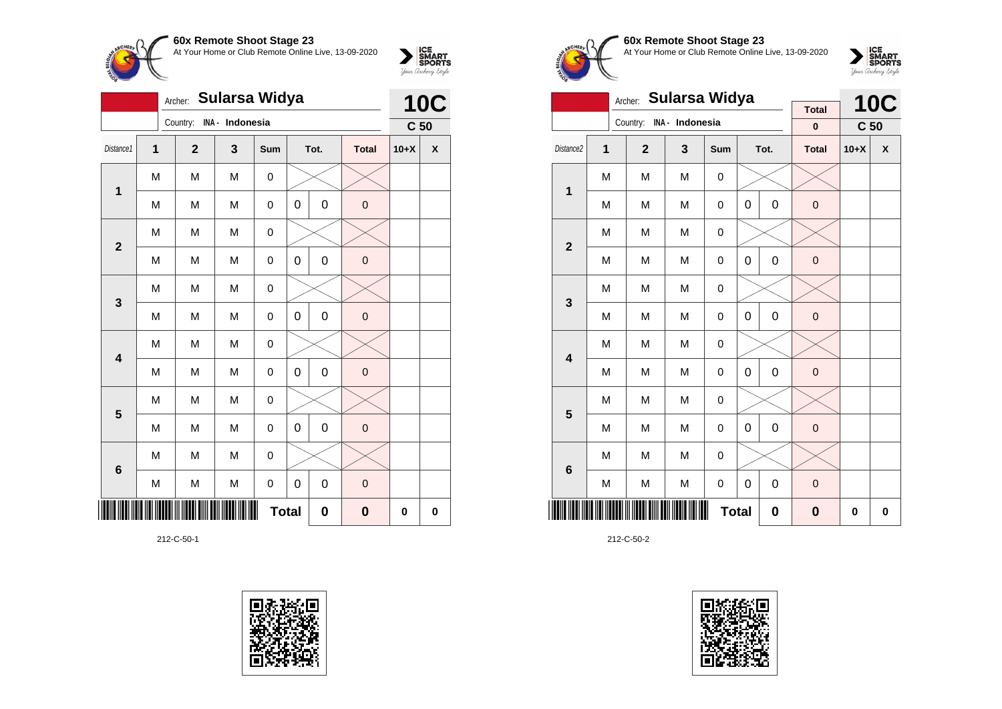

|                         | <b>10C</b>                                                           |                |                 |     |                  |             |              |                 |   |  |  |
|-------------------------|----------------------------------------------------------------------|----------------|-----------------|-----|------------------|-------------|--------------|-----------------|---|--|--|
|                         |                                                                      | Country:       | INA - Indonesia |     |                  |             |              | C <sub>50</sub> |   |  |  |
| Distance1               | $\overline{\mathbf{1}}$                                              | $\overline{2}$ | 3               | Sum |                  | Tot.        | <b>Total</b> | $10+X$          | X |  |  |
| 1                       | M                                                                    | M              | M               | 0   |                  |             |              |                 |   |  |  |
|                         | M                                                                    | M              | M               | 0   | $\mathbf 0$      | $\mathsf 0$ | $\mathbf 0$  |                 |   |  |  |
|                         | M                                                                    | M              | M               | 0   |                  |             |              |                 |   |  |  |
|                         | $\overline{\mathbf{2}}$<br>0<br>M<br>0<br>$\mathbf 0$<br>M<br>M<br>0 |                |                 |     |                  |             |              |                 |   |  |  |
| 3                       | M                                                                    | M              | M               | 0   |                  |             |              |                 |   |  |  |
|                         | M                                                                    | M              | M               | 0   | 0                | 0           | $\mathbf 0$  |                 |   |  |  |
| $\overline{\mathbf{4}}$ | M                                                                    | M              | M               | 0   |                  |             |              |                 |   |  |  |
|                         | M                                                                    | M              | M               | 0   | 0                | 0           | $\mathbf 0$  |                 |   |  |  |
| 5                       | M                                                                    | M              | M               | 0   |                  |             |              |                 |   |  |  |
|                         | M                                                                    | M              | M               | 0   | $\mathbf 0$      | $\mathsf 0$ | $\mathbf 0$  |                 |   |  |  |
| 6                       | M                                                                    | M              | M               | 0   |                  |             |              |                 |   |  |  |
|                         | M                                                                    | M              | M               | 0   | $\boldsymbol{0}$ | 0           | $\mathbf 0$  |                 |   |  |  |
|                         | <b>Total</b><br>0<br>$\bf{0}$                                        |                |                 |     |                  |             |              |                 |   |  |  |

212-C-50-1





**60x Remote Shoot Stage 23** At Your Home or Club Remote Online Live, 13-09-2020



|                         |                | Sularsa Widya<br>Archer: |                  |             |             | <b>10C</b>  |                   |                 |                    |
|-------------------------|----------------|--------------------------|------------------|-------------|-------------|-------------|-------------------|-----------------|--------------------|
|                         |                | Country:                 | INA - Indonesia  |             |             |             | <b>Total</b><br>0 | C <sub>50</sub> |                    |
|                         |                |                          |                  |             |             |             |                   |                 |                    |
| Distance2               | $\overline{1}$ | $\overline{2}$           | $\mathbf{3}$     | Sum         |             | Tot.        | <b>Total</b>      | $10+X$          | $\pmb{\mathsf{X}}$ |
| 1                       | M              | M                        | M                | 0           |             |             |                   |                 |                    |
|                         | M              | M                        | M                | 0           | $\mathbf 0$ | $\mathbf 0$ | $\mathbf 0$       |                 |                    |
| $\overline{\mathbf{2}}$ | M              | M                        |                  |             |             |             |                   |                 |                    |
|                         | M              | M                        | $\mathbf 0$      | $\pmb{0}$   |             |             |                   |                 |                    |
| 3                       | M              | M                        | M                | 0           |             |             |                   |                 |                    |
|                         | M              | M                        | M                | 0           | $\mathbf 0$ | $\mathbf 0$ | $\mathbf 0$       |                 |                    |
| $\overline{\mathbf{4}}$ | M              | M                        | M                | 0           |             |             |                   |                 |                    |
|                         | M              | M                        | M                | 0           | $\mathbf 0$ | $\mathbf 0$ | $\mathbf 0$       |                 |                    |
| 5                       | M              | M                        | M                | 0           |             |             |                   |                 |                    |
|                         | M              | M                        | M                | 0           | $\mathbf 0$ | $\mathbf 0$ | $\mathbf 0$       |                 |                    |
| $6\phantom{1}6$         | M              | M                        | M                | 0           |             |             |                   |                 |                    |
|                         | M              | M                        | $\boldsymbol{0}$ | $\mathbf 0$ |             |             |                   |                 |                    |
|                         |                |                          | $\bf{0}$         | 0           | 0           |             |                   |                 |                    |

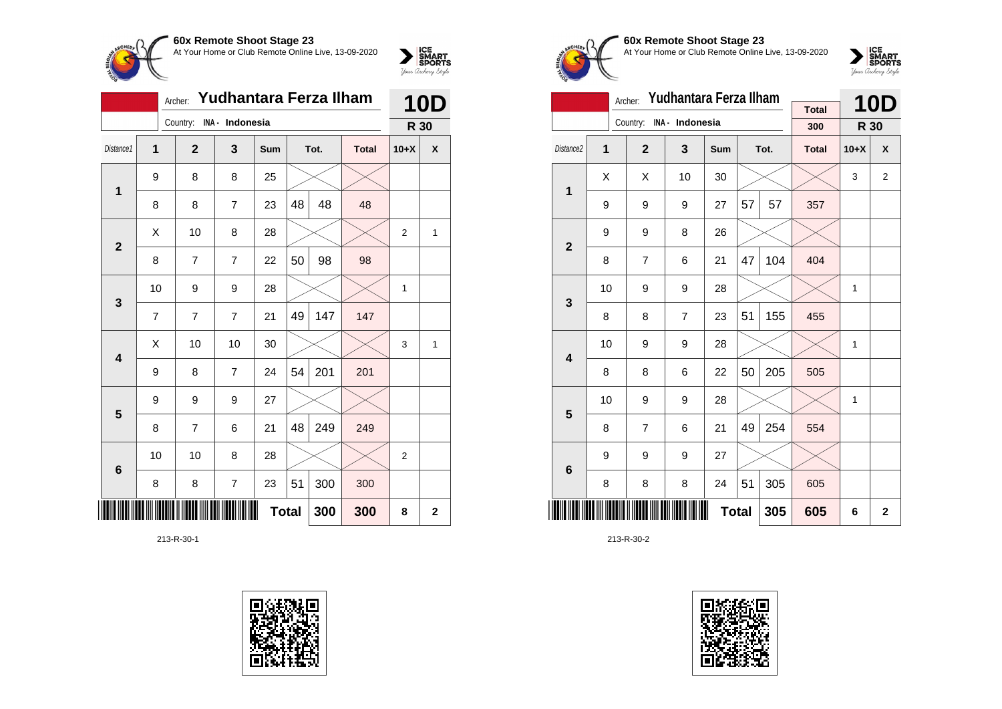

|                 | Yudhantara Ferza Ilham<br>Archer: |                |                         |              |    |      |              |                |                |  |
|-----------------|-----------------------------------|----------------|-------------------------|--------------|----|------|--------------|----------------|----------------|--|
|                 |                                   | Country:       | INA - Indonesia         |              |    |      |              | R 30           |                |  |
| Distance1       | 1                                 | $\mathbf{2}$   | 3                       | Sum          |    | Tot. | <b>Total</b> | $10+X$         | X              |  |
| 1               | 9                                 | 8              | 8                       | 25           |    |      |              |                |                |  |
|                 | 8                                 | 8              | $\overline{7}$          | 23           | 48 | 48   | 48           |                |                |  |
| $\overline{2}$  | X                                 | 10             | 8                       | 28           |    |      |              | $\overline{2}$ | 1              |  |
|                 | 8                                 | 7              | $\overline{7}$          | 22           | 50 | 98   | 98           |                |                |  |
| 3               | 10                                | 9              | 9                       | 28           |    |      |              | 1              |                |  |
|                 | 7                                 | $\overline{7}$ | $\overline{7}$          | 21           | 49 | 147  | 147          |                |                |  |
| 4               | Χ                                 | 10             | 10                      | 30           |    |      |              | 3              | 1              |  |
|                 | 9                                 | 8              | $\overline{7}$          | 24           | 54 | 201  | 201          |                |                |  |
| 5               | 9                                 | 9              | 9                       | 27           |    |      |              |                |                |  |
|                 | 8                                 | 7              | 6                       | 21           | 48 | 249  | 249          |                |                |  |
| $6\phantom{1}6$ | 10                                | 10             | 8                       | 28           |    |      |              | $\overline{2}$ |                |  |
|                 | 8                                 | 8              | $\overline{\mathbf{7}}$ | 23           | 51 | 300  | 300          |                |                |  |
| ║║              |                                   |                |                         | <b>Total</b> |    | 300  | 300          | 8              | $\overline{2}$ |  |

213-R-30-1





### **60x Remote Shoot Stage 23** At Your Home or Club Remote Online Live, 13-09-2020



|                         |    | Archer:        | Yudhantara Ferza Ilham |              |    | <b>10D</b> |                     |              |             |
|-------------------------|----|----------------|------------------------|--------------|----|------------|---------------------|--------------|-------------|
|                         |    | Country:       | INA - Indonesia        |              |    |            | <b>Total</b><br>300 | R 30         |             |
|                         |    |                |                        |              |    |            |                     |              |             |
| Distance <sub>2</sub>   | 1  | $\overline{2}$ | 3                      | Sum          |    | Tot.       | <b>Total</b>        | $10+X$       | X           |
| 1                       | Χ  | Χ              | 10                     | 30           |    |            |                     | 3            | 2           |
|                         | 9  | 9              | 9                      | 27           | 57 | 57         | 357                 |              |             |
| $\overline{2}$          | 9  | 9              | 8                      | 26           |    |            |                     |              |             |
|                         | 8  | 7              | 6                      | 21           | 47 | 104        | 404                 |              |             |
| 3                       | 10 | 9              | 9                      | 28           |    |            |                     | 1            |             |
|                         | 8  | 8              | $\overline{7}$         | 23           | 51 | 155        | 455                 |              |             |
| $\overline{\mathbf{4}}$ | 10 | 9              | 9                      | 28           |    |            |                     | $\mathbf{1}$ |             |
|                         | 8  | 8              | 6                      | 22           | 50 | 205        | 505                 |              |             |
| 5                       | 10 | 9              | 9                      | 28           |    |            |                     | $\mathbf{1}$ |             |
|                         | 8  | $\overline{7}$ | 6                      | 21           | 49 | 254        | 554                 |              |             |
| $6\phantom{1}$          | 9  | 9              | 9                      | 27           |    |            |                     |              |             |
|                         | 8  | 8              | 8                      | 24           | 51 | 305        | 605                 |              |             |
|                         |    |                |                        | <b>Total</b> |    | 305        | 605                 | 6            | $\mathbf 2$ |

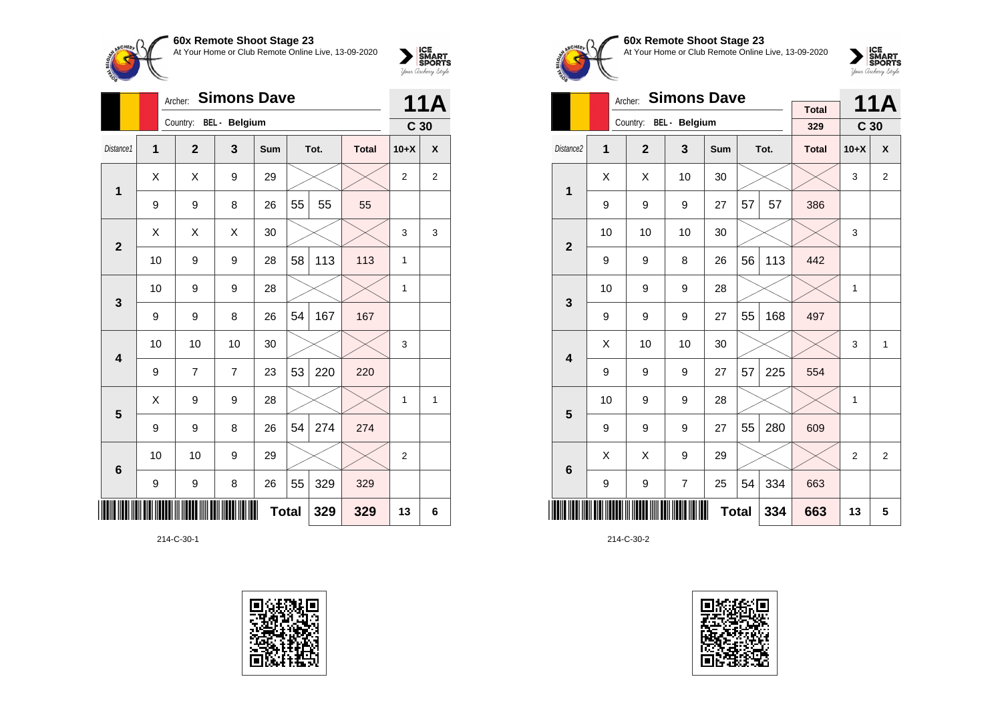

|                 |    | <b>Simons Dave</b><br>Archer: |    |              |    |      |              |                 |   |  |
|-----------------|----|-------------------------------|----|--------------|----|------|--------------|-----------------|---|--|
|                 |    | Country: BEL - Belgium        |    |              |    |      |              | C <sub>30</sub> |   |  |
| Distance1       | 1  | $\overline{2}$                | 3  | Sum          |    | Tot. | <b>Total</b> | $10+X$          | X |  |
| 1               | X  | X                             | 9  | 29           |    |      |              | $\overline{2}$  | 2 |  |
|                 | 9  | 9                             | 8  | 26           | 55 | 55   | 55           |                 |   |  |
| $\overline{2}$  | X  | Χ                             | X  | 30           |    |      |              | 3               | 3 |  |
|                 | 10 | 9                             | 9  | 28           | 58 | 113  | 113          | 1               |   |  |
| 3               | 10 | 9                             | 9  | 28           |    |      |              | 1               |   |  |
|                 | 9  | 9                             | 8  | 26           | 54 | 167  | 167          |                 |   |  |
| 4               | 10 | 10                            | 10 | 30           |    |      |              | 3               |   |  |
|                 | 9  | 7                             | 7  | 23           | 53 | 220  | 220          |                 |   |  |
| 5               | X  | 9                             | 9  | 28           |    |      |              | 1               | 1 |  |
|                 | 9  | 9                             | 8  | 26           | 54 | 274  | 274          |                 |   |  |
| $6\phantom{1}6$ | 10 | 10                            | 9  | 29           |    |      |              | $\overline{2}$  |   |  |
|                 | 9  | 9                             | 8  | 26           | 55 | 329  | 329          |                 |   |  |
|                 |    |                               |    | <b>Total</b> |    | 329  | 329          | 13              | 6 |  |

214-C-30-1





**60x Remote Shoot Stage 23** At Your Home or Club Remote Online Live, 13-09-2020

 $\sum_{\text{your } \text{Order}} \frac{\text{ICE}}{\text{SDORTS}}$ 

|                         | Archer: |                        |                |              | <b>11A</b> |      |              |                 |                |
|-------------------------|---------|------------------------|----------------|--------------|------------|------|--------------|-----------------|----------------|
|                         |         | Country: BEL - Belgium |                |              |            |      | <b>Total</b> |                 |                |
|                         |         |                        |                |              |            |      | 329          | C <sub>30</sub> |                |
| Distance <sub>2</sub>   | 1       | $\overline{2}$         | 3              | <b>Sum</b>   |            | Tot. | <b>Total</b> | $10+X$          | X              |
| 1                       | X       | Χ                      | 10             | 30           |            |      |              | 3               | $\overline{2}$ |
|                         | 9       | 9                      | 9              | 27           | 57         | 57   | 386          |                 |                |
| $\overline{2}$          | 10      | 10                     | 10             | 30           |            |      |              | 3               |                |
|                         | 9       | 9                      | 8              | 26           | 56         | 113  | 442          |                 |                |
| 3                       | 10      | 9                      | 9              | 28           |            |      |              | 1               |                |
|                         | 9       | 9                      | 9              | 27           | 55         | 168  | 497          |                 |                |
| $\overline{\mathbf{4}}$ | X       | 10                     | 10             | 30           |            |      |              | 3               | $\mathbf{1}$   |
|                         | 9       | 9                      | 9              | 27           | 57         | 225  | 554          |                 |                |
| 5                       | 10      | 9                      | 9              | 28           |            |      |              | 1               |                |
|                         | 9       | 9                      | 9              | 27           | 55         | 280  | 609          |                 |                |
| 6                       | X       | X                      | 9              | 29           |            |      |              | $\overline{2}$  | $\overline{2}$ |
|                         | 9       | 9                      | $\overline{7}$ | 25           | 54         | 334  | 663          |                 |                |
|                         |         |                        |                | <b>Total</b> |            | 334  | 663          | 13              | 5              |

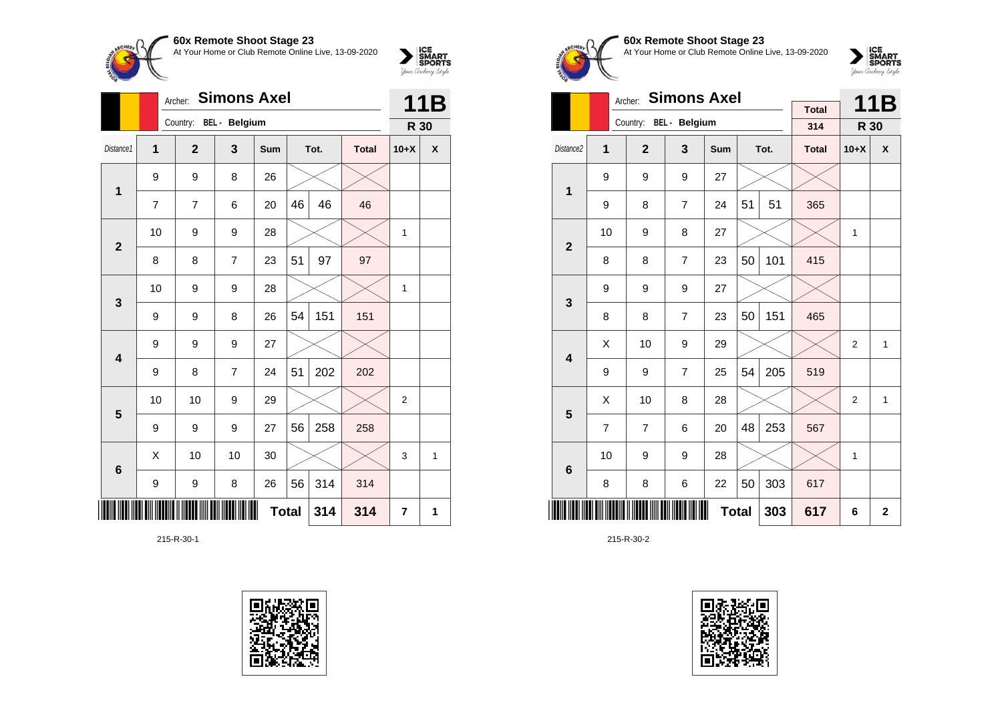

|                 |    | <b>Simons Axel</b><br>Archer: |                        |     | 11B          |      |              |        |   |
|-----------------|----|-------------------------------|------------------------|-----|--------------|------|--------------|--------|---|
|                 |    |                               | Country: BEL - Belgium |     |              |      |              | R 30   |   |
| Distance1       | 1  | $\overline{2}$                | 3                      | Sum |              | Tot. | <b>Total</b> | $10+X$ | X |
| 1               | 9  | 9                             | 8                      | 26  |              |      |              |        |   |
|                 | 7  | 7                             | 6                      | 20  | 46           | 46   | 46           |        |   |
| $\mathbf{2}$    | 10 | 9                             | 9                      | 28  |              |      |              | 1      |   |
|                 | 8  | 8                             | 7                      | 23  | 51           | 97   | 97           |        |   |
| 3               | 10 | 9                             | 9                      | 28  |              |      |              | 1      |   |
|                 | 9  | 9                             | 8                      | 26  | 54           | 151  | 151          |        |   |
| 4               | 9  | 9                             | 9                      | 27  |              |      |              |        |   |
|                 | 9  | 8                             | 7                      | 24  | 51           | 202  | 202          |        |   |
| 5               | 10 | 10                            | 9                      | 29  |              |      |              | 2      |   |
|                 | 9  | 9                             | 9                      | 27  | 56           | 258  | 258          |        |   |
| $6\phantom{1}6$ | X  | 10                            | 10                     | 30  |              |      |              | 3      | 1 |
|                 | 9  | 9                             | 8                      | 26  | 56           | 314  | 314          |        |   |
|                 |    |                               |                        |     | <b>Total</b> | 314  | 314          | 7      | 1 |

215-R-30-1





**60x Remote Shoot Stage 23** At Your Home or Club Remote Online Live, 13-09-2020



|                         |                | <b>Simons Axel</b><br>Archer: |                |              |    | 11B  |                     |                |              |
|-------------------------|----------------|-------------------------------|----------------|--------------|----|------|---------------------|----------------|--------------|
|                         |                | Country: BEL - Belgium        |                |              |    |      | <b>Total</b><br>314 | R 30           |              |
| Distance <sub>2</sub>   | 1              | $\overline{2}$                | $\mathbf{3}$   | <b>Sum</b>   |    | Tot. | <b>Total</b>        | $10+X$         | X            |
|                         |                |                               |                |              |    |      |                     |                |              |
| 1                       | 9              | 9                             | 9              | 27           |    |      |                     |                |              |
|                         | 9              | 8                             | $\overline{7}$ | 24           | 51 | 51   | 365                 |                |              |
| $\overline{2}$          | 10             | 9                             | 8              | 27           |    |      |                     | 1              |              |
|                         | 8              | 8                             | $\overline{7}$ | 23           | 50 | 101  | 415                 |                |              |
| 3                       | 9              | 9                             | 9              | 27           |    |      |                     |                |              |
|                         | 8              | 8                             | $\overline{7}$ | 23           | 50 | 151  | 465                 |                |              |
| $\overline{\mathbf{4}}$ | X              | 10                            | 9              | 29           |    |      |                     | $\overline{2}$ | 1            |
|                         | 9              | 9                             | $\overline{7}$ | 25           | 54 | 205  | 519                 |                |              |
| 5                       | Χ              | 10                            | 8              | 28           |    |      |                     | 2              | 1            |
|                         | $\overline{7}$ | $\overline{7}$                | 6              | 20           | 48 | 253  | 567                 |                |              |
| $6\phantom{1}$          | 10             | 9                             | 9              | 28           |    |      |                     | 1              |              |
|                         | 8              | 8                             | 6              | 22           | 50 | 303  | 617                 |                |              |
|                         |                |                               |                | <b>Total</b> |    | 303  | 617                 | 6              | $\mathbf{2}$ |

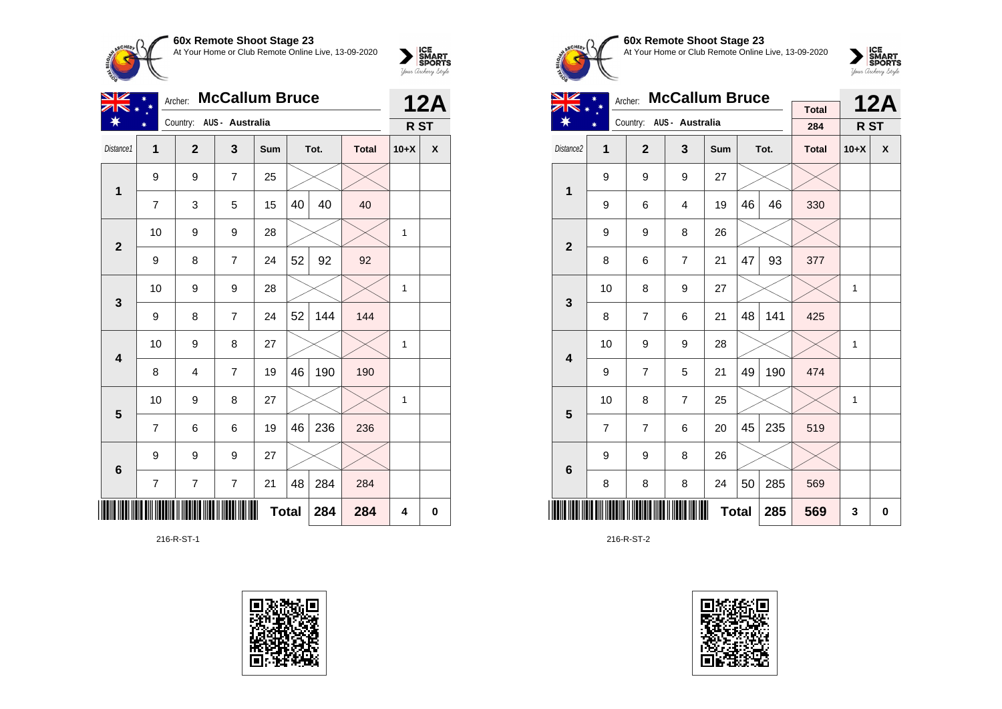

| VZ             | <b>McCallum Bruce</b><br>Archer: |                |                          |     |              |      |              |                 | <b>12A</b> |
|----------------|----------------------------------|----------------|--------------------------|-----|--------------|------|--------------|-----------------|------------|
| ∗              |                                  |                | Country: AUS - Australia |     |              |      |              | R <sub>ST</sub> |            |
| Distance1      | 1                                | $\overline{2}$ | 3                        | Sum |              | Tot. | <b>Total</b> | $10+X$          | X          |
|                | 9                                | 9              | $\overline{7}$           | 25  |              |      |              |                 |            |
| 1              | 7                                | 3              | 5                        | 15  | 40           | 40   | 40           |                 |            |
| $\overline{2}$ | 10                               | 9              | 9                        | 28  |              |      |              | 1               |            |
|                | 9                                | 8              | $\overline{7}$           | 24  | 52           | 92   | 92           |                 |            |
| 3              | 10                               | 9              | 9                        | 28  |              |      |              | 1               |            |
|                | 9                                | 8              | $\overline{7}$           | 24  | 52           | 144  | 144          |                 |            |
| 4              | 10                               | 9              | 8                        | 27  |              |      |              | $\mathbf{1}$    |            |
|                | 8                                | 4              | $\overline{7}$           | 19  | 46           | 190  | 190          |                 |            |
| $5\phantom{1}$ | 10                               | 9              | 8                        | 27  |              |      |              | 1               |            |
|                | 7                                | 6              | 6                        | 19  | 46           | 236  | 236          |                 |            |
| $6\phantom{1}$ | 9                                | 9              | 9                        | 27  |              |      |              |                 |            |
|                | $\overline{7}$                   | $\overline{7}$ | $\overline{7}$           | 21  | 48           | 284  | 284          |                 |            |
|                |                                  |                |                          |     | <b>Total</b> | 284  | 284          | 4               | 0          |

216-R-ST-1





# **60x Remote Shoot Stage 23** At Your Home or Club Remote Online Live, 13-09-2020

 $\sum_{\text{your } \text{Order}} \frac{\text{ICE}}{\text{SDORTS}}$ 

| <b>NIZ</b>              |                | <b>McCallum Bruce</b><br>Archer: |                          |              |    | <b>12A</b> |              |        |   |
|-------------------------|----------------|----------------------------------|--------------------------|--------------|----|------------|--------------|--------|---|
|                         |                |                                  | Country: AUS - Australia |              |    |            | <b>Total</b> |        |   |
|                         |                |                                  |                          |              |    |            | 284          | R ST   |   |
| Distance2               | 1              | $\overline{2}$                   | 3                        | Sum          |    | Tot.       | <b>Total</b> | $10+X$ | X |
| 1                       | 9              | 9                                | 9                        | 27           |    |            |              |        |   |
|                         | 9              | 6                                | $\overline{4}$           | 19           | 46 | 46         | 330          |        |   |
| $\overline{2}$          | 9              | 9                                | 8                        | 26           |    |            |              |        |   |
|                         | 8              | 6                                | 7                        | 21           | 47 | 93         | 377          |        |   |
| 3                       | 10             | 8                                | 9                        | 27           |    |            |              | 1      |   |
|                         | 8              | $\overline{7}$                   | 6                        | 21           | 48 | 141        | 425          |        |   |
| $\overline{\mathbf{4}}$ | 10             | 9                                | 9                        | 28           |    |            |              | 1      |   |
|                         | 9              | $\overline{7}$                   | 5                        | 21           | 49 | 190        | 474          |        |   |
| 5                       | 10             | 8                                | $\overline{7}$           | 25           |    |            |              | 1      |   |
|                         | $\overline{7}$ | $\overline{7}$                   | 6                        | 20           | 45 | 235        | 519          |        |   |
| 6                       | 9              | 9                                | 8                        | 26           |    |            |              |        |   |
|                         | 8              | 8                                | 8                        | 24           | 50 | 285        | 569          |        |   |
|                         |                |                                  |                          | <b>Total</b> |    | 285        | 569          | 3      | 0 |

216-R-ST-2

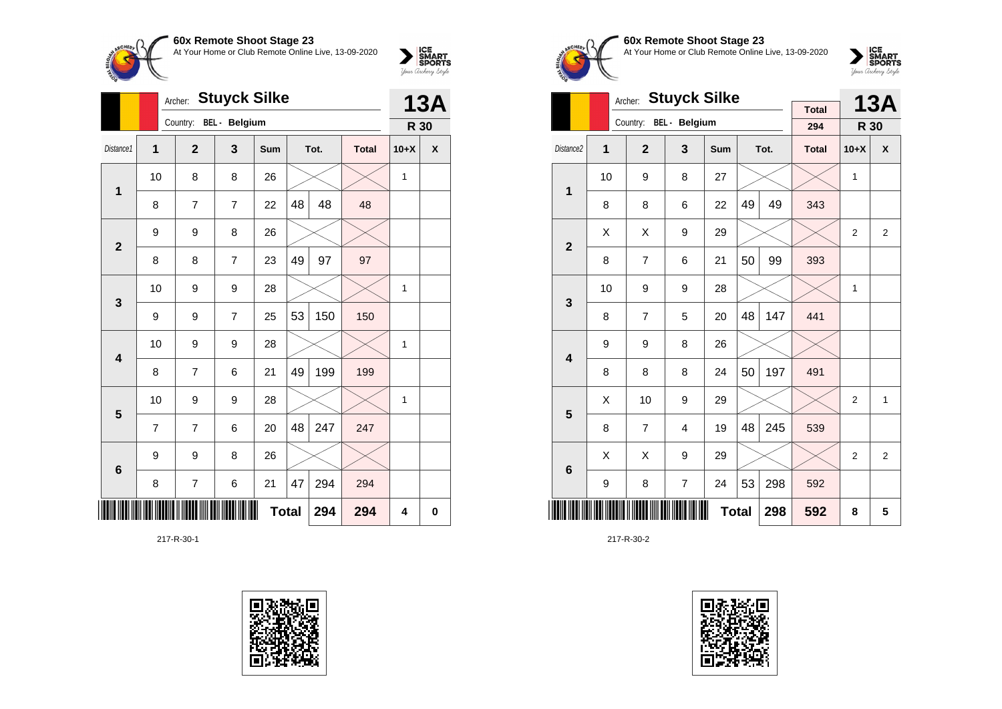

|                         |    | <b>Stuyck Silke</b><br>Archer: |               | <b>13A</b> |              |      |              |        |             |
|-------------------------|----|--------------------------------|---------------|------------|--------------|------|--------------|--------|-------------|
|                         |    | Country:                       | BEL - Belgium |            |              |      |              | R 30   |             |
| Distance1               | 1  | $\overline{2}$                 | 3             | Sum        |              | Tot. | <b>Total</b> | $10+X$ | X           |
| $\mathbf 1$             | 10 | 8                              | 8             | 26         |              |      |              | 1      |             |
|                         | 8  | $\overline{7}$                 | 7             | 22         | 48           | 48   | 48           |        |             |
| $\mathbf{2}$            | 9  | 9                              | 8             | 26         |              |      |              |        |             |
|                         | 8  | 8                              | 7             | 23         | 49           | 97   | 97           |        |             |
| 3                       | 10 | 9                              | 9             | 28         |              |      |              | 1      |             |
|                         | 9  | 9                              | 7             | 25         | 53           | 150  | 150          |        |             |
| $\overline{\mathbf{4}}$ | 10 | 9                              | 9             | 28         |              |      |              | 1      |             |
|                         | 8  | 7                              | 6             | 21         | 49           | 199  | 199          |        |             |
| 5                       | 10 | 9                              | 9             | 28         |              |      |              | 1      |             |
|                         | 7  | $\overline{7}$                 | 6             | 20         | 48           | 247  | 247          |        |             |
| $6\phantom{1}6$         | 9  | 9                              | 8             | 26         |              |      |              |        |             |
|                         | 8  | $\overline{7}$                 | 6             | 21         | 47           | 294  | 294          |        |             |
|                         |    |                                |               |            | <b>Total</b> | 294  | 294          | 4      | $\mathbf 0$ |

217-R-30-1





**60x Remote Shoot Stage 23** At Your Home or Club Remote Online Live, 13-09-2020

 $\sum_{\text{your }\text{Order}}\begin{matrix}\n\text{ICE} \\
\text{SDORTS} \\
\text{Jour }\text{Ordery }\text{Style}\n\end{matrix}$ 

|                         |    | Archer:        | <b>Stuyck Silke</b> |            |              |      | <b>13A</b>   |                |                |
|-------------------------|----|----------------|---------------------|------------|--------------|------|--------------|----------------|----------------|
|                         |    | Country:       | BEL - Belgium       |            |              |      | <b>Total</b> |                |                |
|                         |    |                |                     |            |              |      | 294          | R 30           |                |
| Distance <sub>2</sub>   | 1  | $\overline{2}$ | 3                   | <b>Sum</b> |              | Tot. | <b>Total</b> | $10+X$         | X              |
| 1                       | 10 | 9              | 8                   | 27         |              |      |              | $\mathbf{1}$   |                |
|                         | 8  | 8              | 6                   | 22         | 49           | 49   | 343          |                |                |
| $\overline{2}$          | X  | X              | 9                   | 29         |              |      |              | $\overline{2}$ | $\overline{2}$ |
|                         | 8  | $\overline{7}$ | 6                   | 21         | 50           | 99   | 393          |                |                |
| 3                       | 10 | 9              | 9                   | 28         |              |      |              | $\mathbf{1}$   |                |
|                         | 8  | $\overline{7}$ | 5                   | 20         | 48           | 147  | 441          |                |                |
| $\overline{\mathbf{4}}$ | 9  | 9              | 8                   | 26         |              |      |              |                |                |
|                         | 8  | 8              | 8                   | 24         | 50           | 197  | 491          |                |                |
| 5                       | Χ  | 10             | 9                   | 29         |              |      |              | $\overline{2}$ | 1              |
|                         | 8  | $\overline{7}$ | 4                   | 19         | 48           | 245  | 539          |                |                |
| 6                       | Χ  | X              | 9                   | 29         |              |      |              | $\overline{2}$ | $\overline{2}$ |
|                         | 9  | 8              | $\overline{7}$      | 24         | 53           | 298  | 592          |                |                |
|                         |    |                |                     |            | <b>Total</b> | 298  | 592          | 8              | 5              |

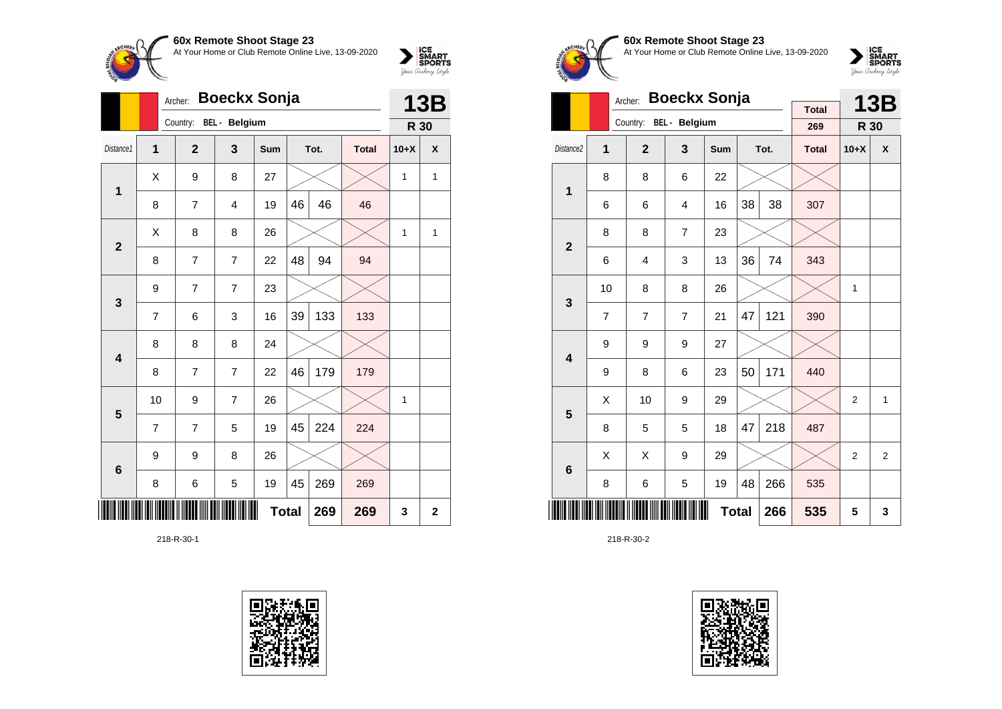

|                 |                | <b>Boeckx Sonja</b><br>Archer: |                      |            | <b>13B</b>   |      |              |              |              |
|-----------------|----------------|--------------------------------|----------------------|------------|--------------|------|--------------|--------------|--------------|
|                 |                | Country:                       | <b>BEL</b> - Belgium |            |              |      |              | R 30         |              |
| Distance1       | 1              | $\overline{2}$                 | 3                    | <b>Sum</b> |              | Tot. | <b>Total</b> | $10+X$       | X            |
| 1               | Χ              | 9                              | 8                    | 27         |              |      |              | $\mathbf{1}$ | 1            |
|                 | 8              | 7                              | $\overline{4}$       | 19         | 46           | 46   | 46           |              |              |
| $\overline{2}$  | Χ              | 8                              | 8                    | 26         |              |      |              | $\mathbf{1}$ | 1            |
|                 | 8              | 7                              | 7                    | 22         | 48           | 94   | 94           |              |              |
| 3               | 9              | $\overline{7}$                 | $\overline{7}$       | 23         |              |      |              |              |              |
|                 | $\overline{7}$ | 6                              | 3                    | 16         | 39           | 133  | 133          |              |              |
| 4               | 8              | 8                              | 8                    | 24         |              |      |              |              |              |
|                 | 8              | 7                              | $\overline{7}$       | 22         | 46           | 179  | 179          |              |              |
| 5               | 10             | 9                              | $\overline{7}$       | 26         |              |      |              | 1            |              |
|                 | $\overline{7}$ | 7                              | 5                    | 19         | 45           | 224  | 224          |              |              |
| $6\phantom{1}6$ | 9              | 9                              | 8                    | 26         |              |      |              |              |              |
|                 | 8              | 6                              | 5                    | 19         | 45           | 269  | 269          |              |              |
|                 |                |                                |                      |            | <b>Total</b> | 269  | 269          | 3            | $\mathbf{2}$ |

218-R-30-1





**60x Remote Shoot Stage 23** At Your Home or Club Remote Online Live, 13-09-2020



|                         |    | <b>Boeckx Sonja</b><br>Archer: |                |              |    | <b>13B</b> |                     |                |                |
|-------------------------|----|--------------------------------|----------------|--------------|----|------------|---------------------|----------------|----------------|
|                         |    | Country:                       | BEL - Belgium  |              |    |            | <b>Total</b><br>269 |                |                |
|                         |    |                                |                |              |    |            |                     | R 30           |                |
| Distance <sub>2</sub>   | 1  | $\overline{2}$                 | 3              | <b>Sum</b>   |    | Tot.       | <b>Total</b>        | $10+X$         | X              |
| 1                       | 8  | 8                              | 6              | 22           |    |            |                     |                |                |
|                         | 6  | 6                              | $\overline{4}$ | 16           | 38 | 38         | 307                 |                |                |
| $\overline{2}$          | 8  | 8                              | $\overline{7}$ | 23           |    |            |                     |                |                |
|                         | 6  | 4                              | 3              | 13           | 36 | 74         | 343                 |                |                |
| 3                       | 10 | 8                              | 8              | 26           |    |            |                     | 1              |                |
|                         | 7  | $\overline{7}$                 | $\overline{7}$ | 21           | 47 | 121        | 390                 |                |                |
| $\overline{\mathbf{4}}$ | 9  | 9                              | 9              | 27           |    |            |                     |                |                |
|                         | 9  | 8                              | 6              | 23           | 50 | 171        | 440                 |                |                |
| 5                       | X  | 10                             | 9              | 29           |    |            |                     | 2              | $\mathbf{1}$   |
|                         | 8  | 5                              | 5              | 18           | 47 | 218        | 487                 |                |                |
| $6\phantom{1}6$         | X  | X                              | 9              | 29           |    |            |                     | $\overline{2}$ | $\overline{2}$ |
|                         | 8  | 6                              | 5              | 19           | 48 | 266        | 535                 |                |                |
|                         |    |                                |                | <b>Total</b> |    | 266        | 535                 | 5              | 3              |

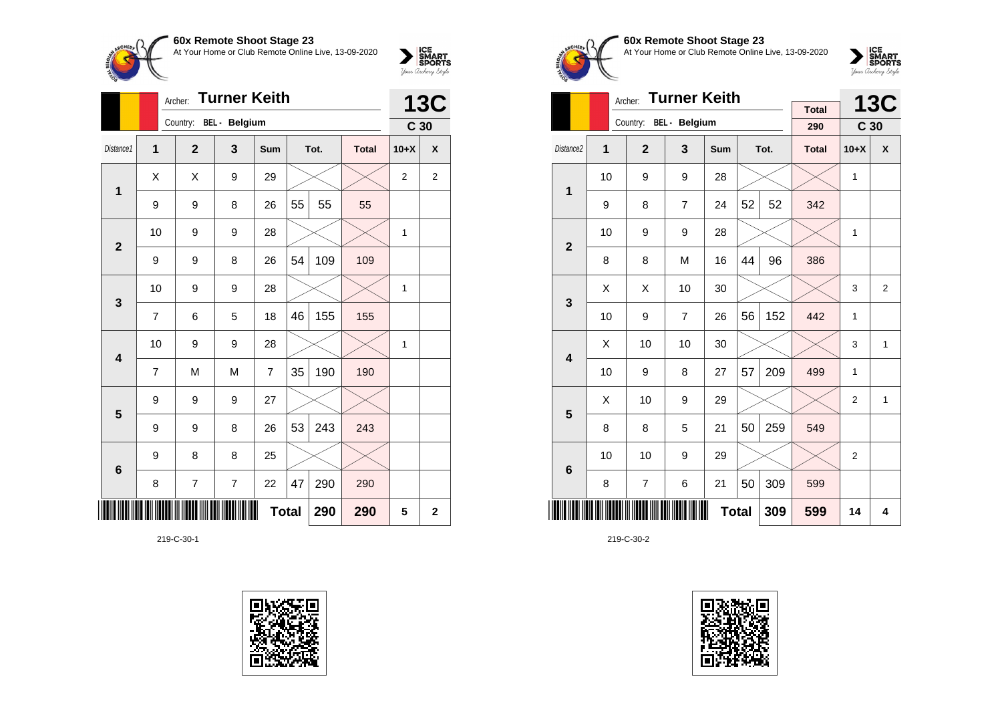**60x Remote Shoot Stage 23**  $\sum_{\text{Jour } \text{Guchy } \text{MyC}}\n \begin{cases}\n \text{ICE} \\
 \text{SDORTS} \\
 \text{Jour } \text{Cuchy } \text{Myb}\n \end{cases}$ At Your Home or Club Remote Online Live, 13-09-2020

|                         |                | <b>Turner Keith</b><br>Archer: |                |                |    |      |              |                 |                |  |
|-------------------------|----------------|--------------------------------|----------------|----------------|----|------|--------------|-----------------|----------------|--|
|                         |                | Country: BEL - Belgium         |                |                |    |      |              | C <sub>30</sub> | <b>13C</b>     |  |
| Distance1               | 1              | $\overline{2}$                 | 3              | Sum            |    | Tot. | <b>Total</b> | $10+X$          | X              |  |
| 1                       | Χ              | Χ                              | 9              | 29             |    |      |              | 2               | $\overline{2}$ |  |
|                         | 9              | 9                              | 8              | 26             | 55 | 55   | 55           |                 |                |  |
| $\overline{2}$          | 10             | 9                              | 9              | 28             |    |      |              | 1               |                |  |
|                         | 9              | 9                              | 8              | 26             | 54 | 109  | 109          |                 |                |  |
| 3                       | 10             | 9                              | 9              | 28             |    |      |              | $\mathbf{1}$    |                |  |
|                         | $\overline{7}$ | 6                              | 5              | 18             | 46 | 155  | 155          |                 |                |  |
| $\overline{\mathbf{4}}$ | 10             | 9                              | 9              | 28             |    |      |              | $\mathbf{1}$    |                |  |
|                         | 7              | M                              | M              | $\overline{7}$ | 35 | 190  | 190          |                 |                |  |
| 5                       | 9              | 9                              | 9              | 27             |    |      |              |                 |                |  |
|                         | 9              | 9                              | 8              | 26             | 53 | 243  | 243          |                 |                |  |
| $6\phantom{1}6$         | 9              | 8                              | 8              | 25             |    |      |              |                 |                |  |
|                         | 8              | 7                              | $\overline{7}$ | 22             | 47 | 290  | 290          |                 |                |  |
|                         |                |                                |                | <b>Total</b>   |    | 290  | 290          | 5               | $\mathbf{2}$   |  |

219-C-30-1





**60x Remote Shoot Stage 23** At Your Home or Club Remote Online Live, 13-09-2020

 $\sum_{\text{Jour Theory } \text{Styds}}\begin{cases} \text{ICE} \\ \text{SDORTS} \\ \text{SPORTS} \end{cases}$ 

|                         |                | <b>Turner Keith</b><br>Archer: |                |              |    | <b>13C</b> |                     |                 |                |
|-------------------------|----------------|--------------------------------|----------------|--------------|----|------------|---------------------|-----------------|----------------|
|                         |                | Country: BEL - Belgium         |                |              |    |            | <b>Total</b><br>290 | C <sub>30</sub> |                |
|                         |                |                                |                |              |    |            |                     |                 |                |
| Distance <sub>2</sub>   | $\overline{1}$ | $\overline{2}$                 | $\mathbf{3}$   | <b>Sum</b>   |    | Tot.       | <b>Total</b>        | $10+X$          | X              |
| 1                       | 10             | 9                              | 9              | 28           |    |            |                     | 1               |                |
|                         | 9              | 8                              | $\overline{7}$ | 24           | 52 | 52         | 342                 |                 |                |
| $\overline{2}$          | 10             | 9                              | 9              | 28           |    |            |                     | 1               |                |
|                         | 8              | 8                              | M              | 16           | 44 | 96         | 386                 |                 |                |
| 3                       | X              | Χ                              | 10             | 30           |    |            |                     | 3               | $\overline{2}$ |
|                         | 10             | 9                              | $\overline{7}$ | 26           | 56 | 152        | 442                 | 1               |                |
| $\overline{\mathbf{4}}$ | Χ              | 10                             | 10             | 30           |    |            |                     | 3               | 1              |
|                         | 10             | 9                              | 8              | 27           | 57 | 209        | 499                 | 1               |                |
| 5                       | X              | 10                             | 9              | 29           |    |            |                     | 2               | 1              |
|                         | 8              | 8                              | 5              | 21           | 50 | 259        | 549                 |                 |                |
| $6\phantom{1}6$         | 10             | 10                             | 9              | 29           |    |            |                     | 2               |                |
|                         | 8              | 7                              | 6              | 21           | 50 | 309        | 599                 |                 |                |
|                         |                |                                |                | <b>Total</b> |    | 309        | 599                 | 14              | 4              |

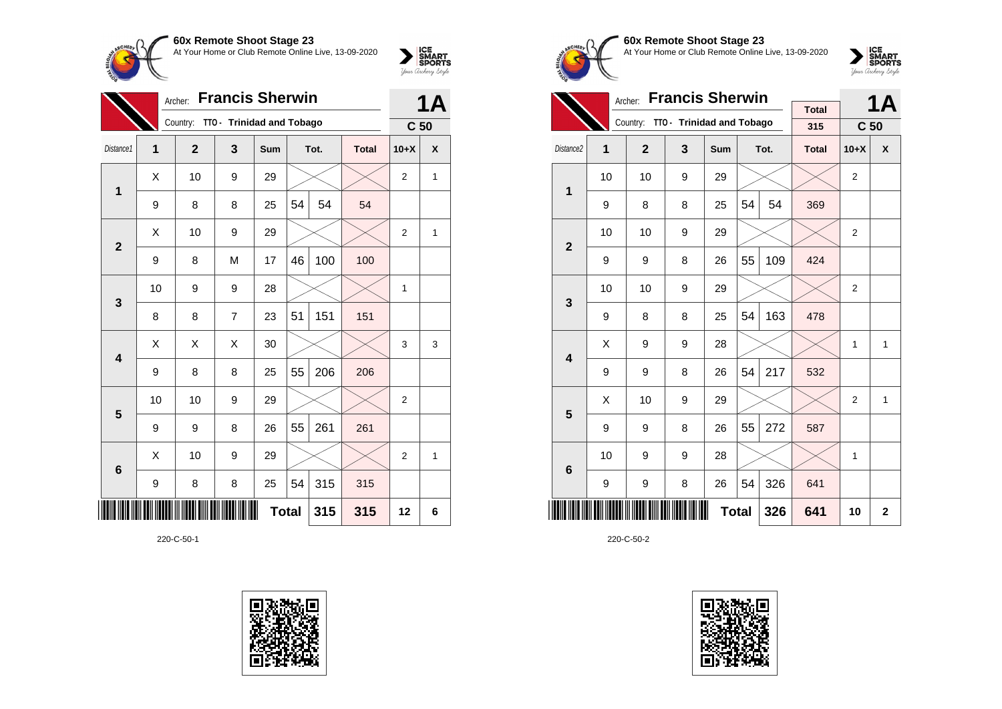

|                         | <b>Francis Sherwin</b><br>Archer: |              |                           |              |    |      |              |                 | <b>1A</b> |
|-------------------------|-----------------------------------|--------------|---------------------------|--------------|----|------|--------------|-----------------|-----------|
|                         |                                   | Country:     | TTO - Trinidad and Tobago |              |    |      |              | C <sub>50</sub> |           |
| Distance1               | $\mathbf{1}$                      | $\mathbf{2}$ | 3                         | Sum          |    | Tot. | <b>Total</b> | $10+X$          | X         |
| $\mathbf 1$             | X                                 | 10           | 9                         | 29           |    |      |              | 2               | 1         |
|                         | 9                                 | 8            | 8                         | 25           | 54 | 54   | 54           |                 |           |
| $\mathbf{2}$            | X                                 | 10           | 9                         | 29           |    |      |              | $\overline{2}$  | 1         |
|                         | 9                                 | 8            | M                         | 17           | 46 | 100  | 100          |                 |           |
| $\mathbf{3}$            | 10                                | 9            | 9                         | 28           |    |      |              | 1               |           |
|                         | 8                                 | 8            | $\overline{7}$            | 23           | 51 | 151  | 151          |                 |           |
| $\overline{\mathbf{4}}$ | X                                 | X            | X                         | 30           |    |      |              | 3               | 3         |
|                         | 9                                 | 8            | 8                         | 25           | 55 | 206  | 206          |                 |           |
| 5                       | 10                                | 10           | 9                         | 29           |    |      |              | $\overline{c}$  |           |
|                         | 9                                 | 9            | 8                         | 26           | 55 | 261  | 261          |                 |           |
| 6                       | X                                 | 10           | 9                         | 29           |    |      |              | $\overline{2}$  | 1         |
|                         | 9                                 | 8            | 8                         | 25           | 54 | 315  | 315          |                 |           |
|                         |                                   |              |                           | <b>Total</b> |    | 315  | 315          | 12              | 6         |

220-C-50-1





**60x Remote Shoot Stage 23** At Your Home or Club Remote Online Live, 13-09-2020

 $\sum_{\text{Jour} \text{C} \text{under}} \left| \begin{matrix} \text{ICE} \\ \text{SDORTS} \\ \text{SPORTS} \end{matrix} \right|_{\text{Jour} \text{d} \text{ref}}$ 

|                         |    | <b>Francis Sherwin</b><br>Archer: |                                    |     |    | 1Α           |                     |                 |   |
|-------------------------|----|-----------------------------------|------------------------------------|-----|----|--------------|---------------------|-----------------|---|
|                         |    |                                   | Country: TTO - Trinidad and Tobago |     |    |              | <b>Total</b><br>315 | C <sub>50</sub> |   |
| Distance <sub>2</sub>   | 1  | $\mathbf{2}$                      | 3                                  | Sum |    | Tot.         | <b>Total</b>        | $10+X$          | X |
| $\overline{1}$          | 10 | 10                                | 9                                  | 29  |    |              |                     | $\overline{2}$  |   |
|                         | 9  | 8                                 | 8                                  | 25  | 54 | 54           | 369                 |                 |   |
| $\overline{2}$          | 10 | 10                                | 9                                  | 29  |    |              |                     | $\overline{2}$  |   |
|                         | 9  | 9                                 | 8                                  | 26  | 55 | 109          | 424                 |                 |   |
| 3                       | 10 | 10                                | 9                                  | 29  |    |              |                     | $\overline{2}$  |   |
|                         | 9  | 8                                 | 8                                  | 25  | 54 | 163          | 478                 |                 |   |
| $\overline{\mathbf{4}}$ | X  | 9                                 | 9                                  | 28  |    |              |                     | $\mathbf{1}$    | 1 |
|                         | 9  | 9                                 | 8                                  | 26  | 54 | 217          | 532                 |                 |   |
| 5                       | X  | 10                                | 9                                  | 29  |    |              |                     | 2               | 1 |
|                         | 9  | 9                                 | 8                                  | 26  | 55 | 272          | 587                 |                 |   |
| 6                       | 10 | 9                                 | 9                                  | 28  |    |              |                     | 1               |   |
|                         | 9  | 9                                 | 8                                  | 26  | 54 | 326          | 641                 |                 |   |
|                         |    |                                   | 326                                | 641 | 10 | $\mathbf{2}$ |                     |                 |   |

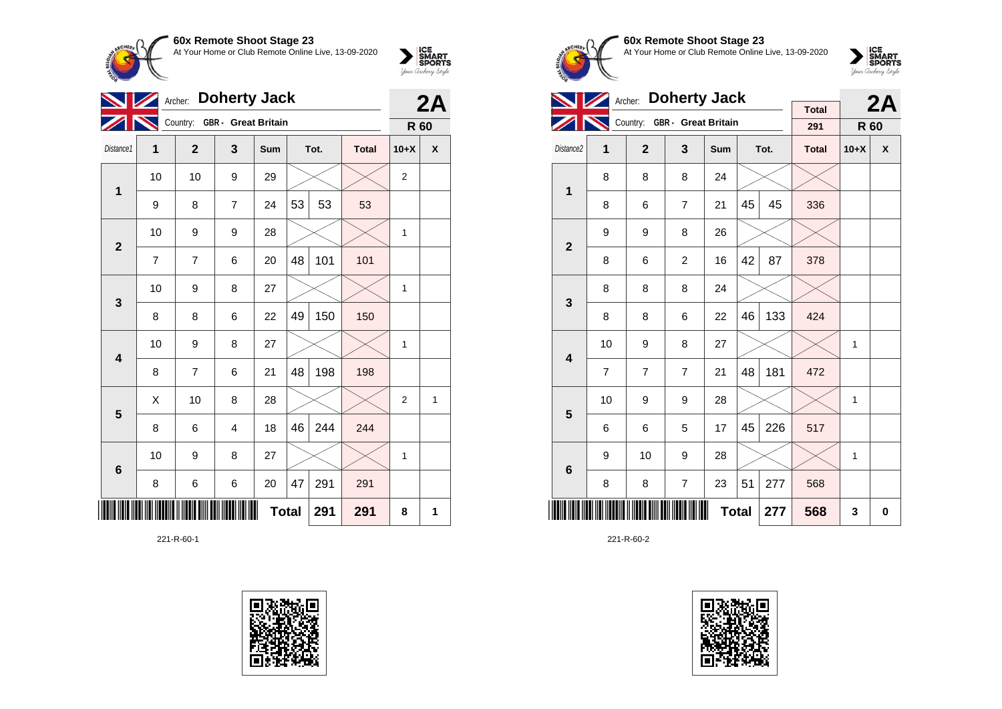

| <b>NZ</b>               | Archer: |                |                            | 2A           |    |      |              |                  |   |
|-------------------------|---------|----------------|----------------------------|--------------|----|------|--------------|------------------|---|
|                         |         | Country:       | <b>GBR</b> - Great Britain |              |    |      |              | R 60             |   |
| Distance1               | 1       | $\overline{2}$ | 3                          | Sum          |    | Tot. | <b>Total</b> | $10+X$           | χ |
| $\mathbf{1}$            | 10      | 10             | 9                          | 29           |    |      |              | $\boldsymbol{2}$ |   |
|                         | 9       | 8              | 7                          | 24           | 53 | 53   | 53           |                  |   |
|                         | 10      | 9              | 9                          | 28           |    |      |              | 1                |   |
| $\mathbf{2}$            | 7       | 7              | 6                          | 20           | 48 | 101  | 101          |                  |   |
| $\mathbf{3}$            | 10      | 9              | 8                          | 27           |    |      |              | 1                |   |
|                         | 8       | 8              | 6                          | 22           | 49 | 150  | 150          |                  |   |
| $\overline{\mathbf{4}}$ | 10      | 9              | 8                          | 27           |    |      |              | 1                |   |
|                         | 8       | 7              | 6                          | 21           | 48 | 198  | 198          |                  |   |
| $\overline{\mathbf{5}}$ | Χ       | 10             | 8                          | 28           |    |      |              | $\mathbf 2$      | 1 |
|                         | 8       | 6              | 4                          | 18           | 46 | 244  | 244          |                  |   |
| $\bf 6$                 | 10      | 9              | 8                          | 27           |    |      |              | 1                |   |
|                         | 8       | 6              | 6                          | 20           | 47 | 291  | 291          |                  |   |
|                         |         |                |                            | <b>Total</b> |    | 291  | 291          | 8                | 1 |

221-R-60-1





**60x Remote Shoot Stage 23** At Your Home or Club Remote Online Live, 13-09-2020

 $\sum_{\text{your } \text{Order}} \frac{\text{ICE}}{\text{SDORTS}}$ 

|                         |    | <b>Doherty Jack</b><br>Archer: |                              |              |    | 2A   |                     |              |   |
|-------------------------|----|--------------------------------|------------------------------|--------------|----|------|---------------------|--------------|---|
|                         |    |                                | Country: GBR - Great Britain |              |    |      | <b>Total</b><br>291 | R 60         |   |
| Distance2               | 1  | $\mathbf{2}$                   | 3                            | <b>Sum</b>   |    | Tot. | <b>Total</b>        | $10+X$       | X |
| 1                       | 8  | 8                              | 8                            | 24           |    |      |                     |              |   |
|                         | 8  | 6                              | $\overline{7}$               | 21           | 45 | 45   | 336                 |              |   |
| $\overline{2}$          | 9  | 9                              | 8                            | 26           |    |      |                     |              |   |
|                         | 8  | 6                              | $\overline{c}$               | 16           | 42 | 87   | 378                 |              |   |
| 3                       | 8  | 8                              | 8                            | 24           |    |      |                     |              |   |
|                         | 8  | 8                              | 6                            | 22           | 46 | 133  | 424                 |              |   |
| $\overline{\mathbf{4}}$ | 10 | 9                              | 8                            | 27           |    |      |                     | $\mathbf{1}$ |   |
|                         | 7  | $\overline{7}$                 | $\overline{7}$               | 21           | 48 | 181  | 472                 |              |   |
| 5                       | 10 | 9                              | 9                            | 28           |    |      |                     | 1            |   |
|                         | 6  | 6                              | 5                            | 17           | 45 | 226  | 517                 |              |   |
| 6                       | 9  | 10                             | 9                            | 28           |    |      |                     | $\mathbf{1}$ |   |
|                         | 8  | 8                              | 7                            | 23           | 51 | 277  | 568                 |              |   |
|                         |    |                                |                              | <b>Total</b> |    | 277  | 568                 | 3            | 0 |

221-R-60-2

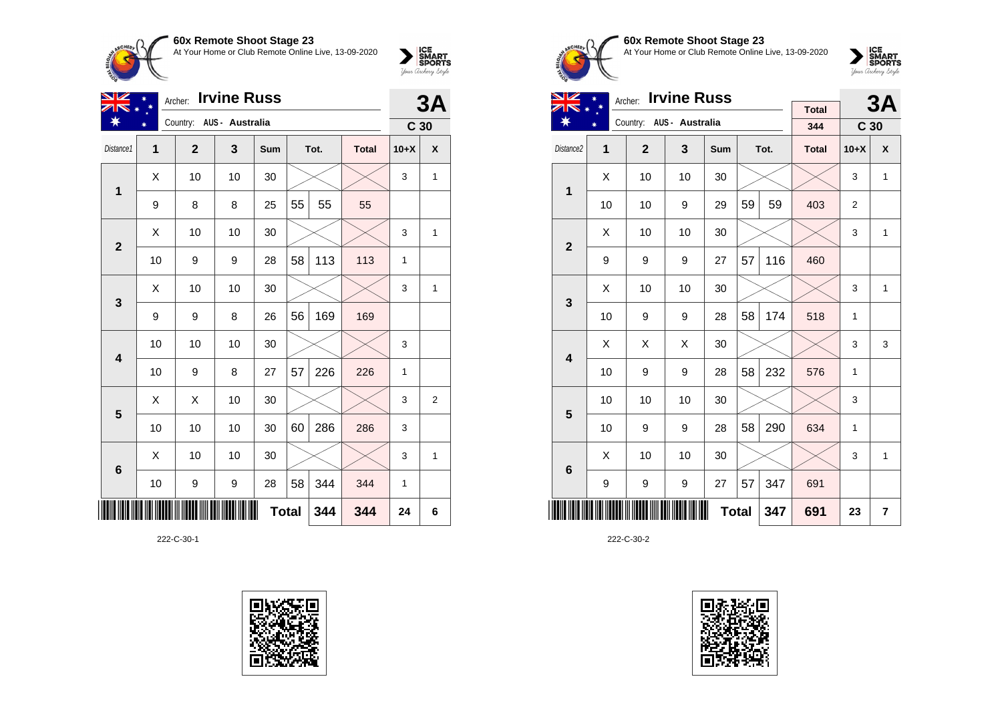

| <b>Irvine Russ</b><br>VZ<br>Archer: |                |                          |    |     |              |      |              |                 | 3A           |  |
|-------------------------------------|----------------|--------------------------|----|-----|--------------|------|--------------|-----------------|--------------|--|
| ∗                                   |                | Country: AUS - Australia |    |     |              |      |              | C <sub>30</sub> |              |  |
| Distance1                           | $\overline{1}$ | $\overline{2}$           | 3  | Sum |              | Tot. | <b>Total</b> | $10+X$          | X            |  |
| 1                                   | Χ              | 10                       | 10 | 30  |              |      |              | 3               | 1            |  |
|                                     | 9              | 8                        | 8  | 25  | 55           | 55   | 55           |                 |              |  |
| $\overline{2}$                      | X              | 10                       | 10 | 30  |              |      |              | 3               | 1            |  |
|                                     | 10             | 9                        | 9  | 28  | 58           | 113  | 113          | 1               |              |  |
| 3                                   | X              | 10                       | 10 | 30  |              |      |              | 3               | 1            |  |
|                                     | 9              | 9                        | 8  | 26  | 56           | 169  | 169          |                 |              |  |
| 4                                   | 10             | 10                       | 10 | 30  |              |      |              | 3               |              |  |
|                                     | 10             | 9                        | 8  | 27  | 57           | 226  | 226          | 1               |              |  |
| 5                                   | Χ              | Χ                        | 10 | 30  |              |      |              | 3               | 2            |  |
|                                     | 10             | 10                       | 10 | 30  | 60           | 286  | 286          | 3               |              |  |
| $6\phantom{1}6$                     | X              | 10                       | 10 | 30  |              |      |              | 3               | $\mathbf{1}$ |  |
|                                     | 10             | 9                        | 9  | 28  | 58           | 344  | 344          | 1               |              |  |
|                                     |                |                          |    |     | <b>Total</b> | 344  | 344          | 24              | 6            |  |

222-C-30-1





### **60x Remote Shoot Stage 23** At Your Home or Club Remote Online Live, 13-09-2020

 $\sum_{\text{your } \text{Order}} \frac{\text{ICE}}{\text{SDORTS}}$ 

| VZ                    | <b>Irvine Russ</b><br>Archer: |              |                          |              |    |      |              |                 | 3A             |
|-----------------------|-------------------------------|--------------|--------------------------|--------------|----|------|--------------|-----------------|----------------|
|                       |                               |              | Country: AUS - Australia |              |    |      | <b>Total</b> |                 |                |
|                       |                               |              |                          |              |    |      | 344          | C <sub>30</sub> |                |
| Distance <sub>2</sub> | 1                             | $\mathbf{2}$ | $\overline{\mathbf{3}}$  | Sum          |    | Tot. | <b>Total</b> | $10+X$          | X              |
| 1                     | X                             | 10           | 10                       | 30           |    |      |              | 3               | $\mathbf{1}$   |
|                       | 10                            | 10           | 9                        | 29           | 59 | 59   | 403          | 2               |                |
| $\overline{2}$        | X                             | 10           | 10                       | 30           |    |      |              | 3               | $\mathbf{1}$   |
|                       | 9                             | 9            | 9                        | 27           | 57 | 116  | 460          |                 |                |
| 3                     | X                             | 10           | 10                       | 30           |    |      |              | 3               | 1              |
|                       | 10                            | 9            | 9                        | 28           | 58 | 174  | 518          | 1               |                |
| 4                     | Χ                             | X            | X                        | 30           |    |      |              | 3               | 3              |
|                       | 10                            | 9            | 9                        | 28           | 58 | 232  | 576          | $\mathbf{1}$    |                |
| 5                     | 10                            | 10           | 10                       | 30           |    |      |              | 3               |                |
|                       | 10                            | 9            | 9                        | 28           | 58 | 290  | 634          | 1               |                |
| 6                     | X                             | 10           | 10                       | 30           |    |      |              | 3               | $\mathbf{1}$   |
|                       | 9                             | 9            | 9                        | 27           | 57 | 347  | 691          |                 |                |
|                       |                               |              |                          | <b>Total</b> |    | 347  | 691          | 23              | $\overline{7}$ |

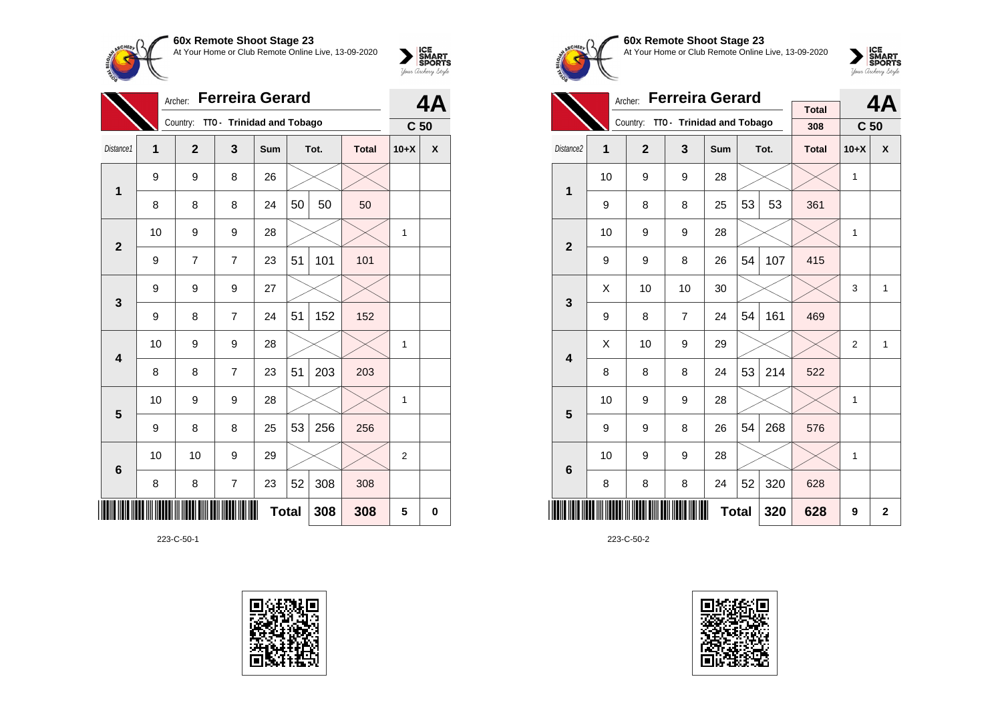

| <b>Ferreira Gerard</b><br>Archer: |    |                |                           |              |    |      |              | 4A              |   |
|-----------------------------------|----|----------------|---------------------------|--------------|----|------|--------------|-----------------|---|
|                                   |    | Country:       | TTO - Trinidad and Tobago |              |    |      |              | C <sub>50</sub> |   |
| Distance1                         | 1  | $\overline{2}$ | 3                         | Sum          |    | Tot. | <b>Total</b> | $10+X$          | X |
| $\mathbf 1$                       | 9  | 9              | 8                         | 26           |    |      |              |                 |   |
|                                   | 8  | 8              | 8                         | 24           | 50 | 50   | 50           |                 |   |
| $\overline{2}$                    | 10 | 9              | 9                         | 28           |    |      |              | 1               |   |
|                                   | 9  | 7              | $\overline{7}$            | 23           | 51 | 101  | 101          |                 |   |
| 3                                 | 9  | 9              | 9                         | 27           |    |      |              |                 |   |
|                                   | 9  | 8              | 7                         | 24           | 51 | 152  | 152          |                 |   |
| 4                                 | 10 | 9              | 9                         | 28           |    |      |              | 1               |   |
|                                   | 8  | 8              | $\overline{7}$            | 23           | 51 | 203  | 203          |                 |   |
| 5                                 | 10 | 9              | 9                         | 28           |    |      |              | 1               |   |
|                                   | 9  | 8              | 8                         | 25           | 53 | 256  | 256          |                 |   |
| 6                                 | 10 | 10             | 9                         | 29           |    |      |              | $\overline{2}$  |   |
|                                   | 8  | 8              | $\overline{7}$            | 23           | 52 | 308  | 308          |                 |   |
|                                   |    |                |                           | <b>Total</b> |    | 308  | 308          | 5               | 0 |

223-C-50-1





**60x Remote Shoot Stage 23** At Your Home or Club Remote Online Live, 13-09-2020

 $\sum_{\text{Jour} \text{C} \text{under}} \left| \begin{matrix} \text{ICE} \\ \text{SDORTS} \\ \text{SPORTS} \end{matrix} \right|_{\text{Jour} \text{d} \text{ref}}$ 

|                         |    | <b>Ferreira Gerard</b><br>Archer: |                                    |              |    | 4Α   |                     |                 |              |
|-------------------------|----|-----------------------------------|------------------------------------|--------------|----|------|---------------------|-----------------|--------------|
|                         |    |                                   | Country: TTO - Trinidad and Tobago |              |    |      | <b>Total</b><br>308 | C <sub>50</sub> |              |
| Distance <sub>2</sub>   | 1  | $\mathbf{2}$                      | 3                                  | Sum          |    | Tot. | <b>Total</b>        | $10+X$          | X            |
| $\mathbf{1}$            | 10 | 9                                 | 9                                  | 28           |    |      |                     | $\mathbf{1}$    |              |
|                         | 9  | 8                                 | 8                                  | 25           | 53 | 53   | 361                 |                 |              |
| $\overline{2}$          | 10 | 9                                 | 9                                  | 28           |    |      |                     | 1               |              |
|                         | 9  | 9                                 | 8                                  | 26           | 54 | 107  | 415                 |                 |              |
| 3                       | X  | 10                                | 10                                 | 30           |    |      |                     | 3               | 1            |
|                         | 9  | 8                                 | $\overline{7}$                     | 24           | 54 | 161  | 469                 |                 |              |
| $\overline{\mathbf{4}}$ | Χ  | 10                                | 9                                  | 29           |    |      |                     | $\overline{2}$  | 1            |
|                         | 8  | 8                                 | 8                                  | 24           | 53 | 214  | 522                 |                 |              |
| 5                       | 10 | 9                                 | 9                                  | 28           |    |      |                     | 1               |              |
|                         | 9  | 9                                 | 8                                  | 26           | 54 | 268  | 576                 |                 |              |
| 6                       | 10 | 9                                 | 9                                  | 28           |    |      |                     | 1               |              |
|                         | 8  | 8                                 | 8                                  | 24           | 52 | 320  | 628                 |                 |              |
|                         |    |                                   |                                    | <b>Total</b> |    | 320  | 628                 | 9               | $\mathbf{2}$ |

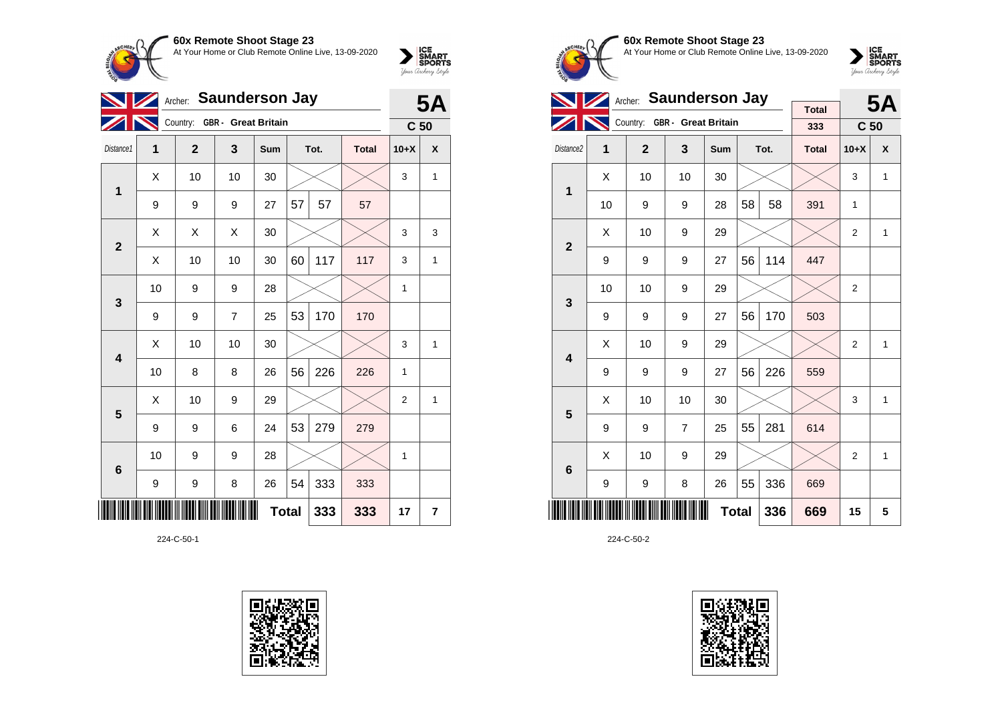

|                         | <b>Saunderson Jay</b><br>Archer: |                              |                |              |    |      |              |                 |                  |
|-------------------------|----------------------------------|------------------------------|----------------|--------------|----|------|--------------|-----------------|------------------|
|                         |                                  | Country: GBR - Great Britain |                |              |    |      |              | C <sub>50</sub> |                  |
| Distance1               | 1                                | $\overline{2}$               | 3              | Sum          |    | Tot. | <b>Total</b> | $10+X$          | $\boldsymbol{x}$ |
| 1                       | Χ                                | 10                           | 10             | 30           |    |      |              | 3               | $\mathbf{1}$     |
|                         | 9                                | 9                            | 9              | 27           | 57 | 57   | 57           |                 |                  |
| $\overline{\mathbf{2}}$ | X                                | X                            | X              | 30           |    |      |              | 3               | 3                |
|                         | Χ                                | 10                           | 10             | 30           | 60 | 117  | 117          | 3               | 1                |
| 3                       | 10                               | 9                            | 9              | 28           |    |      |              | 1               |                  |
|                         | 9                                | 9                            | $\overline{7}$ | 25           | 53 | 170  | 170          |                 |                  |
| $\overline{\mathbf{4}}$ | X                                | 10                           | 10             | 30           |    |      |              | 3               | 1                |
|                         | 10                               | 8                            | 8              | 26           | 56 | 226  | 226          | 1               |                  |
| 5                       | Х                                | 10                           | 9              | 29           |    |      |              | $\overline{2}$  | 1                |
|                         | 9                                | 9                            | 6              | 24           | 53 | 279  | 279          |                 |                  |
| $6\phantom{1}6$         | 10                               | 9                            | 9              | 28           |    |      |              | 1               |                  |
|                         | 9                                | 9                            | 8              | 26           | 54 | 333  | 333          |                 |                  |
|                         |                                  |                              |                | <b>Total</b> |    | 333  | 333          | 17              | 7                |

224-C-50-1





**60x Remote Shoot Stage 23** At Your Home or Club Remote Online Live, 13-09-2020

 $\sum_{\text{your } \text{Order}} \frac{\text{ICE}}{\text{SDORTS}}$ 

|                         |    | Archer: Saunderson Jay |                              |              |    | <b>5A</b> |                     |                 |              |
|-------------------------|----|------------------------|------------------------------|--------------|----|-----------|---------------------|-----------------|--------------|
|                         |    |                        | Country: GBR - Great Britain |              |    |           | <b>Total</b><br>333 | C <sub>50</sub> |              |
| Distance2               | 1  | $\mathbf{2}$           | 3                            | Sum          |    | Tot.      | <b>Total</b>        | $10+X$          | X            |
| 1                       | X  | 10                     | 10                           | 30           |    |           |                     | 3               | $\mathbf{1}$ |
|                         | 10 | 9                      | 9                            | 28           | 58 | 58        | 391                 | 1               |              |
| $\overline{2}$          | X  | 10                     | 9                            | 29           |    |           |                     | $\overline{2}$  | 1            |
|                         | 9  | 9                      | 9                            | 27           | 56 | 114       | 447                 |                 |              |
| 3                       | 10 | 10                     | 9                            | 29           |    |           |                     | 2               |              |
|                         | 9  | 9                      | 9                            | 27           | 56 | 170       | 503                 |                 |              |
| $\overline{\mathbf{4}}$ | X  | 10                     | 9                            | 29           |    |           |                     | $\overline{2}$  | 1            |
|                         | 9  | 9                      | 9                            | 27           | 56 | 226       | 559                 |                 |              |
| 5                       | Χ  | 10                     | 10                           | 30           |    |           |                     | 3               | $\mathbf{1}$ |
|                         | 9  | 9                      | $\overline{7}$               | 25           | 55 | 281       | 614                 |                 |              |
| 6                       | X  | 10                     | 9                            | 29           |    |           |                     | 2               | 1            |
|                         | 9  | 9                      | 8                            | 26           | 55 | 336       | 669                 |                 |              |
|                         |    |                        |                              | <b>Total</b> |    | 336       | 669                 | 15              | 5            |

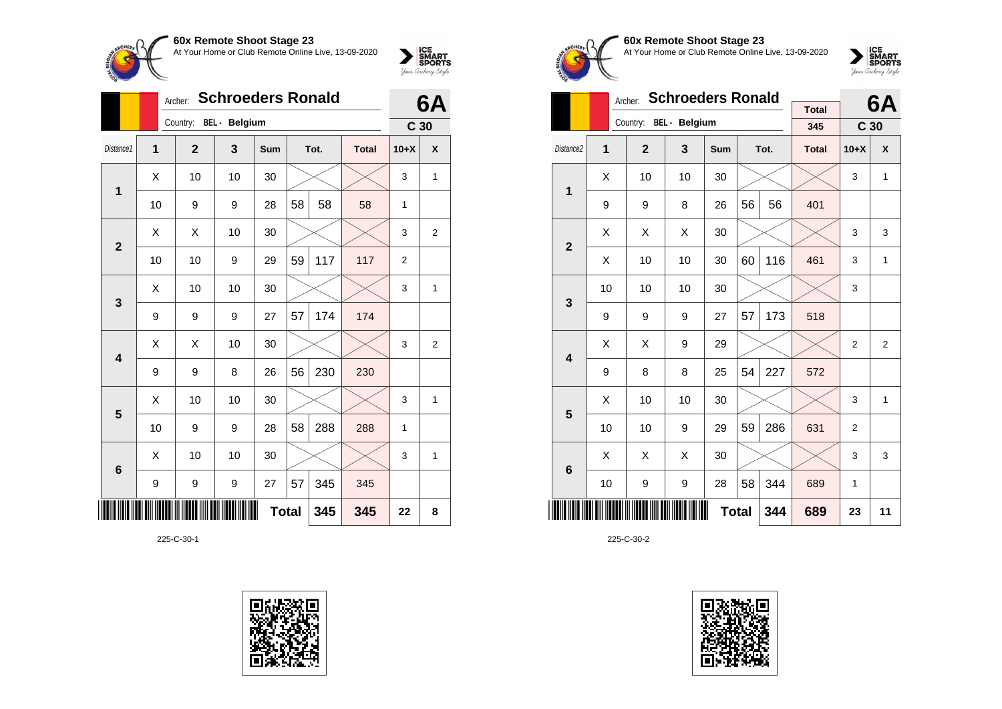

|                |                                       | <b>Schroeders Ronald</b><br>Archer: |    |     |    |      |              |                 |                |  |  |
|----------------|---------------------------------------|-------------------------------------|----|-----|----|------|--------------|-----------------|----------------|--|--|
|                |                                       | Country: BEL - Belgium              |    |     |    |      |              | C <sub>30</sub> |                |  |  |
| Distance1      | $\overline{1}$                        | $\mathbf{2}$                        | 3  | Sum |    | Tot. | <b>Total</b> | $10+X$          | X              |  |  |
| 1              | X                                     | 10                                  | 10 | 30  |    |      |              | 3               | 1              |  |  |
|                | 10                                    | 9                                   | 9  | 28  | 58 | 58   | 58           | 1               |                |  |  |
| $\mathbf{2}$   | Χ                                     | Χ                                   | 10 | 30  |    |      |              | 3               | 2              |  |  |
|                | 10                                    | 10                                  | 9  | 29  | 59 | 117  | 117          | $\overline{2}$  |                |  |  |
| 3              | Χ                                     | 10                                  | 10 | 30  |    |      |              | 3               | 1              |  |  |
|                | 9                                     | 9                                   | 9  | 27  | 57 | 174  | 174          |                 |                |  |  |
| 4              | Χ                                     | Χ                                   | 10 | 30  |    |      |              | 3               | 2              |  |  |
|                | 9                                     | 9                                   | 8  | 26  | 56 | 230  | 230          |                 |                |  |  |
| $5\phantom{1}$ | Χ                                     | 10                                  | 10 | 30  |    |      |              | 3               | $\overline{1}$ |  |  |
|                | 10                                    | 9                                   | 9  | 28  | 58 | 288  | 288          | 1               |                |  |  |
| 6              | Χ                                     | 10                                  | 10 | 30  |    |      |              | 3               | 1              |  |  |
|                | 9<br>9<br>345<br>345<br>9<br>27<br>57 |                                     |    |     |    |      |              |                 |                |  |  |
|                |                                       | <b>Total</b><br>345<br>345          |    |     |    |      |              |                 |                |  |  |

225-C-30-1





**60x Remote Shoot Stage 23** At Your Home or Club Remote Online Live, 13-09-2020



|                       |    | Archer:                | <b>Schroeders Ronald</b> | <b>Total</b> |    | 6A   |              |                 |                |
|-----------------------|----|------------------------|--------------------------|--------------|----|------|--------------|-----------------|----------------|
|                       |    | Country: BEL - Belgium |                          |              |    |      | 345          | C <sub>30</sub> |                |
| Distance <sub>2</sub> | 1  | $\overline{2}$         | 3                        | <b>Sum</b>   |    | Tot. | <b>Total</b> | $10+X$          | X              |
| 1                     | Χ  | 10                     | 10                       | 30           |    |      |              | 3               | $\mathbf{1}$   |
|                       | 9  | 9                      | 8                        | 26           | 56 | 56   | 401          |                 |                |
| $\mathbf{2}$          | Χ  | X                      | Χ                        | 30           |    |      |              | 3               | 3              |
|                       | X  | 10                     | 10                       | 30           | 60 | 116  | 461          | 3               | $\mathbf{1}$   |
| 3                     | 10 | 10                     | 10                       | 30           |    |      |              | 3               |                |
|                       | 9  | 9                      | 9                        | 27           | 57 | 173  | 518          |                 |                |
| 4                     | X  | X                      | 9                        | 29           |    |      |              | $\overline{2}$  | $\overline{2}$ |
|                       | 9  | 8                      | 8                        | 25           | 54 | 227  | 572          |                 |                |
| 5                     | X  | 10                     | 10                       | 30           |    |      |              | 3               | 1              |
|                       | 10 | 10                     | 9                        | 29           | 59 | 286  | 631          | $\overline{2}$  |                |
| 6                     | X  | X                      | X                        | 30           |    |      |              | 3               | 3              |
|                       | 10 | 9                      | 9                        | 28           | 58 | 344  | 689          | 1               |                |
|                       |    |                        | 689                      | 23           | 11 |      |              |                 |                |

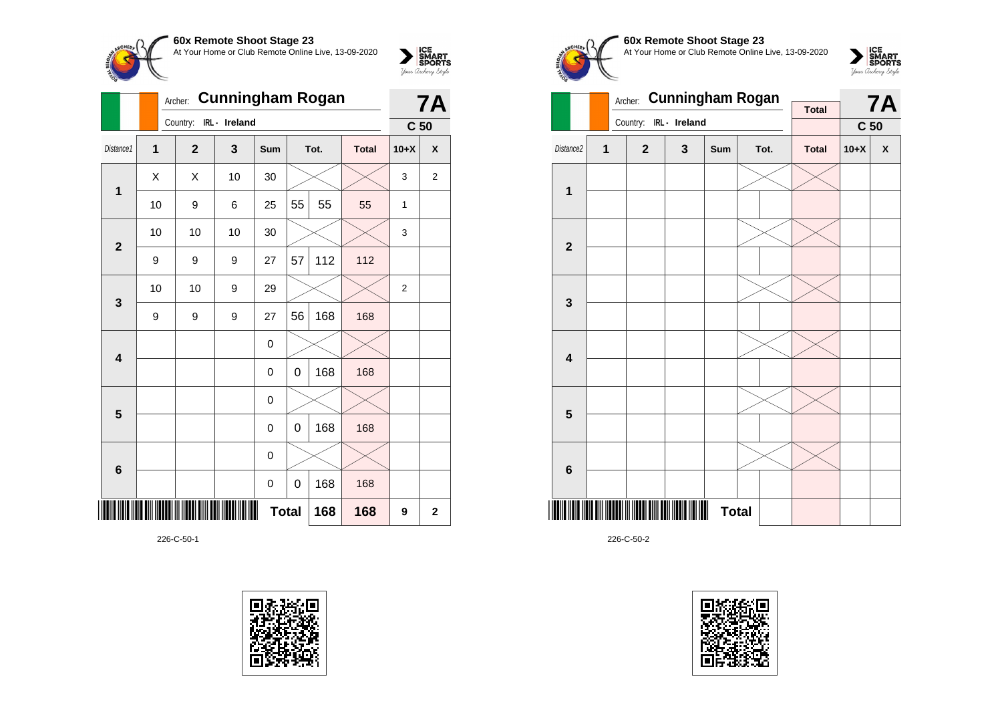

|                         |                | <b>Cunningham Rogan</b><br>Archer: |               |             | <b>7A</b> |      |              |                 |                         |
|-------------------------|----------------|------------------------------------|---------------|-------------|-----------|------|--------------|-----------------|-------------------------|
|                         |                | Country:                           | IRL - Ireland |             |           |      |              | C <sub>50</sub> |                         |
| Distance1               | $\overline{1}$ | $\overline{2}$                     | 3             | <b>Sum</b>  |           | Tot. | <b>Total</b> | $10+X$          | $\pmb{\mathsf{X}}$      |
| $\mathbf 1$             | X              | Χ                                  | 10            | 30          |           |      |              | 3               | $\overline{\mathbf{c}}$ |
|                         | 10             | 9                                  | 6             | 25          | 55        | 55   | 55           | 1               |                         |
| $\overline{2}$          | 10             | 10                                 | 10            | 30          |           |      |              | 3               |                         |
|                         | 9              | 9                                  | 9             | 27          | 57        | 112  | 112          |                 |                         |
| $\mathbf{3}$            | 10             | 10                                 | 9             | 29          |           |      |              | $\overline{2}$  |                         |
|                         | 9              | 9                                  | 9             | 27          | 56        | 168  | 168          |                 |                         |
| $\overline{\mathbf{4}}$ |                |                                    |               | 0           |           |      |              |                 |                         |
|                         |                |                                    |               | 0           | 0         | 168  | 168          |                 |                         |
| $5\phantom{1}$          |                |                                    |               | 0           |           |      |              |                 |                         |
|                         |                |                                    |               | 0           | 0         | 168  | 168          |                 |                         |
| $\bf 6$                 |                |                                    |               | 0           |           |      |              |                 |                         |
|                         |                | 168<br>168<br>0<br>0               |               |             |           |      |              |                 |                         |
|                         |                |                                    | 9             | $\mathbf 2$ |           |      |              |                 |                         |

226-C-50-1









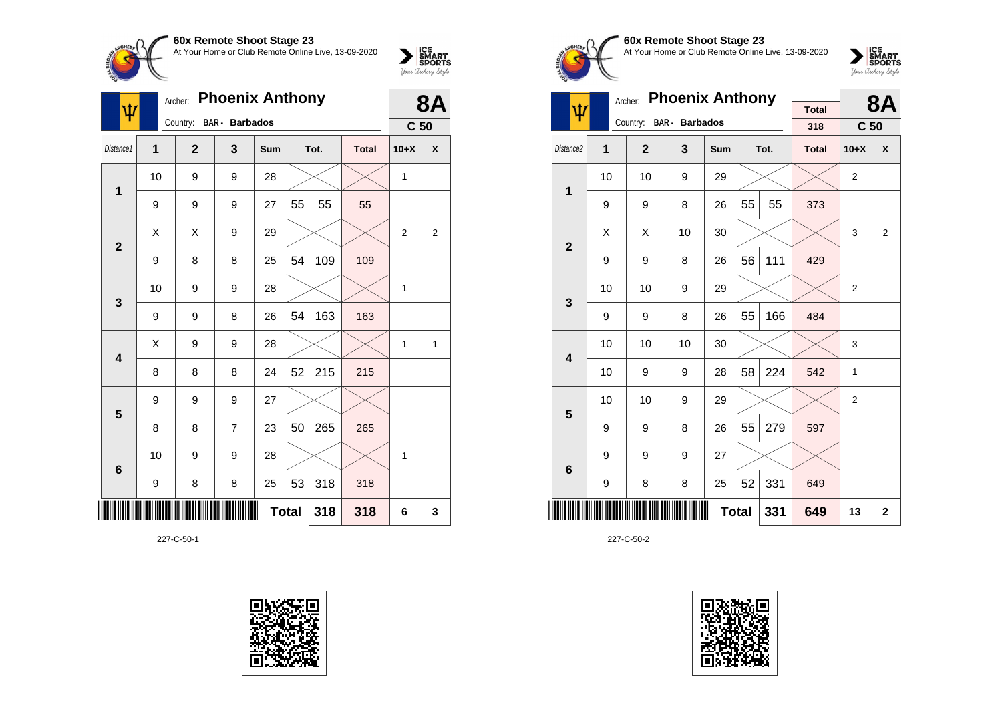

| ψ               | Archer: |                | <b>8A</b>             |     |              |      |              |                 |                |
|-----------------|---------|----------------|-----------------------|-----|--------------|------|--------------|-----------------|----------------|
|                 |         | Country:       | <b>BAR</b> - Barbados |     |              |      |              | C <sub>50</sub> |                |
| Distance1       | 1       | $\overline{2}$ | 3                     | Sum |              | Tot. | <b>Total</b> | $10+X$          | X              |
| 1               | 10      | 9              | 9                     | 28  |              |      |              | 1               |                |
|                 | 9       | 9              | 9                     | 27  | 55           | 55   | 55           |                 |                |
| $\mathbf{2}$    | X       | X              | 9                     | 29  |              |      |              | $\overline{2}$  | $\overline{2}$ |
|                 | 9       | 8              | 8                     | 25  | 54           | 109  | 109          |                 |                |
| 3               | 10      | 9              | 9                     | 28  |              |      |              | 1               |                |
|                 | 9       | 9              | 8                     | 26  | 54           | 163  | 163          |                 |                |
| 4               | X       | 9              | 9                     | 28  |              |      |              | $\mathbf{1}$    | 1              |
|                 | 8       | 8              | 8                     | 24  | 52           | 215  | 215          |                 |                |
| 5               | 9       | 9              | 9                     | 27  |              |      |              |                 |                |
|                 | 8       | 8              | $\overline{7}$        | 23  | 50           | 265  | 265          |                 |                |
| $6\phantom{1}6$ | 10      | 9              | 9                     | 28  |              |      |              | 1               |                |
|                 | 9       | 8              | 8                     | 25  | 53           | 318  | 318          |                 |                |
|                 |         |                |                       |     | <b>Total</b> | 318  | 318          | 6               | 3              |

227-C-50-1





**60x Remote Shoot Stage 23** At Your Home or Club Remote Online Live, 13-09-2020



|                         |    | Archer:      | <b>Phoenix Anthony</b> | <b>Total</b> |              | <b>8A</b> |              |                  |                |
|-------------------------|----|--------------|------------------------|--------------|--------------|-----------|--------------|------------------|----------------|
| ψ                       |    | Country:     | BAR - Barbados         |              |              |           | 318          | C <sub>50</sub>  |                |
| Distance <sub>2</sub>   | 1  | $\mathbf{2}$ | 3                      | Sum          |              | Tot.      | <b>Total</b> | $10+X$           | X              |
| 1                       | 10 | 10           | 9                      | 29           |              |           |              | $\boldsymbol{2}$ |                |
|                         | 9  | 9            | 8                      | 26           | 55           | 55        | 373          |                  |                |
| $\overline{2}$          | X  | X            | 10                     | 30           |              |           |              | 3                | $\overline{2}$ |
|                         | 9  | 9            | 8                      | 26           | 56           | 111       | 429          |                  |                |
| 3                       | 10 | 10           | 9                      | 29           |              |           |              | $\overline{2}$   |                |
|                         | 9  | 9            | 8                      | 26           | 55           | 166       | 484          |                  |                |
| $\overline{\mathbf{4}}$ | 10 | 10           | 10                     | 30           |              |           |              | 3                |                |
|                         | 10 | 9            | 9                      | 28           | 58           | 224       | 542          | 1                |                |
| 5                       | 10 | 10           | 9                      | 29           |              |           |              | $\overline{2}$   |                |
|                         | 9  | 9            | 8                      | 26           | 55           | 279       | 597          |                  |                |
| 6                       | 9  | 9            | 9                      | 27           |              |           |              |                  |                |
|                         | 9  | 8            | 8                      | 25           | 52           | 331       | 649          |                  |                |
|                         |    |              |                        |              | <b>Total</b> | 331       | 649          | 13               | $\overline{2}$ |

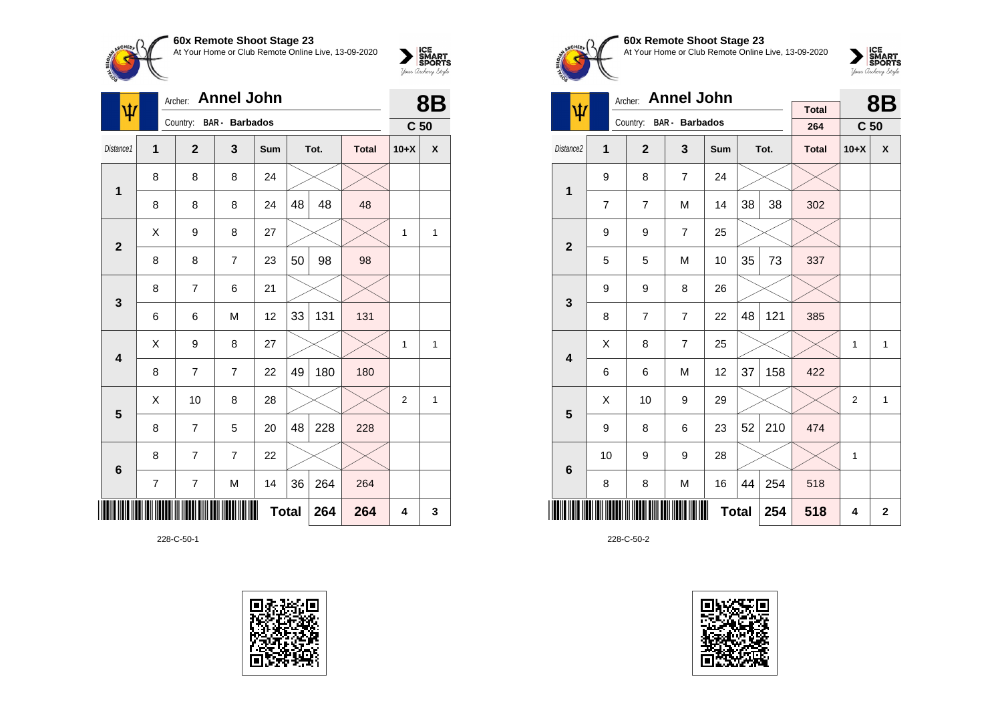

| ۱ħ                      | Archer: Annel John |                | 8Β                      |     |              |      |              |                 |   |
|-------------------------|--------------------|----------------|-------------------------|-----|--------------|------|--------------|-----------------|---|
|                         |                    |                | Country: BAR - Barbados |     |              |      |              | C <sub>50</sub> |   |
| Distance1               | $\mathbf{1}$       | $\overline{2}$ | 3                       | Sum |              | Tot. | <b>Total</b> | $10+X$          | χ |
| 1                       | 8                  | 8              | 8                       | 24  |              |      |              |                 |   |
|                         | 8                  | 8              | 8                       | 24  | 48           | 48   | 48           |                 |   |
| $\overline{2}$          | X                  | 9              | 8                       | 27  |              |      |              | 1               | 1 |
|                         | 8                  | 8              | $\overline{7}$          | 23  | 50           | 98   | 98           |                 |   |
| $\mathbf{3}$            | 8                  | 7              | 6                       | 21  |              |      |              |                 |   |
|                         | 6                  | 6              | M                       | 12  | 33           | 131  | 131          |                 |   |
| $\overline{\mathbf{4}}$ | X                  | 9              | 8                       | 27  |              |      |              | 1               | 1 |
|                         | 8                  | $\overline{7}$ | 7                       | 22  | 49           | 180  | 180          |                 |   |
| 5                       | Χ                  | 10             | 8                       | 28  |              |      |              | 2               | 1 |
|                         | 8                  | 7              | 5                       | 20  | 48           | 228  | 228          |                 |   |
| $6\phantom{1}6$         | 8                  | 7              | $\overline{7}$          | 22  |              |      |              |                 |   |
|                         | 7                  | $\overline{7}$ | M                       | 14  | 36           | 264  | 264          |                 |   |
| ║║║                     |                    |                |                         |     | <b>Total</b> | 264  | 264          | 4               | 3 |

228-C-50-1





**60x Remote Shoot Stage 23** At Your Home or Club Remote Online Live, 13-09-2020

 $\sum_{\text{Jour Theory } \text{Styds}}\begin{cases} \text{ICE} \\ \text{SDORTS} \\ \text{SPORTS} \end{cases}$ 

|                         |    | <b>Annel John</b><br>Archer: |                         |              |    | <b>8B</b> |                     |                 |                    |
|-------------------------|----|------------------------------|-------------------------|--------------|----|-----------|---------------------|-----------------|--------------------|
| $\pmb{\psi}$            |    |                              | Country: BAR - Barbados |              |    |           | <b>Total</b><br>264 | C <sub>50</sub> |                    |
| Distance <sub>2</sub>   | 1  | $\overline{2}$               | $\mathbf{3}$            | Sum          |    | Tot.      | <b>Total</b>        | $10+X$          | $\pmb{\mathsf{X}}$ |
| 1                       | 9  | 8                            | $\overline{7}$          | 24           |    |           |                     |                 |                    |
|                         | 7  | 7                            | M                       | 14           | 38 | 38        | 302                 |                 |                    |
| $\overline{2}$          | 9  | 9                            | $\overline{7}$          | 25           |    |           |                     |                 |                    |
|                         | 5  | 5                            | M                       | 10           | 35 | 73        | 337                 |                 |                    |
| 3                       | 9  | 9                            | 8                       | 26           |    |           |                     |                 |                    |
|                         | 8  | 7                            | $\overline{7}$          | 22           | 48 | 121       | 385                 |                 |                    |
| $\overline{\mathbf{4}}$ | X  | 8                            | $\overline{7}$          | 25           |    |           |                     | 1               | 1                  |
|                         | 6  | 6                            | M                       | 12           | 37 | 158       | 422                 |                 |                    |
| 5                       | X  | 10                           | 9                       | 29           |    |           |                     | $\overline{2}$  | $\mathbf{1}$       |
|                         | 9  | 8                            | 6                       | 23           | 52 | 210       | 474                 |                 |                    |
| 6                       | 10 | 9                            | 9                       | 28           |    |           |                     | 1               |                    |
|                         | 8  | 8                            | M                       | 16           | 44 | 254       | 518                 |                 |                    |
|                         |    |                              |                         | <b>Total</b> |    | 254       | 518                 | 4               | $\mathbf{2}$       |

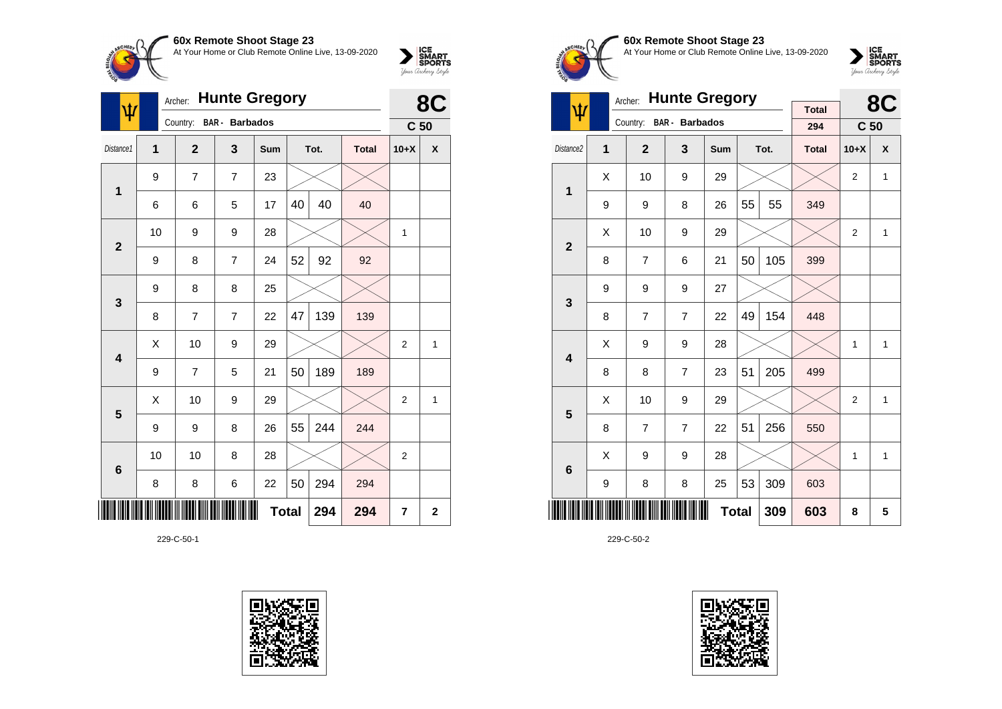

| ۱ħ                      | Archer: |                | 8C                    |              |    |      |              |                 |                    |
|-------------------------|---------|----------------|-----------------------|--------------|----|------|--------------|-----------------|--------------------|
|                         |         | Country:       | <b>BAR</b> - Barbados |              |    |      |              | C <sub>50</sub> |                    |
| Distance1               | 1       | $\overline{2}$ | 3                     | Sum          |    | Tot. | <b>Total</b> | $10+X$          | $\pmb{\mathsf{X}}$ |
| 1                       | 9       | 7              | $\overline{7}$        | 23           |    |      |              |                 |                    |
|                         | 6       | 6              | 5                     | 17           | 40 | 40   | 40           |                 |                    |
| $\overline{2}$          | 10      | 9              | 9                     | 28           |    |      |              | $\mathbf{1}$    |                    |
|                         | 9       | 8              | $\overline{7}$        | 24           | 52 | 92   | 92           |                 |                    |
| $\mathbf{3}$            | 9       | 8              | 8                     | 25           |    |      |              |                 |                    |
|                         | 8       | $\overline{7}$ | $\overline{7}$        | 22           | 47 | 139  | 139          |                 |                    |
| $\overline{\mathbf{4}}$ | Χ       | 10             | 9                     | 29           |    |      |              | $\overline{2}$  | 1                  |
|                         | 9       | $\overline{7}$ | 5                     | 21           | 50 | 189  | 189          |                 |                    |
| 5                       | Χ       | 10             | 9                     | 29           |    |      |              | $\overline{2}$  | 1                  |
|                         | 9       | 9              | 8                     | 26           | 55 | 244  | 244          |                 |                    |
| $6\phantom{1}6$         | 10      | 10             | 8                     | 28           |    |      |              | $\overline{2}$  |                    |
|                         | 8       | 8              | 6                     | 22           | 50 | 294  | 294          |                 |                    |
|                         |         |                |                       | <b>Total</b> |    | 294  | 294          | $\overline{7}$  | $\mathbf{2}$       |

229-C-50-1





**60x Remote Shoot Stage 23** At Your Home or Club Remote Online Live, 13-09-2020



|                         |   | <b>Hunte Gregory</b><br>Archer: |                |              |    | 8C   |                     |                 |              |
|-------------------------|---|---------------------------------|----------------|--------------|----|------|---------------------|-----------------|--------------|
| ψ                       |   | Country:                        | BAR - Barbados |              |    |      | <b>Total</b><br>294 | C <sub>50</sub> |              |
| Distance <sub>2</sub>   | 1 | $\overline{2}$                  | 3              | Sum          |    | Tot. | <b>Total</b>        | $10+X$          | X            |
| 1                       | X | 10                              | 9              | 29           |    |      |                     | $\overline{2}$  | $\mathbf{1}$ |
|                         | 9 | 9                               | 8              | 26           | 55 | 55   | 349                 |                 |              |
| $\overline{2}$          | Χ | 10                              | 9              | 29           |    |      |                     | $\overline{2}$  | 1            |
|                         | 8 | $\overline{7}$                  | 6              | 21           | 50 | 105  | 399                 |                 |              |
| 3                       | 9 | 9                               | 9              | 27           |    |      |                     |                 |              |
|                         | 8 | $\overline{7}$                  | $\overline{7}$ | 22           | 49 | 154  | 448                 |                 |              |
| $\overline{\mathbf{4}}$ | Χ | 9                               | 9              | 28           |    |      |                     | 1               | 1            |
|                         | 8 | 8                               | $\overline{7}$ | 23           | 51 | 205  | 499                 |                 |              |
| 5                       | X | 10                              | 9              | 29           |    |      |                     | $\overline{2}$  | $\mathbf{1}$ |
|                         | 8 | $\overline{7}$                  | $\overline{7}$ | 22           | 51 | 256  | 550                 |                 |              |
| $6\phantom{1}6$         | X | 9                               | 9              | 28           |    |      |                     | 1               | 1            |
|                         | 9 | 8                               | 8              | 25           | 53 | 309  | 603                 |                 |              |
|                         |   |                                 |                | <b>Total</b> |    | 309  | 603                 | 8               | 5            |

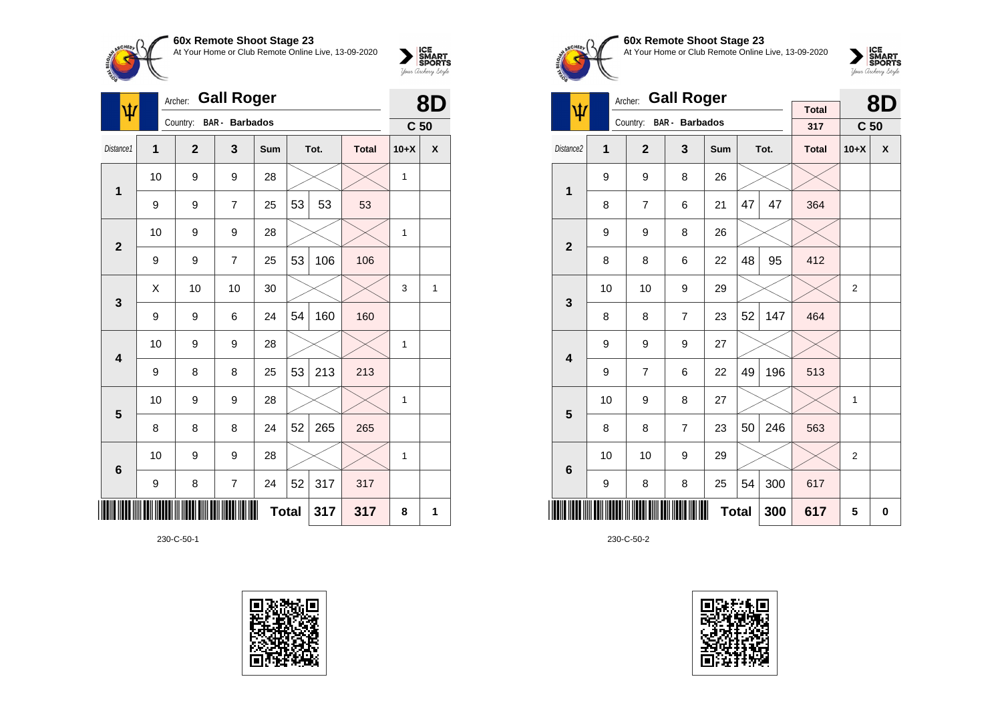

| $\hat{\mathbf{\Psi}}$   | Archer:      |                | 8D                    |              |    |      |              |                 |                    |
|-------------------------|--------------|----------------|-----------------------|--------------|----|------|--------------|-----------------|--------------------|
|                         |              | Country:       | <b>BAR</b> - Barbados |              |    |      |              | C <sub>50</sub> |                    |
| Distance1               | $\mathbf{1}$ | $\overline{2}$ | 3                     | Sum          |    | Tot. | <b>Total</b> | $10+X$          | $\pmb{\mathsf{X}}$ |
| 1                       | 10           | 9              | 9                     | 28           |    |      |              | 1               |                    |
|                         | 9            | 9              | $\overline{7}$        | 25           | 53 | 53   | 53           |                 |                    |
| $\overline{2}$          | 10           | 9              | 9                     | 28           |    |      |              | $\mathbf{1}$    |                    |
|                         | 9            | 9              | $\overline{7}$        | 25           | 53 | 106  | 106          |                 |                    |
| $\mathbf{3}$            | X            | 10             | 10                    | 30           |    |      |              | 3               | 1                  |
|                         | 9            | 9              | 6                     | 24           | 54 | 160  | 160          |                 |                    |
| $\overline{\mathbf{4}}$ | 10           | 9              | 9                     | 28           |    |      |              | 1               |                    |
|                         | 9            | 8              | 8                     | 25           | 53 | 213  | 213          |                 |                    |
| $\overline{\mathbf{5}}$ | 10           | 9              | 9                     | 28           |    |      |              | 1               |                    |
|                         | 8            | 8              | 8                     | 24           | 52 | 265  | 265          |                 |                    |
| $6\phantom{1}6$         | 10           | 9              | 9                     | 28           |    |      |              | 1               |                    |
|                         | 9            | 8              | $\overline{7}$        | 24           | 52 | 317  | 317          |                 |                    |
|                         |              |                |                       | <b>Total</b> |    | 317  | 317          | 8               | 1                  |

230-C-50-1





## **60x Remote Shoot Stage 23** At Your Home or Club Remote Online Live, 13-09-2020



|                         |    | <b>Gall Roger</b><br>Archer: |                       |              |    | 8D   |                     |                 |                    |
|-------------------------|----|------------------------------|-----------------------|--------------|----|------|---------------------|-----------------|--------------------|
| ψ                       |    | Country:                     | <b>BAR</b> - Barbados |              |    |      | <b>Total</b><br>317 | C <sub>50</sub> |                    |
| Distance <sub>2</sub>   | 1  | $\overline{2}$               | 3                     | Sum          |    | Tot. | <b>Total</b>        | $10+X$          | $\pmb{\mathsf{X}}$ |
| 1                       | 9  | 9                            | 8                     | 26           |    |      |                     |                 |                    |
|                         | 8  | $\overline{7}$               | 6                     | 21           | 47 | 47   | 364                 |                 |                    |
| $\overline{2}$          | 9  | 9                            | 8                     | 26           |    |      |                     |                 |                    |
|                         | 8  | 8                            | 6                     | 22           | 48 | 95   | 412                 |                 |                    |
| 3                       | 10 | 10                           | 9                     | 29           |    |      |                     | $\overline{2}$  |                    |
|                         | 8  | 8                            | $\overline{7}$        | 23           | 52 | 147  | 464                 |                 |                    |
| $\overline{\mathbf{4}}$ | 9  | 9                            | 9                     | 27           |    |      |                     |                 |                    |
|                         | 9  | $\overline{7}$               | 6                     | 22           | 49 | 196  | 513                 |                 |                    |
| 5                       | 10 | 9                            | 8                     | 27           |    |      |                     | 1               |                    |
|                         | 8  | 8                            | $\overline{7}$        | 23           | 50 | 246  | 563                 |                 |                    |
| $6\phantom{1}6$         | 10 | 10                           | 9                     | 29           |    |      |                     | $\overline{2}$  |                    |
|                         | 9  | 8                            | 8                     | 25           | 54 | 300  | 617                 |                 |                    |
|                         |    |                              |                       | <b>Total</b> |    | 300  | 617                 | 5               | 0                  |

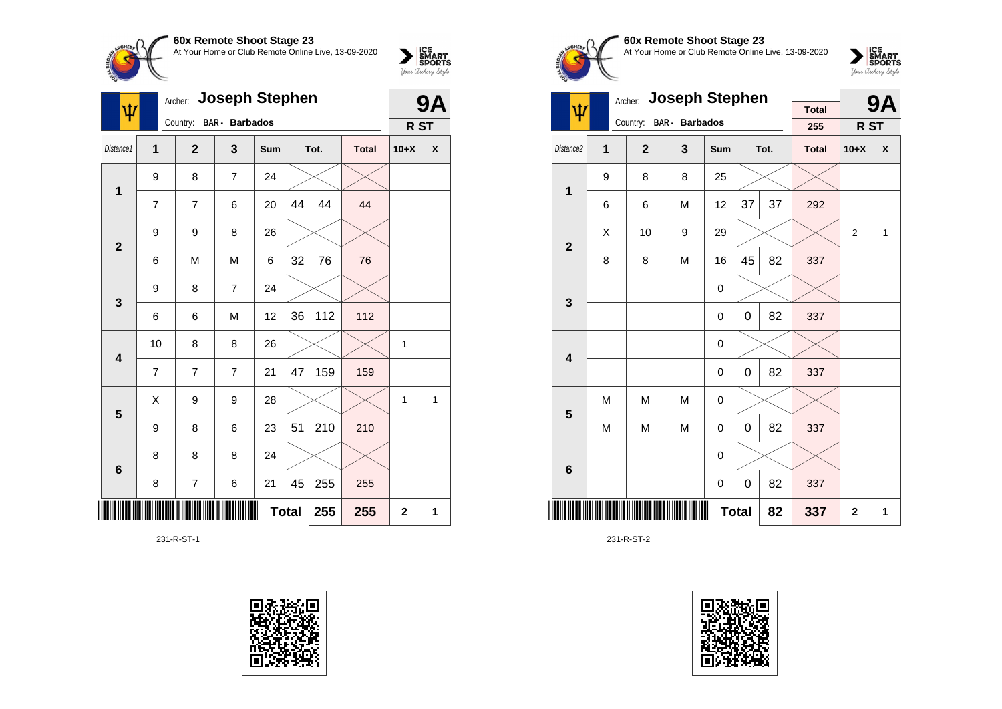

| Ŵ               | Archer:        |                | 9Α                    |              |    |      |              |                 |   |
|-----------------|----------------|----------------|-----------------------|--------------|----|------|--------------|-----------------|---|
|                 |                | Country:       | <b>BAR</b> - Barbados |              |    |      |              | R <sub>ST</sub> |   |
| Distance1       | 1              | $\mathbf{2}$   | 3                     | Sum          |    | Tot. | <b>Total</b> | $10+X$          | X |
|                 | 9              | 8              | $\overline{7}$        | 24           |    |      |              |                 |   |
| 1               | $\overline{7}$ | 7              | 6                     | 20           | 44 | 44   | 44           |                 |   |
| $\mathbf{2}$    | 9              | 9              | 8                     | 26           |    |      |              |                 |   |
|                 | 6              | M              | M                     | 6            | 32 | 76   | 76           |                 |   |
| 3               | 9              | 8              | $\overline{7}$        | 24           |    |      |              |                 |   |
|                 | 6              | 6              | M                     | 12           | 36 | 112  | 112          |                 |   |
| 4               | 10             | 8              | 8                     | 26           |    |      |              | 1               |   |
|                 | $\overline{7}$ | 7              | $\overline{7}$        | 21           | 47 | 159  | 159          |                 |   |
| 5               | X              | 9              | 9                     | 28           |    |      |              | $\mathbf{1}$    | 1 |
|                 | 9              | 8              | 6                     | 23           | 51 | 210  | 210          |                 |   |
| $6\phantom{1}6$ | 8              | 8              | 8                     | 24           |    |      |              |                 |   |
|                 | 8              | $\overline{7}$ | 6                     | 21           | 45 | 255  | 255          |                 |   |
|                 |                |                |                       | <b>Total</b> |    | 255  | 255          | $\mathbf 2$     | 1 |

231-R-ST-1





**60x Remote Shoot Stage 23** At Your Home or Club Remote Online Live, 13-09-2020

 $\sum_{\text{your }\text{Order}}\begin{matrix}\n\text{ICE} \\
\text{SDORTS} \\
\text{Jour }\text{Ordery }\text{Style}\n\end{matrix}$ 

|                         | Archer: | <b>Joseph Stephen</b> |                |              | <b>9A</b> |      |                     |                |   |
|-------------------------|---------|-----------------------|----------------|--------------|-----------|------|---------------------|----------------|---|
| ψ                       |         | Country:              | BAR - Barbados |              |           |      | <b>Total</b><br>255 | R ST           |   |
|                         |         |                       |                |              |           |      |                     |                |   |
| Distance <sub>2</sub>   | 1       | $\overline{2}$        | 3              | <b>Sum</b>   |           | Tot. | <b>Total</b>        | $10+X$         | X |
| 1                       | 9       | 8                     | 8              | 25           |           |      |                     |                |   |
|                         | 6       | 6                     | M              | 12           | 37        | 37   | 292                 |                |   |
| $\overline{\mathbf{2}}$ | X       | 10                    | 9              | 29           |           |      |                     | $\overline{2}$ | 1 |
|                         | 8       | 8                     | M              | 16           | 45        | 82   | 337                 |                |   |
| 3                       |         |                       |                | 0            |           |      |                     |                |   |
|                         |         |                       |                | 0            | 0         | 82   | 337                 |                |   |
| $\overline{\mathbf{4}}$ |         |                       |                | 0            |           |      |                     |                |   |
|                         |         |                       |                | 0            | 0         | 82   | 337                 |                |   |
| 5                       | M       | M                     | M              | 0            |           |      |                     |                |   |
|                         | M       | M                     | M              | 0            | 0         | 82   | 337                 |                |   |
| $\bf 6$                 |         |                       |                | $\mathbf 0$  |           |      |                     |                |   |
|                         |         |                       |                | 0            | 0         | 82   | 337                 |                |   |
|                         |         |                       |                | <b>Total</b> |           | 82   | 337                 | $\mathbf{2}$   | 1 |

231-R-ST-2

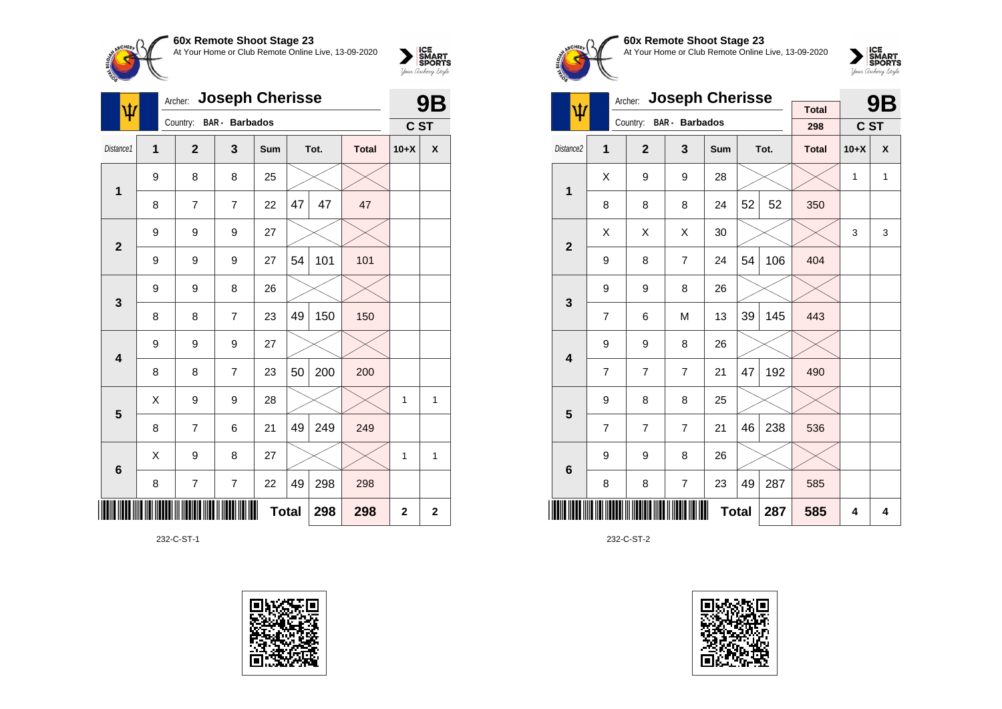

| ψ                       | <b>Joseph Cherisse</b><br>Archer: |                         |                |              |    |      |              | 9Β           |                |
|-------------------------|-----------------------------------|-------------------------|----------------|--------------|----|------|--------------|--------------|----------------|
|                         |                                   | Country: BAR - Barbados |                |              |    |      |              | C ST         |                |
| Distance1               | 1                                 | $\mathbf{2}$            | 3              | Sum          |    | Tot. | <b>Total</b> | $10+X$       | X              |
| 1                       | 9                                 | 8                       | 8              | 25           |    |      |              |              |                |
|                         | 8                                 | 7                       | $\overline{7}$ | 22           | 47 | 47   | 47           |              |                |
| $\mathbf{2}$            | 9                                 | 9                       | 9              | 27           |    |      |              |              |                |
|                         | 9                                 | 9                       | 9              | 27           | 54 | 101  | 101          |              |                |
| 3                       | 9                                 | 9                       | 8              | 26           |    |      |              |              |                |
|                         | 8                                 | 8                       | $\overline{7}$ | 23           | 49 | 150  | 150          |              |                |
| $\overline{\mathbf{4}}$ | 9                                 | 9                       | 9              | 27           |    |      |              |              |                |
|                         | 8                                 | 8                       | $\overline{7}$ | 23           | 50 | 200  | 200          |              |                |
| 5                       | X                                 | 9                       | 9              | 28           |    |      |              | 1            | 1              |
|                         | 8                                 | $\overline{7}$          | 6              | 21           | 49 | 249  | 249          |              |                |
| $6\phantom{1}6$         | Χ                                 | 9                       | 8              | 27           |    |      |              | 1            | 1              |
|                         | 8                                 | 7                       | $\overline{7}$ | 22           | 49 | 298  | 298          |              |                |
| ║║║                     |                                   |                         |                | <b>Total</b> |    | 298  | 298          | $\mathbf{2}$ | $\overline{2}$ |

232-C-ST-1





**60x Remote Shoot Stage 23** At Your Home or Club Remote Online Live, 13-09-2020



|                         | <b>Joseph Cherisse</b><br>Archer: |                |                       |              |    |      |                     |        | <b>9B</b> |
|-------------------------|-----------------------------------|----------------|-----------------------|--------------|----|------|---------------------|--------|-----------|
| ψ                       |                                   | Country:       | <b>BAR</b> - Barbados |              |    |      | <b>Total</b><br>298 | C ST   |           |
| Distance2               | 1                                 | $\mathbf{2}$   | 3                     | Sum          |    | Tot. | <b>Total</b>        | $10+X$ | X         |
| 1                       | Χ                                 | 9              | 9                     | 28           |    |      |                     | 1      | 1         |
|                         | 8                                 | 8              | 8                     | 24           | 52 | 52   | 350                 |        |           |
| $\overline{2}$          | X                                 | X              | X                     | 30           |    |      |                     | 3      | 3         |
|                         | 9                                 | 8              | $\overline{7}$        | 24           | 54 | 106  | 404                 |        |           |
| 3                       | 9                                 | 9              | 8                     | 26           |    |      |                     |        |           |
|                         | $\overline{7}$                    | 6              | M                     | 13           | 39 | 145  | 443                 |        |           |
| $\overline{\mathbf{4}}$ | 9                                 | 9              | 8                     | 26           |    |      |                     |        |           |
|                         | $\overline{7}$                    | $\overline{7}$ | $\overline{7}$        | 21           | 47 | 192  | 490                 |        |           |
| 5                       | 9                                 | 8              | 8                     | 25           |    |      |                     |        |           |
|                         | $\overline{7}$                    | $\overline{7}$ | $\overline{7}$        | 21           | 46 | 238  | 536                 |        |           |
| $6\phantom{1}6$         | 9                                 | 9              | 8                     | 26           |    |      |                     |        |           |
|                         | 8                                 | 8              | $\overline{7}$        | 23           | 49 | 287  | 585                 |        |           |
|                         |                                   |                |                       | <b>Total</b> |    | 287  | 585                 | 4      | 4         |

232-C-ST-2

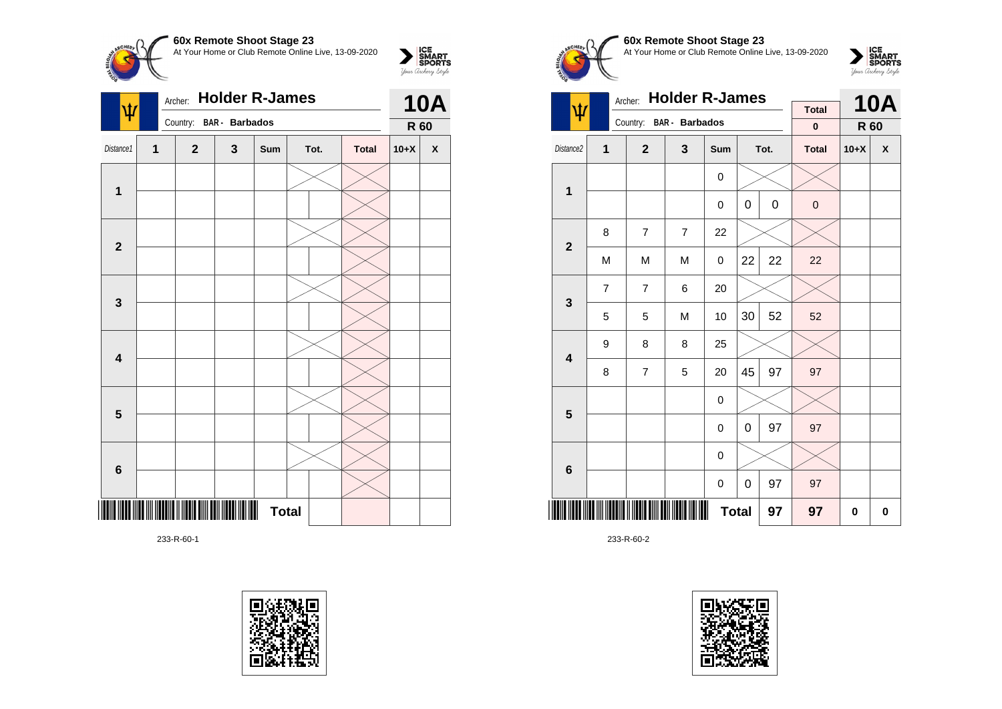

|                         |   | Archer: Holder R-James  |   |              | <b>10A</b> |              |        |                    |
|-------------------------|---|-------------------------|---|--------------|------------|--------------|--------|--------------------|
|                         |   | Country: BAR - Barbados |   |              |            |              | R 60   |                    |
| Distance1               | 1 | $\mathbf{2}$            | 3 | Sum          | Tot.       | <b>Total</b> | $10+X$ | $\pmb{\mathsf{X}}$ |
|                         |   |                         |   |              |            |              |        |                    |
| 1                       |   |                         |   |              |            |              |        |                    |
|                         |   |                         |   |              |            |              |        |                    |
| $\overline{\mathbf{2}}$ |   |                         |   |              |            |              |        |                    |
|                         |   |                         |   |              |            |              |        |                    |
| $\mathbf{3}$            |   |                         |   |              |            |              |        |                    |
|                         |   |                         |   |              |            |              |        |                    |
| $\overline{\mathbf{4}}$ |   |                         |   |              |            |              |        |                    |
|                         |   |                         |   |              |            |              |        |                    |
| $\overline{\mathbf{5}}$ |   |                         |   |              |            |              |        |                    |
|                         |   |                         |   |              |            |              |        |                    |
| $\bf 6$                 |   |                         |   |              |            |              |        |                    |
|                         |   |                         |   | <b>Total</b> |            |              |        |                    |

233-R-60-1





# **60x Remote Shoot Stage 23** At Your Home or Club Remote Online Live, 13-09-2020



| <b>Holder R-James</b><br>Archer: |                |                |                         |                  |      |             | <b>Total</b> |        | <b>10A</b> |
|----------------------------------|----------------|----------------|-------------------------|------------------|------|-------------|--------------|--------|------------|
| ψ                                |                |                | Country: BAR - Barbados |                  |      |             | $\bf{0}$     | R 60   |            |
| Distance2                        | 1              | $\overline{2}$ | 3                       | Sum              | Tot. |             | <b>Total</b> | $10+X$ | X          |
| 1                                |                |                |                         | 0                |      |             |              |        |            |
|                                  |                |                |                         | $\mathbf 0$      | 0    | $\mathsf 0$ | $\mathbf 0$  |        |            |
| $\overline{2}$                   | 8              | $\overline{7}$ | $\overline{7}$          | 22               |      |             |              |        |            |
|                                  | M              | M              | M                       | 0                | 22   | 22          | 22           |        |            |
| 3                                | $\overline{7}$ | $\overline{7}$ | 6                       | 20               |      |             |              |        |            |
|                                  | 5              | 5              | M                       | 10               | 30   | 52          | 52           |        |            |
| $\overline{\mathbf{4}}$          | 9              | 8              | 8                       | 25               |      |             |              |        |            |
|                                  | 8              | $\overline{7}$ | 5                       | 20               | 45   | 97          | 97           |        |            |
| 5                                |                |                |                         | 0                |      |             |              |        |            |
|                                  |                |                |                         | 0                | 0    | 97          | 97           |        |            |
| $6\phantom{1}$                   |                |                |                         | $\mathbf 0$      |      |             |              |        |            |
|                                  |                |                |                         | $\boldsymbol{0}$ | 0    | 97          | 97           |        |            |
|                                  |                |                |                         | <b>Total</b>     |      | 97          | 97           | 0      | 0          |

233-R-60-2

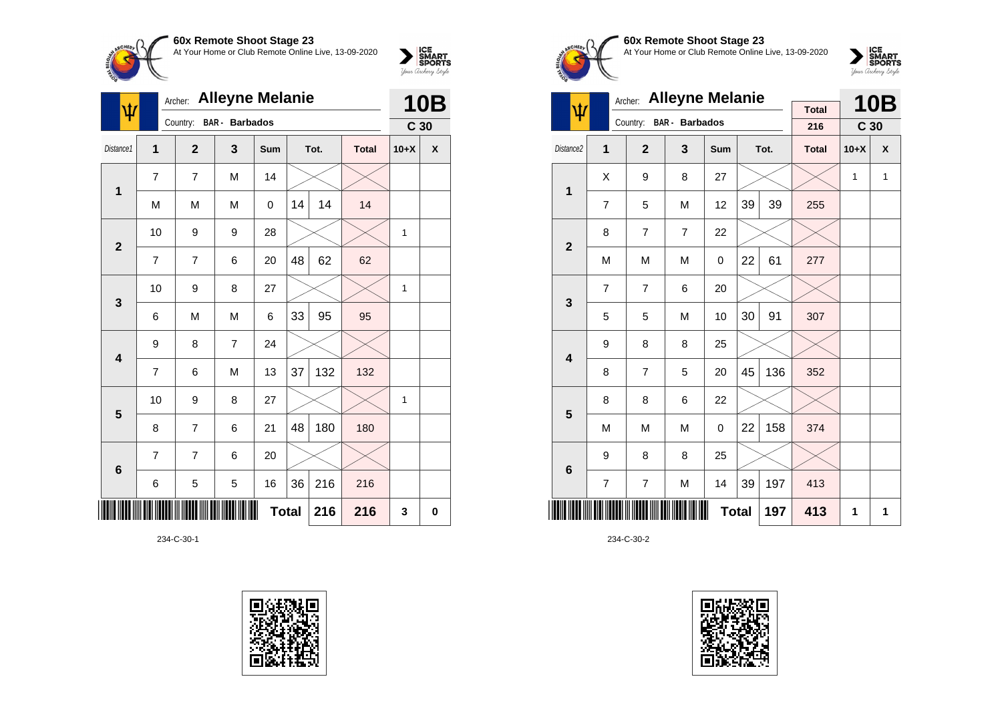

| ψ                       | <b>Alleyne Melanie</b><br>Archer: |                |                       |            |              |      |              | <b>10B</b>      |   |
|-------------------------|-----------------------------------|----------------|-----------------------|------------|--------------|------|--------------|-----------------|---|
|                         |                                   | Country:       | <b>BAR</b> - Barbados |            |              |      |              | C <sub>30</sub> |   |
| Distance1               | 1                                 | $\overline{2}$ | 3                     | <b>Sum</b> |              | Tot. | <b>Total</b> | $10+X$          | X |
| $\mathbf{1}$            | 7                                 | $\overline{7}$ | M                     | 14         |              |      |              |                 |   |
|                         | M                                 | M              | M                     | 0          | 14           | 14   | 14           |                 |   |
| $\mathbf{2}$            | 10                                | 9              | 9                     | 28         |              |      |              | 1               |   |
|                         | 7                                 | 7              | 6                     | 20         | 48           | 62   | 62           |                 |   |
| $\mathbf{3}$            | 10                                | 9              | 8                     | 27         |              |      |              | $\mathbf{1}$    |   |
|                         | 6                                 | M              | M                     | 6          | 33           | 95   | 95           |                 |   |
| $\overline{\mathbf{4}}$ | 9                                 | 8              | $\overline{7}$        | 24         |              |      |              |                 |   |
|                         | 7                                 | 6              | M                     | 13         | 37           | 132  | 132          |                 |   |
| 5                       | 10                                | 9              | 8                     | 27         |              |      |              | 1               |   |
|                         | 8                                 | $\overline{7}$ | 6                     | 21         | 48           | 180  | 180          |                 |   |
| $6\phantom{1}6$         | 7                                 | 7              | 6                     | 20         |              |      |              |                 |   |
|                         | 6                                 | 5              | 5                     | 16         | 36           | 216  | 216          |                 |   |
|                         |                                   |                |                       |            | <b>Total</b> | 216  | 216          | 3               | 0 |

234-C-30-1





**60x Remote Shoot Stage 23** At Your Home or Club Remote Online Live, 13-09-2020



|                         |                | Archer:        | <b>Alleyne Melanie</b>  |              |    |      |              |                 | <b>10B</b> |
|-------------------------|----------------|----------------|-------------------------|--------------|----|------|--------------|-----------------|------------|
| Ψ                       |                |                | Country: BAR - Barbados |              |    |      | <b>Total</b> |                 |            |
|                         |                |                |                         |              |    |      | 216          | C <sub>30</sub> |            |
| Distance2               | 1              | $\mathbf{2}$   | 3                       | Sum          |    | Tot. | <b>Total</b> | $10+X$          | X          |
| 1                       | X              | 9              | 8                       | 27           |    |      |              | 1               | 1          |
|                         | 7              | 5              | M                       | 12           | 39 | 39   | 255          |                 |            |
| $\overline{\mathbf{2}}$ | 8              | $\overline{7}$ | $\overline{7}$          | 22           |    |      |              |                 |            |
|                         | M              | M              | M                       | 0            | 22 | 61   | 277          |                 |            |
| 3                       | $\overline{7}$ | $\overline{7}$ | 6                       | 20           |    |      |              |                 |            |
|                         | 5              | 5              | M                       | 10           | 30 | 91   | 307          |                 |            |
| $\overline{\mathbf{4}}$ | 9              | 8              | 8                       | 25           |    |      |              |                 |            |
|                         | 8              | $\overline{7}$ | 5                       | 20           | 45 | 136  | 352          |                 |            |
| 5                       | 8              | 8              | 6                       | 22           |    |      |              |                 |            |
|                         | M              | M              | M                       | 0            | 22 | 158  | 374          |                 |            |
| $6\phantom{1}6$         | 9              | 8              | 8                       | 25           |    |      |              |                 |            |
|                         | $\overline{7}$ | $\overline{7}$ | M                       | 14           | 39 | 197  | 413          |                 |            |
|                         |                |                |                         | <b>Total</b> |    | 197  | 413          | 1               | 1          |

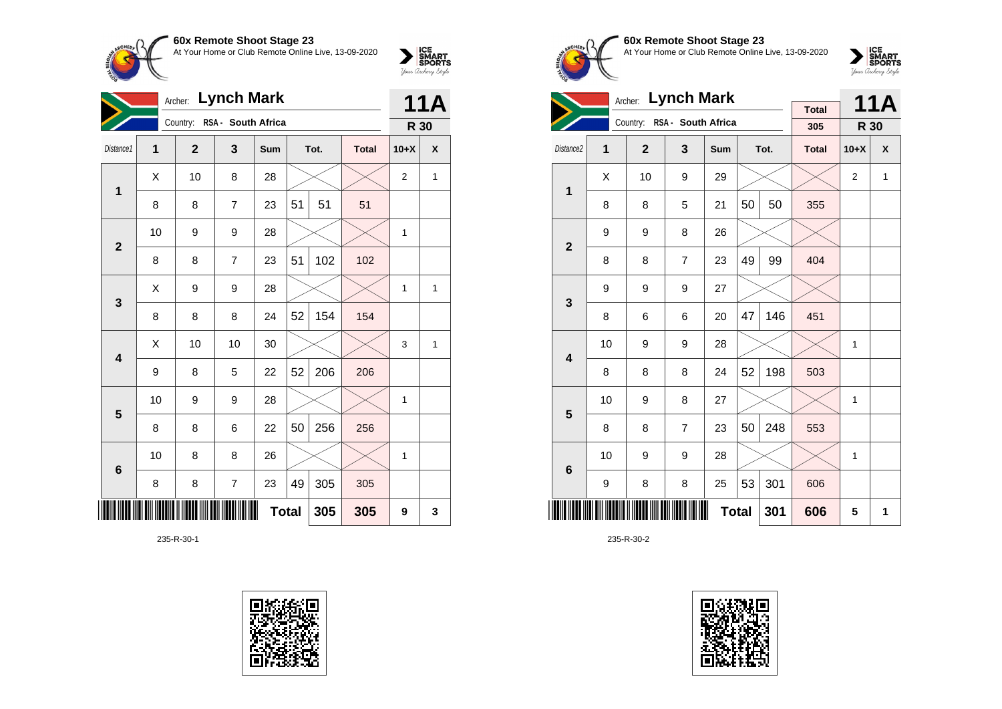

|                         | <b>Lynch Mark</b><br>Archer: |                |                             |              |    |      |              | <b>11A</b>     |              |
|-------------------------|------------------------------|----------------|-----------------------------|--------------|----|------|--------------|----------------|--------------|
|                         |                              |                | Country: RSA - South Africa |              |    |      |              | R 30           |              |
| Distance1               | 1                            | $\overline{2}$ | 3                           | Sum          |    | Tot. | <b>Total</b> | $10+X$         | X            |
| 1                       | X                            | 10             | 8                           | 28           |    |      |              | $\overline{2}$ | $\mathbf{1}$ |
|                         | 8                            | 8              | $\overline{7}$              | 23           | 51 | 51   | 51           |                |              |
| $\mathbf{2}$            | 10                           | 9              | 9                           | 28           |    |      |              | 1              |              |
|                         | 8                            | 8              | $\overline{7}$              | 23           | 51 | 102  | 102          |                |              |
| $\mathbf{3}$            | Χ                            | 9              | 9                           | 28           |    |      |              | 1              | 1            |
|                         | 8                            | 8              | 8                           | 24           | 52 | 154  | 154          |                |              |
| $\overline{\mathbf{4}}$ | X                            | 10             | 10                          | 30           |    |      |              | 3              | 1            |
|                         | 9                            | 8              | 5                           | 22           | 52 | 206  | 206          |                |              |
| $\overline{\mathbf{5}}$ | 10                           | 9              | 9                           | 28           |    |      |              | 1              |              |
|                         | 8                            | 8              | 6                           | 22           | 50 | 256  | 256          |                |              |
| $6\phantom{1}6$         | 10                           | 8              | 8                           | 26           |    |      |              | 1              |              |
|                         | 8                            | 8              | $\overline{7}$              | 23           | 49 | 305  | 305          |                |              |
|                         |                              |                |                             | <b>Total</b> |    | 305  | 305          | 9              | 3            |

235-R-30-1





**60x Remote Shoot Stage 23** At Your Home or Club Remote Online Live, 13-09-2020

 $\sum_{\text{Jour Theory } \text{Styds}}\begin{cases} \text{ICE} \\ \text{SDORTS} \\ \text{SPORTS} \end{cases}$ 

|                         |    | Archer:        | <b>Lynch Mark</b>           |     |              |      |                     |        | <b>11A</b> |
|-------------------------|----|----------------|-----------------------------|-----|--------------|------|---------------------|--------|------------|
|                         |    |                | Country: RSA - South Africa |     |              |      | <b>Total</b><br>305 | R 30   |            |
| Distance <sub>2</sub>   | 1  | $\overline{2}$ | 3                           | Sum |              | Tot. | <b>Total</b>        | $10+X$ | X          |
| 1                       | X  | 10             | 9                           | 29  |              |      |                     | 2      | 1          |
|                         | 8  | 8              | 5                           | 21  | 50           | 50   | 355                 |        |            |
| $\overline{2}$          | 9  | 9              | 8                           | 26  |              |      |                     |        |            |
|                         | 8  | 8              | $\overline{7}$              | 23  | 49           | 99   | 404                 |        |            |
| 3                       | 9  | 9              | 9                           | 27  |              |      |                     |        |            |
|                         | 8  | 6              | 6                           | 20  | 47           | 146  | 451                 |        |            |
| $\overline{\mathbf{4}}$ | 10 | 9              | 9                           | 28  |              |      |                     | 1      |            |
|                         | 8  | 8              | 8                           | 24  | 52           | 198  | 503                 |        |            |
| 5                       | 10 | 9              | 8                           | 27  |              |      |                     | 1      |            |
|                         | 8  | 8              | $\overline{7}$              | 23  | 50           | 248  | 553                 |        |            |
| $\bf 6$                 | 10 | 9              | 9                           | 28  |              |      |                     | 1      |            |
|                         | 9  | 8              | 8                           | 25  | 53           | 301  | 606                 |        |            |
|                         |    |                |                             |     | <b>Total</b> | 301  | 606                 | 5      | 1          |

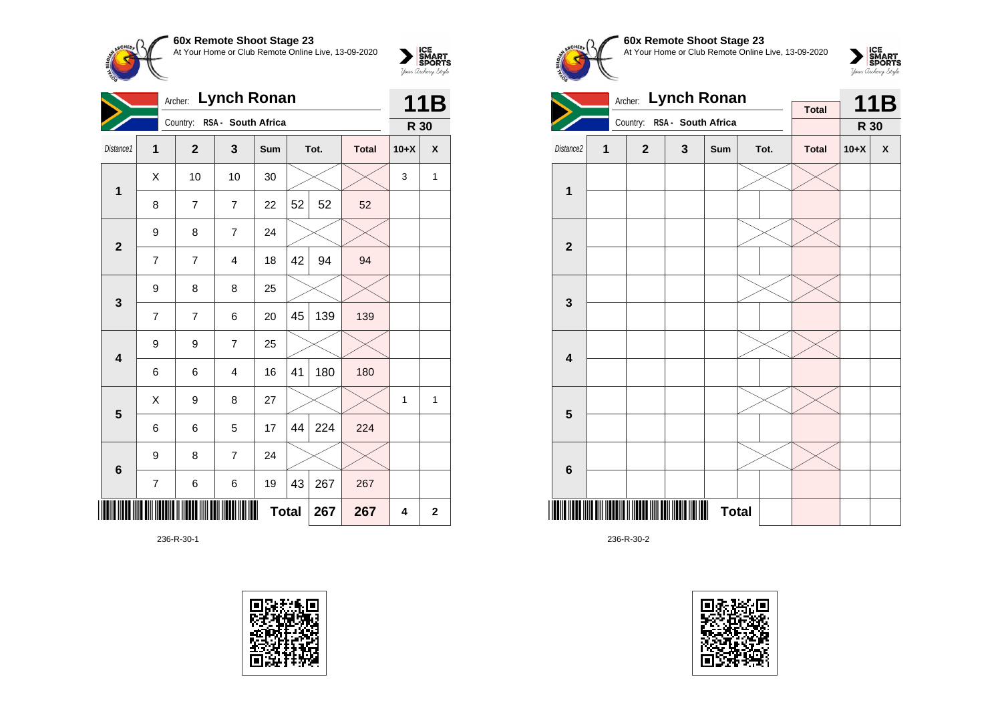

|                         | <b>Lynch Ronan</b><br>Archer: |                             |                         |              |    |      |              | 11B    |              |
|-------------------------|-------------------------------|-----------------------------|-------------------------|--------------|----|------|--------------|--------|--------------|
|                         |                               | Country: RSA - South Africa |                         |              |    |      |              | R 30   |              |
| Distance1               | 1                             | $\overline{2}$              | 3                       | Sum          |    | Tot. | <b>Total</b> | $10+X$ | X            |
| 1                       | Χ                             | 10                          | 10                      | 30           |    |      |              | 3      | 1            |
|                         | 8                             | $\overline{7}$              | $\overline{7}$          | 22           | 52 | 52   | 52           |        |              |
| $\mathbf{2}$            | 9                             | 8                           | $\overline{7}$          | 24           |    |      |              |        |              |
|                         | 7                             | 7                           | $\overline{\mathbf{4}}$ | 18           | 42 | 94   | 94           |        |              |
| $\mathbf{3}$            | 9                             | 8                           | 8                       | 25           |    |      |              |        |              |
|                         | 7                             | 7                           | 6                       | 20           | 45 | 139  | 139          |        |              |
| $\overline{\mathbf{4}}$ | 9                             | 9                           | $\overline{7}$          | 25           |    |      |              |        |              |
|                         | 6                             | 6                           | $\overline{4}$          | 16           | 41 | 180  | 180          |        |              |
| 5                       | X                             | 9                           | 8                       | 27           |    |      |              | 1      | 1            |
|                         | 6                             | 6                           | 5                       | 17           | 44 | 224  | 224          |        |              |
| $6\phantom{1}$          | 9                             | 8                           | $\overline{7}$          | 24           |    |      |              |        |              |
|                         | 7                             | 6                           | 6                       | 19           | 43 | 267  | 267          |        |              |
|                         |                               |                             |                         | <b>Total</b> |    | 267  | 267          | 4      | $\mathbf{2}$ |

236-R-30-1









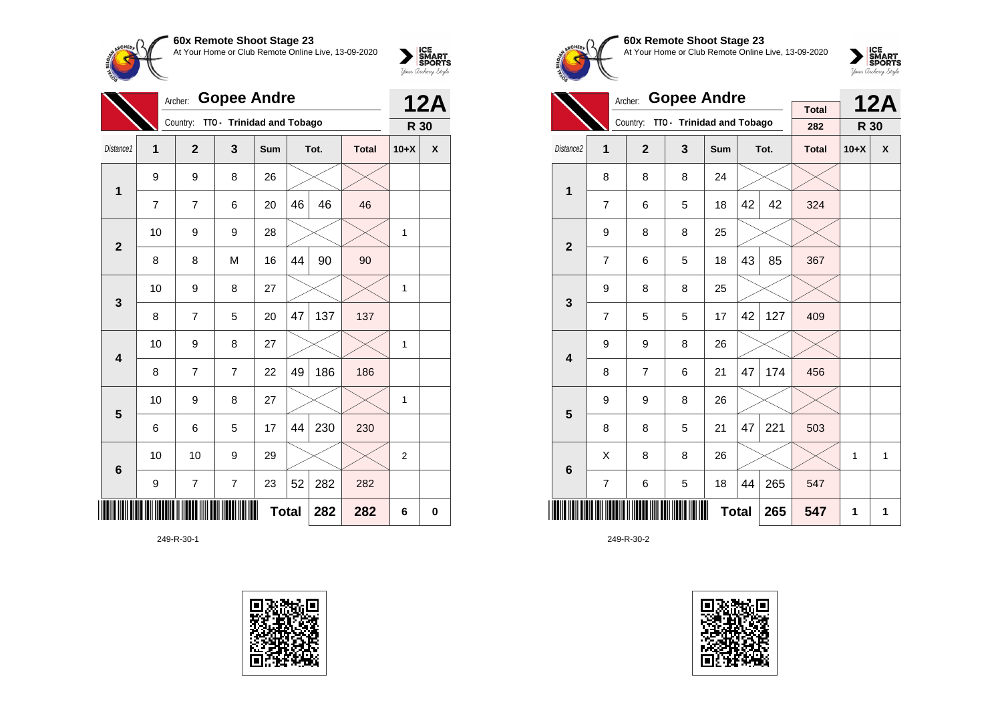

|                         | <b>Gopee Andre</b><br>Archer: |                |                           |     |    |      |              |                | <b>12A</b> |
|-------------------------|-------------------------------|----------------|---------------------------|-----|----|------|--------------|----------------|------------|
|                         |                               | Country:       | TTO - Trinidad and Tobago |     |    |      |              | R 30           |            |
| Distance1               | $\mathbf{1}$                  | $\mathbf{2}$   | 3                         | Sum |    | Tot. | <b>Total</b> | $10+X$         | X          |
| 1                       | 9                             | 9              | 8                         | 26  |    |      |              |                |            |
|                         | $\overline{7}$                | $\overline{7}$ | 6                         | 20  | 46 | 46   | 46           |                |            |
| $\overline{2}$          | 10                            | 9              | 9                         | 28  |    |      |              | 1              |            |
|                         | 8                             | 8              | M                         | 16  | 44 | 90   | 90           |                |            |
| $\mathbf{3}$            | 10                            | 9              | 8                         | 27  |    |      |              | 1              |            |
|                         | 8                             | 7              | 5                         | 20  | 47 | 137  | 137          |                |            |
| $\overline{\mathbf{4}}$ | 10                            | 9              | 8                         | 27  |    |      |              | 1              |            |
|                         | 8                             | 7              | $\overline{7}$            | 22  | 49 | 186  | 186          |                |            |
| 5                       | 10                            | 9              | 8                         | 27  |    |      |              | 1              |            |
|                         | 6                             | 6              | 5                         | 17  | 44 | 230  | 230          |                |            |
| 6                       | 10                            | 10             | 9                         | 29  |    |      |              | $\overline{2}$ |            |
|                         | 9                             | $\overline{7}$ | $\overline{7}$            | 23  | 52 | 282  | 282          |                |            |
|                         | <b>Total</b><br>282<br>282    |                |                           |     |    |      |              |                |            |

249-R-30-1





**60x Remote Shoot Stage 23** At Your Home or Club Remote Online Live, 13-09-2020



|                         | <b>Gopee Andre</b><br>Archer: |                |                           |              |    |      |                     |        | <b>12A</b> |
|-------------------------|-------------------------------|----------------|---------------------------|--------------|----|------|---------------------|--------|------------|
|                         |                               | Country:       | TTO - Trinidad and Tobago |              |    |      | <b>Total</b><br>282 | R 30   |            |
|                         |                               |                |                           |              |    |      |                     |        |            |
| Distance2               | 1                             | $\overline{2}$ | 3                         | Sum          |    | Tot. | <b>Total</b>        | $10+X$ | X          |
| 1                       | 8                             | 8              | 8                         | 24           |    |      |                     |        |            |
|                         | $\overline{7}$                | 6              | 5                         | 18           | 42 | 42   | 324                 |        |            |
| $\overline{\mathbf{2}}$ | 9                             | 8              | 8                         | 25           |    |      |                     |        |            |
|                         | $\overline{7}$                | 6              | 5                         | 18           | 43 | 85   | 367                 |        |            |
| 3                       | 9                             | 8              | 8                         | 25           |    |      |                     |        |            |
|                         | $\overline{7}$                | 5              | 5                         | 17           | 42 | 127  | 409                 |        |            |
| $\overline{\mathbf{4}}$ | 9                             | 9              | 8                         | 26           |    |      |                     |        |            |
|                         | 8                             | $\overline{7}$ | 6                         | 21           | 47 | 174  | 456                 |        |            |
| 5                       | 9                             | 9              | 8                         | 26           |    |      |                     |        |            |
|                         | 8                             | 8              | 5                         | 21           | 47 | 221  | 503                 |        |            |
| 6                       | X                             | 8              | 8                         | 26           |    |      |                     | 1      | 1          |
|                         | $\overline{7}$                | 6              | 5                         | 18           | 44 | 265  | 547                 |        |            |
|                         |                               |                |                           | <b>Total</b> |    | 265  | 547                 | 1      | 1          |

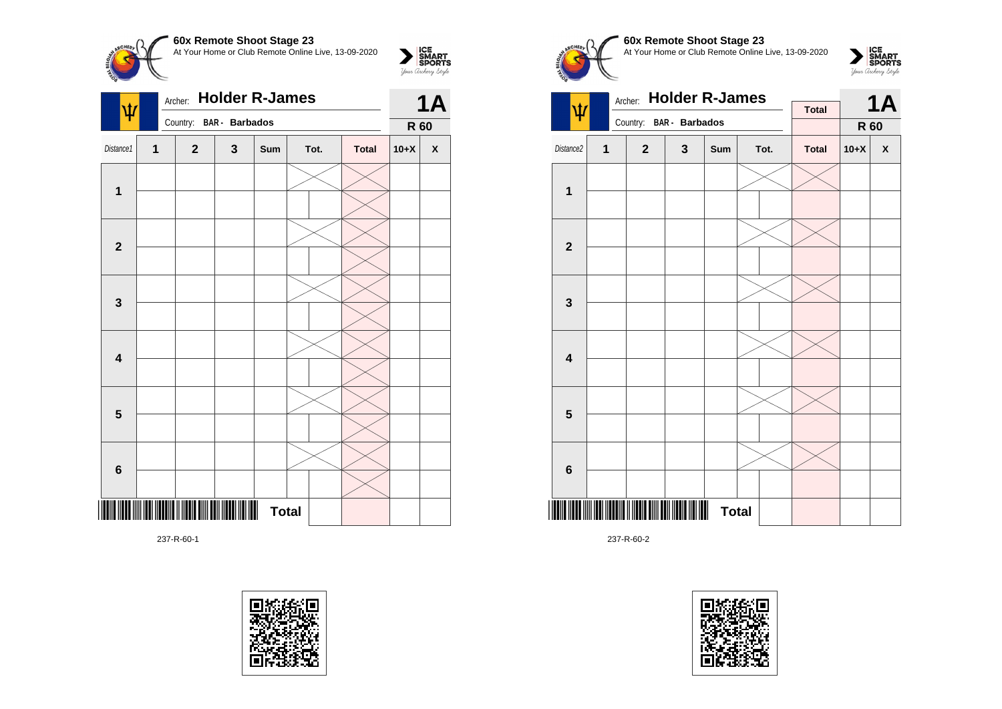

| Country: BAR - Barbados<br>R 60<br>Distance1<br>$\mathbf 1$<br>3<br>$\mathbf{2}$<br>Sum<br>Tot.<br><b>Total</b><br>$10+X$<br>$\pmb{\mathsf{X}}$<br>$\mathbf{1}$<br>$\mathbf{2}$<br>$\mathbf{3}$<br>$\overline{\mathbf{4}}$<br>$5\phantom{1}$<br>$\bf 6$<br><b>Total</b> | ١t | Archer: | 1Α |  |  |  |  |
|-------------------------------------------------------------------------------------------------------------------------------------------------------------------------------------------------------------------------------------------------------------------------|----|---------|----|--|--|--|--|
|                                                                                                                                                                                                                                                                         |    |         |    |  |  |  |  |
|                                                                                                                                                                                                                                                                         |    |         |    |  |  |  |  |
|                                                                                                                                                                                                                                                                         |    |         |    |  |  |  |  |
|                                                                                                                                                                                                                                                                         |    |         |    |  |  |  |  |
|                                                                                                                                                                                                                                                                         |    |         |    |  |  |  |  |
|                                                                                                                                                                                                                                                                         |    |         |    |  |  |  |  |
|                                                                                                                                                                                                                                                                         |    |         |    |  |  |  |  |
|                                                                                                                                                                                                                                                                         |    |         |    |  |  |  |  |
|                                                                                                                                                                                                                                                                         |    |         |    |  |  |  |  |
|                                                                                                                                                                                                                                                                         |    |         |    |  |  |  |  |
|                                                                                                                                                                                                                                                                         |    |         |    |  |  |  |  |
|                                                                                                                                                                                                                                                                         |    |         |    |  |  |  |  |
|                                                                                                                                                                                                                                                                         |    |         |    |  |  |  |  |
|                                                                                                                                                                                                                                                                         |    |         |    |  |  |  |  |
|                                                                                                                                                                                                                                                                         |    |         |    |  |  |  |  |

237-R-60-1









237-R-60-2

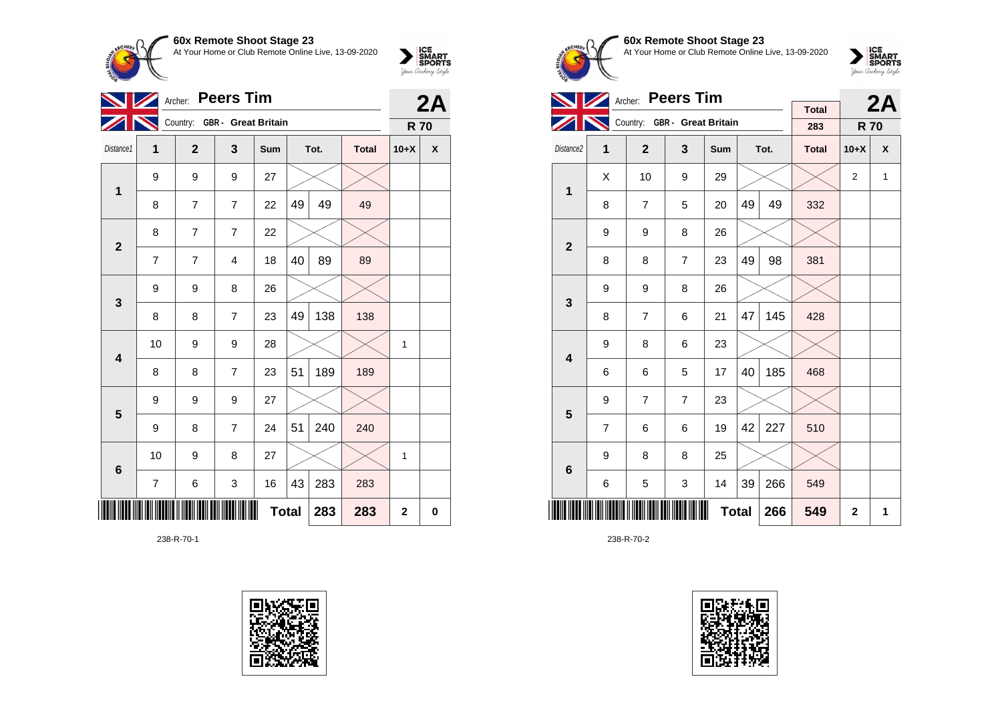

|                         | <b>Peers Tim</b><br>Archer: |                              |                         |              |    |      |              |             |             |  |
|-------------------------|-----------------------------|------------------------------|-------------------------|--------------|----|------|--------------|-------------|-------------|--|
|                         |                             | Country: GBR - Great Britain |                         |              |    |      |              | <b>R70</b>  | 2A          |  |
| Distance1               | 1                           | $\overline{2}$               | 3                       | Sum          |    | Tot. | <b>Total</b> | $10+X$      | X           |  |
| $\mathbf 1$             | 9                           | 9                            | 9                       | 27           |    |      |              |             |             |  |
|                         | 8                           | 7                            | $\overline{7}$          | 22           | 49 | 49   | 49           |             |             |  |
| $\overline{2}$          | 8                           | 7                            | $\overline{7}$          | 22           |    |      |              |             |             |  |
|                         | 7                           | 7                            | $\overline{\mathbf{4}}$ | 18           | 40 | 89   | 89           |             |             |  |
| 3                       | 9                           | 9                            | 8                       | 26           |    |      |              |             |             |  |
|                         | 8                           | 8                            | $\overline{7}$          | 23           | 49 | 138  | 138          |             |             |  |
| $\overline{\mathbf{4}}$ | 10                          | 9                            | 9                       | 28           |    |      |              | 1           |             |  |
|                         | 8                           | 8                            | $\overline{7}$          | 23           | 51 | 189  | 189          |             |             |  |
| 5                       | 9                           | 9                            | 9                       | 27           |    |      |              |             |             |  |
|                         | 9                           | 8                            | $\overline{7}$          | 24           | 51 | 240  | 240          |             |             |  |
| $6\phantom{1}6$         | 10                          | 9                            | 8                       | 27           |    |      |              | 1           |             |  |
|                         | $\overline{7}$              | 6                            | 3                       | 16           | 43 | 283  | 283          |             |             |  |
|                         |                             |                              |                         | <b>Total</b> |    | 283  | 283          | $\mathbf 2$ | $\mathbf 0$ |  |

238-R-70-1





**60x Remote Shoot Stage 23** At Your Home or Club Remote Online Live, 13-09-2020



|                         |                | <b>Peers Tim</b><br>Archer: |                              |     |              | 2A   |                     |                |   |
|-------------------------|----------------|-----------------------------|------------------------------|-----|--------------|------|---------------------|----------------|---|
|                         |                |                             | Country: GBR - Great Britain |     |              |      | <b>Total</b><br>283 | <b>R70</b>     |   |
| Distance2               | 1              | $\overline{2}$              | 3                            | Sum |              | Tot. | <b>Total</b>        | $10+X$         | X |
| $\mathbf{1}$            | Χ              | 10                          | 9                            | 29  |              |      |                     | $\overline{2}$ | 1 |
|                         | 8              | $\overline{7}$              | 5                            | 20  | 49           | 49   | 332                 |                |   |
| $\overline{2}$          | 9              | 9                           | 8                            | 26  |              |      |                     |                |   |
|                         | 8              | 8                           | $\overline{7}$               | 23  | 49           | 98   | 381                 |                |   |
| 3                       | 9              | 9                           | 8                            | 26  |              |      |                     |                |   |
|                         | 8              | $\overline{7}$              | 6                            | 21  | 47           | 145  | 428                 |                |   |
| $\overline{\mathbf{4}}$ | 9              | 8                           | 6                            | 23  |              |      |                     |                |   |
|                         | 6              | 6                           | 5                            | 17  | 40           | 185  | 468                 |                |   |
| 5                       | 9              | $\overline{7}$              | $\overline{7}$               | 23  |              |      |                     |                |   |
|                         | $\overline{7}$ | 6                           | 6                            | 19  | 42           | 227  | 510                 |                |   |
| $6\phantom{1}6$         | 9              | 8                           | 8                            | 25  |              |      |                     |                |   |
|                         | 6              | 5                           | 3                            | 14  | 39           | 266  | 549                 |                |   |
|                         |                |                             | 266                          | 549 | $\mathbf{2}$ | 1    |                     |                |   |

238-R-70-2

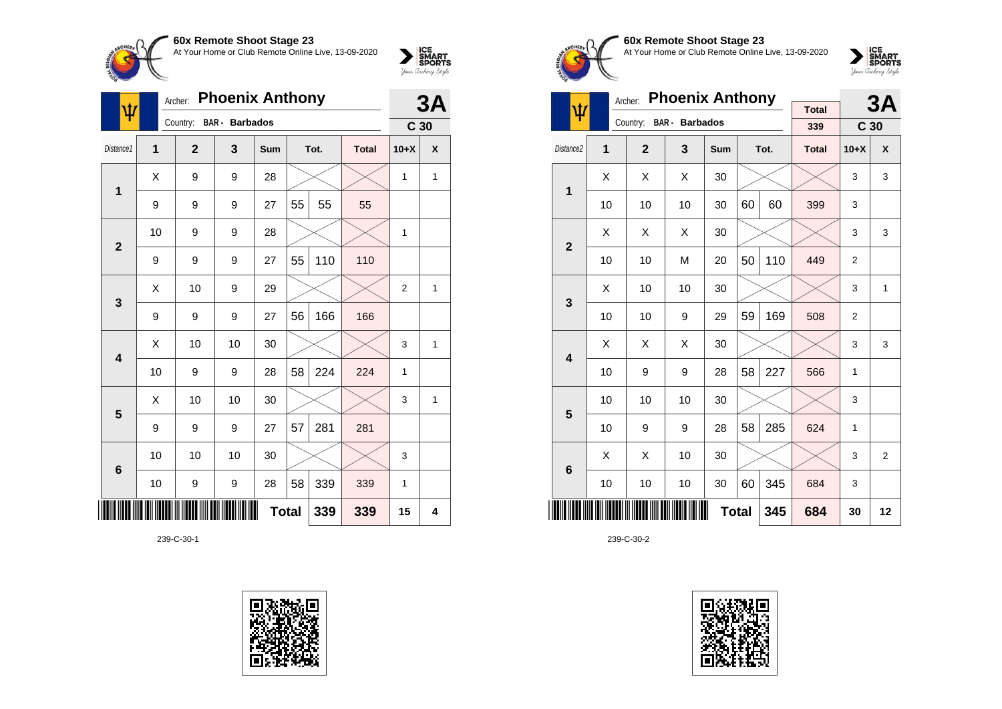

| ψ                       | Archer:        |                | 3A                    |              |    |      |              |                 |   |
|-------------------------|----------------|----------------|-----------------------|--------------|----|------|--------------|-----------------|---|
|                         |                | Country:       | <b>BAR</b> - Barbados |              |    |      |              | C <sub>30</sub> |   |
| Distance1               | $\overline{1}$ | $\overline{2}$ | 3                     | Sum          |    | Tot. | <b>Total</b> | $10+X$          | X |
| 1                       | Χ              | 9              | 9                     | 28           |    |      |              | 1               | 1 |
|                         | 9              | 9              | 9                     | 27           | 55 | 55   | 55           |                 |   |
| $\overline{2}$          | 10             | 9              | 9                     | 28           |    |      |              | 1               |   |
|                         | 9              | 9              | 9                     | 27           | 55 | 110  | 110          |                 |   |
| 3                       | X              | 10             | 9                     | 29           |    |      |              | $\overline{2}$  | 1 |
|                         | 9              | 9              | 9                     | 27           | 56 | 166  | 166          |                 |   |
| $\overline{\mathbf{4}}$ | Χ              | 10             | 10                    | 30           |    |      |              | 3               | 1 |
|                         | 10             | 9              | 9                     | 28           | 58 | 224  | 224          | 1               |   |
| 5                       | Χ              | 10             | 10                    | 30           |    |      |              | 3               | 1 |
|                         | 9              | 9              | 9                     | 27           | 57 | 281  | 281          |                 |   |
| $6\phantom{1}6$         | 10             | 10             | 10                    | 30           |    |      |              | 3               |   |
|                         | 10             | 9              | 9                     | 28           | 58 | 339  | 339          | 1               |   |
|                         |                |                |                       | <b>Total</b> |    | 339  | 339          | 15              | 4 |

239-C-30-1





**60x Remote Shoot Stage 23** At Your Home or Club Remote Online Live, 13-09-2020



|                       |    | Archer:        | <b>Phoenix Anthony</b> | <b>Total</b> |              | 3A   |              |                 |                |
|-----------------------|----|----------------|------------------------|--------------|--------------|------|--------------|-----------------|----------------|
| ψ                     |    | Country:       | <b>BAR</b> - Barbados  |              |              |      | 339          | C <sub>30</sub> |                |
| Distance <sub>2</sub> | 1  | $\overline{2}$ | 3                      | Sum          |              | Tot. | <b>Total</b> | $10+X$          | X              |
| 1                     | X  | X              | X                      | 30           |              |      |              | 3               | 3              |
|                       | 10 | 10             | 10                     | 30           | 60           | 60   | 399          | 3               |                |
| $\overline{2}$        | X  | X              | X                      | 30           |              |      |              | 3               | 3              |
|                       | 10 | 10             | M                      | 20           | 50           | 110  | 449          | 2               |                |
| 3                     | X  | 10             | 10                     | 30           |              |      |              | 3               | 1              |
|                       | 10 | 10             | 9                      | 29           | 59           | 169  | 508          | $\overline{2}$  |                |
| 4                     | X  | X              | X                      | 30           |              |      |              | 3               | 3              |
|                       | 10 | 9              | 9                      | 28           | 58           | 227  | 566          | 1               |                |
| 5                     | 10 | 10             | 10                     | 30           |              |      |              | 3               |                |
|                       | 10 | 9              | 9                      | 28           | 58           | 285  | 624          | 1               |                |
| 6                     | X  | Χ              | 10                     | 30           |              |      |              | 3               | $\overline{2}$ |
|                       | 10 | 10             | 10                     | 30           | 60           | 345  | 684          | 3               |                |
|                       |    |                |                        |              | <b>Total</b> | 345  | 684          | 30              | 12             |

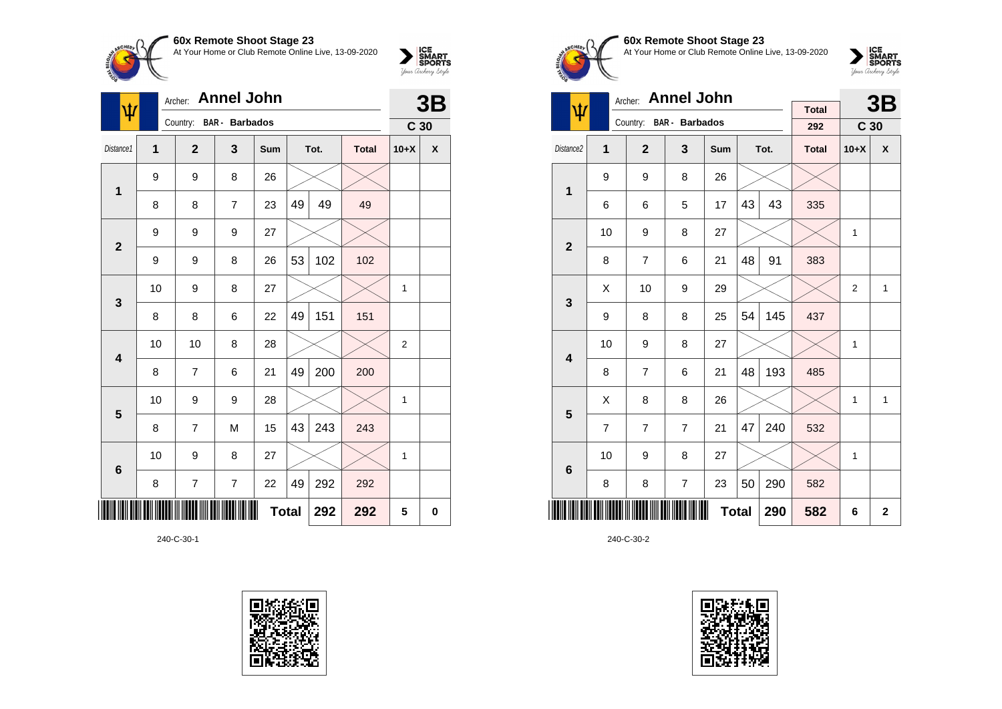

| <b>Annel John</b><br>Archer:<br>ψ |                  |                         |                |              |    |      |              | 3B              |             |
|-----------------------------------|------------------|-------------------------|----------------|--------------|----|------|--------------|-----------------|-------------|
|                                   |                  | Country: BAR - Barbados |                |              |    |      |              | C <sub>30</sub> |             |
| Distance1                         | 1                | $\overline{2}$          | 3              | Sum          |    | Tot. | <b>Total</b> | $10+X$          | X           |
| $\mathbf 1$                       | $\boldsymbol{9}$ | 9                       | 8              | 26           |    |      |              |                 |             |
|                                   | 8                | 8                       | $\overline{7}$ | 23           | 49 | 49   | 49           |                 |             |
| $\overline{2}$                    | 9                | 9                       | 9              | 27           |    |      |              |                 |             |
|                                   | 9                | 9                       | 8              | 26           | 53 | 102  | 102          |                 |             |
| 3                                 | 10               | 9                       | 8              | 27           |    |      |              | 1               |             |
|                                   | 8                | 8                       | 6              | 22           | 49 | 151  | 151          |                 |             |
| $\overline{\mathbf{4}}$           | 10               | 10                      | 8              | 28           |    |      |              | $\overline{2}$  |             |
|                                   | 8                | 7                       | 6              | 21           | 49 | 200  | 200          |                 |             |
| 5                                 | 10               | 9                       | 9              | 28           |    |      |              | 1               |             |
|                                   | 8                | 7                       | M              | 15           | 43 | 243  | 243          |                 |             |
| $6\phantom{1}6$                   | 10               | 9                       | 8              | 27           |    |      |              | 1               |             |
|                                   | 8                | $\overline{7}$          | $\overline{7}$ | 22           | 49 | 292  | 292          |                 |             |
|                                   |                  |                         |                | <b>Total</b> |    | 292  | 292          | 5               | $\mathbf 0$ |

240-C-30-1





**60x Remote Shoot Stage 23** At Your Home or Club Remote Online Live, 13-09-2020

 $\sum_{\text{Jour} \text{C} \text{under}} \left| \begin{matrix} \text{ICE} \\ \text{SDORTS} \\ \text{SPORTS} \end{matrix} \right|_{\text{Jour} \text{d} \text{ref}}$ 

|                         |                | <b>Annel John</b><br>Archer: |                         |              |    | 3B   |              |                 |                    |
|-------------------------|----------------|------------------------------|-------------------------|--------------|----|------|--------------|-----------------|--------------------|
| ψ                       |                |                              | Country: BAR - Barbados |              |    |      | <b>Total</b> |                 |                    |
|                         |                |                              |                         |              |    |      | 292          | C <sub>30</sub> |                    |
| Distance <sub>2</sub>   | 1              | $\mathbf{2}$                 | 3                       | Sum          |    | Tot. | <b>Total</b> | $10+X$          | $\pmb{\mathsf{X}}$ |
| 1                       | 9              | 9                            | 8                       | 26           |    |      |              |                 |                    |
|                         | 6              | 6                            | 5                       | 17           | 43 | 43   | 335          |                 |                    |
| $\overline{2}$          | 10             | 9                            | 8                       | 27           |    |      |              | 1               |                    |
|                         | 8              | $\overline{7}$               | 6                       | 21           | 48 | 91   | 383          |                 |                    |
| 3                       | X              | 10                           | 9                       | 29           |    |      |              | 2               | 1                  |
|                         | 9              | 8                            | 8                       | 25           | 54 | 145  | 437          |                 |                    |
| $\overline{\mathbf{4}}$ | 10             | 9                            | 8                       | 27           |    |      |              | $\mathbf{1}$    |                    |
|                         | 8              | $\overline{7}$               | 6                       | 21           | 48 | 193  | 485          |                 |                    |
| 5                       | Χ              | 8                            | 8                       | 26           |    |      |              | $\mathbf{1}$    | 1                  |
|                         | $\overline{7}$ | $\overline{7}$               | $\overline{7}$          | 21           | 47 | 240  | 532          |                 |                    |
| 6                       | 10             | 9                            | 8                       | 27           |    |      |              | 1               |                    |
|                         | 8              | 8                            | $\overline{7}$          | 23           | 50 | 290  | 582          |                 |                    |
|                         |                |                              |                         | <b>Total</b> |    | 290  | 582          | 6               | $\overline{2}$     |

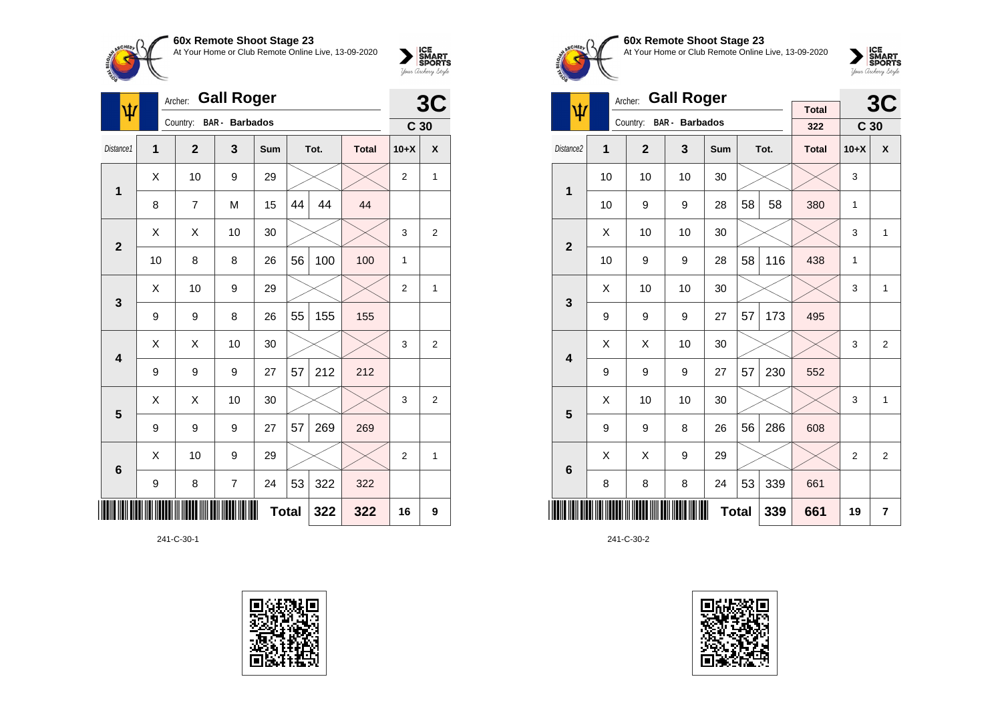

| ψ                       | Archer:        | 3C             |                       |              |    |      |              |                 |                         |
|-------------------------|----------------|----------------|-----------------------|--------------|----|------|--------------|-----------------|-------------------------|
|                         |                | Country:       | <b>BAR</b> - Barbados |              |    |      |              | C <sub>30</sub> |                         |
| Distance1               | $\overline{1}$ | $\overline{2}$ | 3                     | Sum          |    | Tot. | <b>Total</b> | $10+X$          | X                       |
| 1                       | Χ              | 10             | 9                     | 29           |    |      |              | 2               | 1                       |
|                         | 8              | $\overline{7}$ | M                     | 15           | 44 | 44   | 44           |                 |                         |
| $\overline{\mathbf{2}}$ | X              | X              | 10                    | 30           |    |      |              | 3               | $\overline{2}$          |
|                         | 10             | 8              | 8                     | 26           | 56 | 100  | 100          | $\mathbf{1}$    |                         |
| 3                       | X              | 10             | 9                     | 29           |    |      |              | $\overline{2}$  | 1                       |
|                         | 9              | 9              | 8                     | 26           | 55 | 155  | 155          |                 |                         |
| $\overline{\mathbf{4}}$ | X              | X              | 10                    | 30           |    |      |              | 3               | $\overline{2}$          |
|                         | 9              | 9              | 9                     | 27           | 57 | 212  | 212          |                 |                         |
| 5                       | Χ              | Χ              | 10                    | 30           |    |      |              | 3               | $\overline{\mathbf{c}}$ |
|                         | 9              | 9              | 9                     | 27           | 57 | 269  | 269          |                 |                         |
| $6\phantom{1}6$         | X              | 10             | 9                     | 29           |    |      |              | $\overline{2}$  | $\mathbf{1}$            |
|                         | 9              | 8              | $\overline{7}$        | 24           | 53 | 322  | 322          |                 |                         |
|                         |                |                |                       | <b>Total</b> |    | 322  | 322          | 16              | 9                       |

241-C-30-1





#### **60x Remote Shoot Stage 23** At Your Home or Club Remote Online Live, 13-09-2020



|                         |                | <b>Gall Roger</b><br>Archer: |                       |              |    | 3C   |                     |                 |   |
|-------------------------|----------------|------------------------------|-----------------------|--------------|----|------|---------------------|-----------------|---|
| ψ                       |                | Country:                     | <b>BAR</b> - Barbados |              |    |      | <b>Total</b><br>322 | C <sub>30</sub> |   |
| Distance <sub>2</sub>   | $\overline{1}$ | $\overline{2}$               | 3                     | Sum          |    | Tot. | <b>Total</b>        | $10+X$          | X |
| $\overline{1}$          | 10             | 10                           | 10                    | 30           |    |      |                     | 3               |   |
|                         | 10             | 9                            | 9                     | 28           | 58 | 58   | 380                 | 1               |   |
| $\overline{2}$          | X              | 10                           | 10                    | 30           |    |      |                     | 3               | 1 |
|                         | 10             | 9                            | 9                     | 28           | 58 | 116  | 438                 | 1               |   |
| 3                       | X              | 10                           | 10                    | 30           |    |      |                     | 3               | 1 |
|                         | 9              | 9                            | 9                     | 27           | 57 | 173  | 495                 |                 |   |
| $\overline{\mathbf{4}}$ | X              | X                            | 10                    | 30           |    |      |                     | 3               | 2 |
|                         | 9              | 9                            | 9                     | 27           | 57 | 230  | 552                 |                 |   |
| 5                       | X              | 10                           | 10                    | 30           |    |      |                     | 3               | 1 |
|                         | 9              | 9                            | 8                     | 26           | 56 | 286  | 608                 |                 |   |
| 6                       | X              | X                            | 9                     | 29           |    |      |                     | $\overline{2}$  | 2 |
|                         | 8              | 8                            | 8                     | 24           | 53 | 339  | 661                 |                 |   |
|                         |                |                              |                       | <b>Total</b> |    | 339  | 661                 | 19              | 7 |

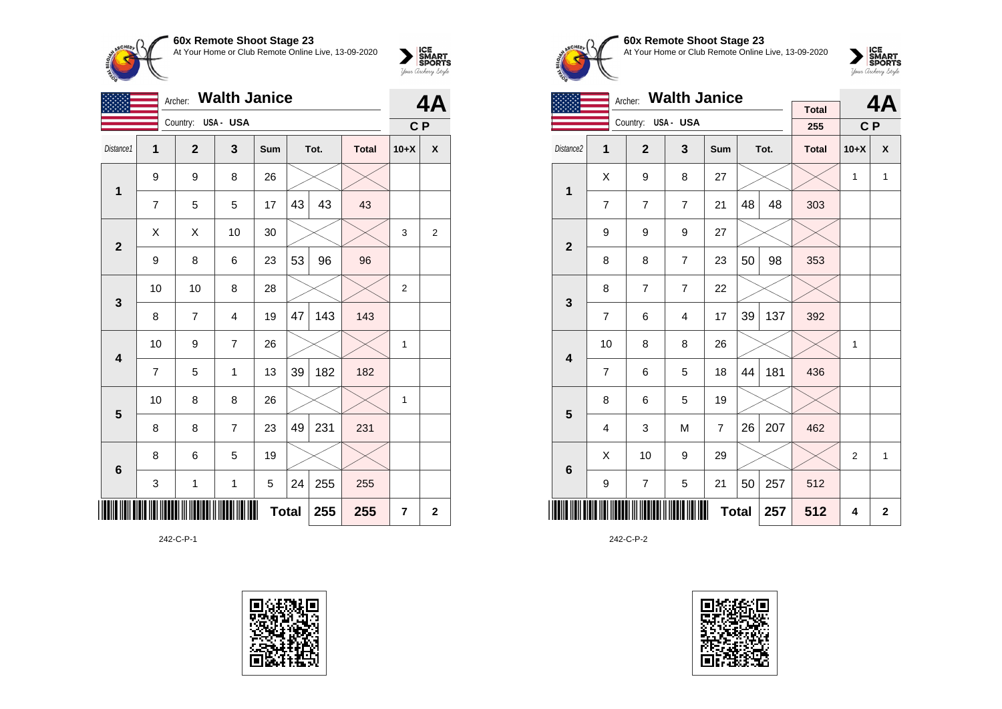

|                         | <b>Walth Janice</b><br>Archer: |                    |                |              |    |      |              |                |             |  |
|-------------------------|--------------------------------|--------------------|----------------|--------------|----|------|--------------|----------------|-------------|--|
|                         |                                | Country: USA - USA |                |              |    |      |              | C P            |             |  |
| Distance1               | 1                              | $\mathbf{2}$       | 3              | Sum          |    | Tot. | <b>Total</b> | $10+X$         | X           |  |
| 1                       | 9                              | 9                  | 8              | 26           |    |      |              |                |             |  |
|                         | $\overline{7}$                 | 5                  | 5              | 17           | 43 | 43   | 43           |                |             |  |
| $\mathbf{2}$            | Χ                              | X                  | 10             | 30           |    |      |              | 3              | 2           |  |
|                         | 9                              | 8                  | 6              | 23           | 53 | 96   | 96           |                |             |  |
| $\mathbf{3}$            | 10                             | 10                 | 8              | 28           |    |      |              | $\overline{2}$ |             |  |
|                         | 8                              | $\overline{7}$     | $\overline{4}$ | 19           | 47 | 143  | 143          |                |             |  |
| $\overline{\mathbf{4}}$ | 10                             | 9                  | $\overline{7}$ | 26           |    |      |              | 1              |             |  |
|                         | $\overline{7}$                 | 5                  | 1              | 13           | 39 | 182  | 182          |                |             |  |
| $5\phantom{1}$          | 10                             | 8                  | 8              | 26           |    |      |              | 1              |             |  |
|                         | 8                              | 8                  | $\overline{7}$ | 23           | 49 | 231  | 231          |                |             |  |
| $\bf 6$                 | 8                              | 6                  | 5              | 19           |    |      |              |                |             |  |
|                         | 3                              | $\mathbf 1$        | $\mathbf 1$    | 5            | 24 | 255  | 255          |                |             |  |
| ║║║                     |                                |                    |                | <b>Total</b> |    | 255  | 255          | 7              | $\mathbf 2$ |  |

242-C-P-1





**60x Remote Shoot Stage 23** At Your Home or Club Remote Online Live, 13-09-2020

 $\sum_{\text{Jour} \text{C} \text{under}} \left| \begin{matrix} \text{ICE} \\ \text{SDORTS} \\ \text{SPORTS} \end{matrix} \right|_{\text{Jour} \text{d} \text{ref}}$ 

|                         |                | <b>Walth Janice</b><br>Archer: |                |                |    | 4Α   |                     |                |                    |
|-------------------------|----------------|--------------------------------|----------------|----------------|----|------|---------------------|----------------|--------------------|
|                         |                | Country: USA - USA             |                |                |    |      | <b>Total</b><br>255 | C P            |                    |
| Distance2               | 1              | $\overline{2}$                 | 3              | <b>Sum</b>     |    | Tot. | <b>Total</b>        | $10+X$         | $\pmb{\mathsf{X}}$ |
| 1                       | Χ              | 9                              | 8              | 27             |    |      |                     | 1              | 1                  |
|                         | $\overline{7}$ | $\overline{7}$                 | $\overline{7}$ | 21             | 48 | 48   | 303                 |                |                    |
| $\overline{2}$          | 9              | 9                              | 9              | 27             |    |      |                     |                |                    |
|                         | 8              | 8                              | $\overline{7}$ | 23             | 50 | 98   | 353                 |                |                    |
| 3                       | 8              | $\overline{7}$                 | $\overline{7}$ | 22             |    |      |                     |                |                    |
|                         | $\overline{7}$ | 6                              | $\overline{4}$ | 17             | 39 | 137  | 392                 |                |                    |
| $\overline{\mathbf{4}}$ | 10             | 8                              | 8              | 26             |    |      |                     | $\mathbf{1}$   |                    |
|                         | $\overline{7}$ | 6                              | 5              | 18             | 44 | 181  | 436                 |                |                    |
| 5                       | 8              | 6                              | 5              | 19             |    |      |                     |                |                    |
|                         | 4              | 3                              | M              | $\overline{7}$ | 26 | 207  | 462                 |                |                    |
| 6                       | Χ              | 10                             | 9              | 29             |    |      |                     | $\overline{2}$ | $\mathbf{1}$       |
|                         | 9              | $\overline{7}$                 | 5              | 21             | 50 | 257  | 512                 |                |                    |
|                         |                |                                |                | <b>Total</b>   |    | 257  | 512                 | 4              | $\mathbf{2}$       |

242-C-P-2

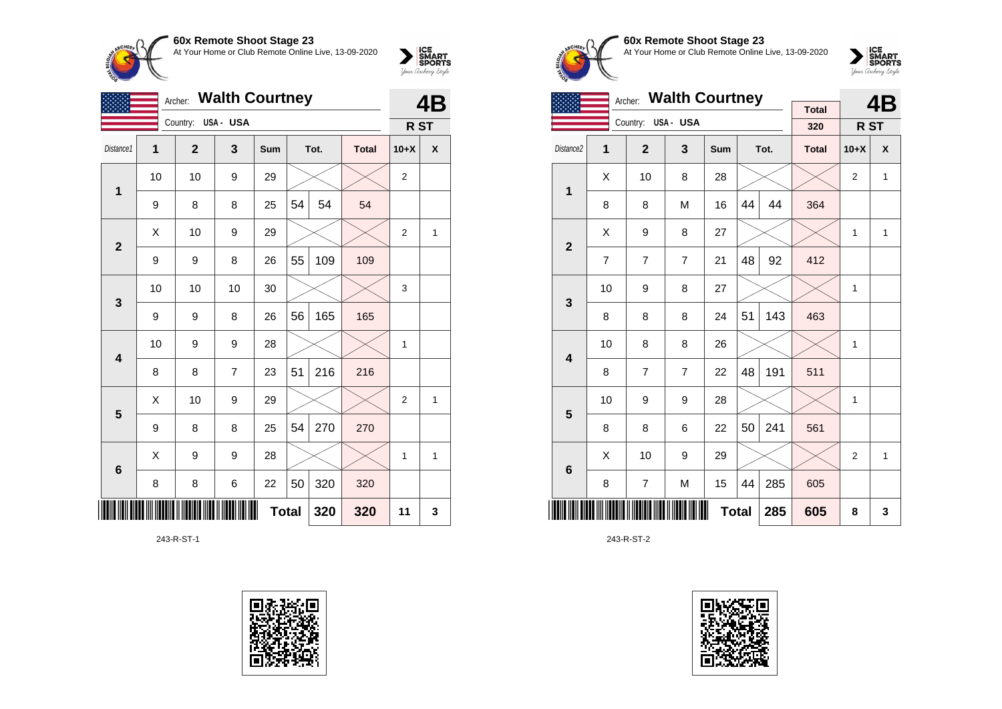

|                 |    | <b>Walth Courtney</b><br>Archer: |          |     |              |      |              |                 | <b>4B</b>      |
|-----------------|----|----------------------------------|----------|-----|--------------|------|--------------|-----------------|----------------|
|                 |    | Country:                         | USA- USA |     |              |      |              | R <sub>ST</sub> |                |
| Distance1       | 1  | $\mathbf{2}$                     | 3        | Sum |              | Tot. | <b>Total</b> | $10+X$          | X              |
| 1               | 10 | 10                               | 9        | 29  |              |      |              | $\mathbf 2$     |                |
|                 | 9  | 8                                | 8        | 25  | 54           | 54   | 54           |                 |                |
| $\overline{2}$  | X  | 10                               | 9        | 29  |              |      |              | $\overline{2}$  | $\overline{1}$ |
|                 | 9  | 9                                | 8        | 26  | 55           | 109  | 109          |                 |                |
| $\mathbf{3}$    | 10 | 10                               | 10       | 30  |              |      |              | 3               |                |
|                 | 9  | 9                                | 8        | 26  | 56           | 165  | 165          |                 |                |
| 4               | 10 | 9                                | 9        | 28  |              |      |              | 1               |                |
|                 | 8  | 8                                | 7        | 23  | 51           | 216  | 216          |                 |                |
| 5               | Χ  | 10                               | 9        | 29  |              |      |              | $\overline{2}$  | 1              |
|                 | 9  | 8                                | 8        | 25  | 54           | 270  | 270          |                 |                |
| $6\phantom{1}6$ | X  | 9                                | 9        | 28  |              |      |              | 1               | 1              |
|                 | 8  | 8                                | 6        | 22  | 50           | 320  | 320          |                 |                |
| ║║              |    |                                  |          |     | <b>Total</b> | 320  | 320          | 11              | 3              |

243-R-ST-1





### **60x Remote Shoot Stage 23** At Your Home or Club Remote Online Live, 13-09-2020



|                |                |                    | Archer: Walth Courtney |              |    |      |                     |                | 4B           |
|----------------|----------------|--------------------|------------------------|--------------|----|------|---------------------|----------------|--------------|
|                |                | Country: USA - USA |                        |              |    |      | <b>Total</b><br>320 | R ST           |              |
| Distance2      | 1              | $\overline{2}$     | 3                      | <b>Sum</b>   |    | Tot. | <b>Total</b>        | $10+X$         | X            |
| $\mathbf 1$    | Χ              | 10                 | 8                      | 28           |    |      |                     | $\overline{2}$ | 1            |
|                | 8              | 8                  | M                      | 16           | 44 | 44   | 364                 |                |              |
| $\overline{2}$ | X              | 9                  | 8                      | 27           |    |      |                     | $\mathbf{1}$   | 1            |
|                | $\overline{7}$ | 7                  | $\overline{7}$         | 21           | 48 | 92   | 412                 |                |              |
| 3              | 10             | 9                  | 8                      | 27           |    |      |                     | 1              |              |
|                | 8              | 8                  | 8                      | 24           | 51 | 143  | 463                 |                |              |
| 4              | 10             | 8                  | 8                      | 26           |    |      |                     | $\mathbf{1}$   |              |
|                | 8              | $\overline{7}$     | $\overline{7}$         | 22           | 48 | 191  | 511                 |                |              |
| 5              | 10             | 9                  | 9                      | 28           |    |      |                     | 1              |              |
|                | 8              | 8                  | 6                      | 22           | 50 | 241  | 561                 |                |              |
| 6              | X              | 10                 | 9                      | 29           |    |      |                     | $\overline{2}$ | $\mathbf{1}$ |
|                | 8              | 7                  | M                      | 15           | 44 | 285  | 605                 |                |              |
|                |                |                    |                        | <b>Total</b> |    | 285  | 605                 | 8              | 3            |

243-R-ST-2

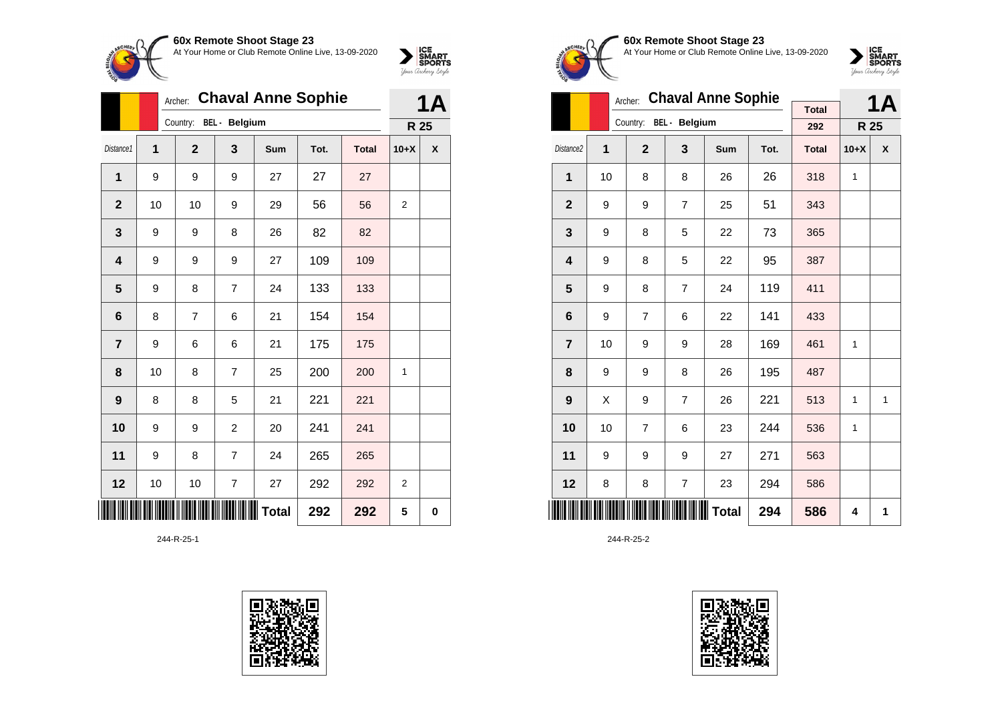

|                         |    | Archer:                |                          | <b>Chaval Anne Sophie</b> |      |              |                | <b>1A</b>   |
|-------------------------|----|------------------------|--------------------------|---------------------------|------|--------------|----------------|-------------|
|                         |    | Country: BEL - Belgium |                          |                           |      |              | R 25           |             |
| Distance1               | 1  | $\mathbf{2}$           | 3                        | Sum                       | Tot. | <b>Total</b> | $10+X$         | X           |
| 1                       | 9  | 9                      | 9                        | 27                        | 27   | 27           |                |             |
| $\mathbf 2$             | 10 | 10                     | 9                        | 29                        | 56   | 56           | 2              |             |
| 3                       | 9  | 9                      | 8                        | 26                        | 82   | 82           |                |             |
| 4                       | 9  | 9                      | 9                        | 27                        | 109  | 109          |                |             |
| 5                       | 9  | 8                      | $\overline{7}$           | 24                        | 133  | 133          |                |             |
| 6                       | 8  | $\overline{7}$         | 6                        | 21                        | 154  | 154          |                |             |
| $\overline{\mathbf{r}}$ | 9  | 6                      | 6                        | 21                        | 175  | 175          |                |             |
| 8                       | 10 | 8                      | $\overline{7}$           | 25                        | 200  | 200          | 1              |             |
| 9                       | 8  | 8                      | 5                        | 21                        | 221  | 221          |                |             |
| 10                      | 9  | 9                      | $\overline{c}$           | 20                        | 241  | 241          |                |             |
| 11                      | 9  | 8                      | $\overline{7}$           | 24                        | 265  | 265          |                |             |
| 12                      | 10 | 10                     | $\overline{\mathcal{I}}$ | 27                        | 292  | 292          | $\overline{2}$ |             |
| ║║║                     |    |                        |                          | Total                     | 292  | 292          | 5              | $\mathbf 0$ |

244-R-25-1





**60x Remote Shoot Stage 23** At Your Home or Club Remote Online Live, 13-09-2020



|                       |    | Archer:        |                        | <b>Chaval Anne Sophie</b> |      |              |              | 1Α |
|-----------------------|----|----------------|------------------------|---------------------------|------|--------------|--------------|----|
|                       |    |                | Country: BEL - Belgium |                           |      | <b>Total</b> |              |    |
|                       |    |                |                        |                           |      | 292          | R 25         |    |
| Distance <sub>2</sub> | 1  | $\overline{2}$ | 3                      | Sum                       | Tot. | <b>Total</b> | $10+X$       | X  |
| 1                     | 10 | 8              | 8                      | 26                        | 26   | 318          | $\mathbf{1}$ |    |
| $\overline{2}$        | 9  | 9              | $\overline{7}$         | 25                        | 51   | 343          |              |    |
| 3                     | 9  | 8              | 5                      | 22                        | 73   | 365          |              |    |
| 4                     | 9  | 8              | 5                      | 22                        | 95   | 387          |              |    |
| 5                     | 9  | 8              | $\overline{7}$         | 24                        | 119  | 411          |              |    |
| 6                     | 9  | 7              | 6                      | 22                        | 141  | 433          |              |    |
| $\overline{7}$        | 10 | 9              | 9                      | 28                        | 169  | 461          | 1            |    |
| 8                     | 9  | 9              | 8                      | 26                        | 195  | 487          |              |    |
| 9                     | X  | 9              | $\overline{7}$         | 26                        | 221  | 513          | $\mathbf{1}$ | 1  |
| 10                    | 10 | 7              | 6                      | 23                        | 244  | 536          | $\mathbf{1}$ |    |
| 11                    | 9  | 9              | 9                      | 27                        | 271  | 563          |              |    |
| 12                    | 8  | 8              | $\overline{7}$         | 23                        | 294  | 586          |              |    |
|                       |    |                |                        | <b>Total</b>              | 294  | 586          | 4            | 1  |

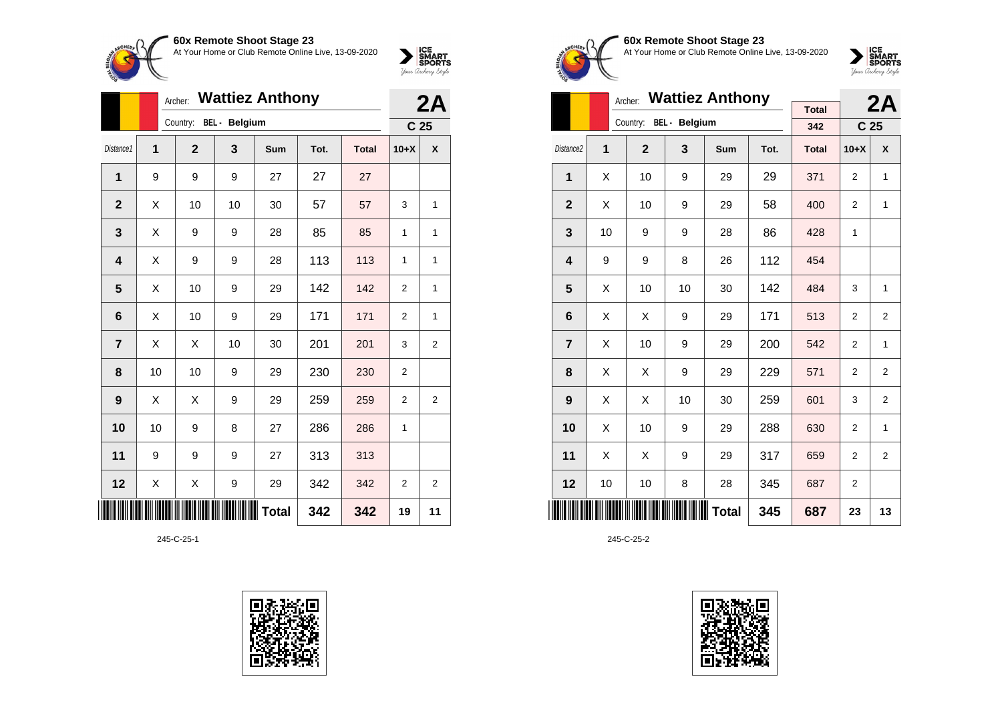**60x Remote Shoot Stage 23**

At Your Home or Club Remote Online Live, 13-09-2020



|                |    | <b>Wattiez Anthony</b><br>Archer: |              |               |              |      |              |                | 2A                      |  |
|----------------|----|-----------------------------------|--------------|---------------|--------------|------|--------------|----------------|-------------------------|--|
|                |    |                                   | Country:     | BEL - Belgium |              |      |              |                | C <sub>25</sub>         |  |
| Distance1      | 1  |                                   | $\mathbf{2}$ | 3             | Sum          | Tot. | <b>Total</b> | $10+X$         | X                       |  |
| 1              | 9  |                                   | 9            | 9             | 27           | 27   | 27           |                |                         |  |
| $\mathbf 2$    | X  |                                   | 10           | 10            | 30           | 57   | 57           | 3              | 1                       |  |
| 3              | X  |                                   | 9            | 9             | 28           | 85   | 85           | 1              | 1                       |  |
| 4              | Χ  |                                   | 9            | 9             | 28           | 113  | 113          | 1              | 1                       |  |
| 5              | Χ  |                                   | 10           | 9             | 29           | 142  | 142          | $\overline{2}$ | 1                       |  |
| 6              | X  |                                   | 10           | 9             | 29           | 171  | 171          | $\overline{2}$ | 1                       |  |
| $\overline{7}$ | X  |                                   | X            | 10            | 30           | 201  | 201          | 3              | 2                       |  |
| 8              | 10 |                                   | 10           | 9             | 29           | 230  | 230          | 2              |                         |  |
| 9              | Χ  |                                   | Χ            | 9             | 29           | 259  | 259          | 2              | $\overline{\mathbf{c}}$ |  |
| 10             | 10 |                                   | 9            | 8             | 27           | 286  | 286          | 1              |                         |  |
| 11             | 9  |                                   | 9            | 9             | 27           | 313  | 313          |                |                         |  |
| 12             | Χ  |                                   | Χ            | 9             | 29           | 342  | 342          | $\overline{2}$ | $\overline{2}$          |  |
|                |    |                                   |              |               | <b>Total</b> | 342  | 342          | 19             | 11                      |  |

245-C-25-1





#### **60x Remote Shoot Stage 23** At Your Home or Club Remote Online Live, 13-09-2020



|                         |    | Archer:        |                        | <b>Wattiez Anthony</b> |      |              |                 | 2A             |
|-------------------------|----|----------------|------------------------|------------------------|------|--------------|-----------------|----------------|
|                         |    |                | Country: BEL - Belgium |                        |      | <b>Total</b> |                 |                |
|                         |    |                |                        |                        |      | 342          | C <sub>25</sub> |                |
| Distance <sub>2</sub>   | 1  | $\overline{2}$ | 3                      | Sum                    | Tot. | <b>Total</b> | $10+X$          | X              |
| $\mathbf{1}$            | X  | 10             | 9                      | 29                     | 29   | 371          | $\overline{2}$  | 1              |
| $\mathbf{2}$            | Χ  | 10             | 9                      | 29                     | 58   | 400          | 2               | 1              |
| 3                       | 10 | 9              | 9                      | 28                     | 86   | 428          | $\mathbf{1}$    |                |
| $\overline{\mathbf{4}}$ | 9  | 9              | 8                      | 26                     | 112  | 454          |                 |                |
| 5                       | X  | 10             | 10                     | 30                     | 142  | 484          | 3               | 1              |
| 6                       | X  | X              | 9                      | 29                     | 171  | 513          | $\overline{2}$  | $\overline{2}$ |
| $\overline{7}$          | Χ  | 10             | 9                      | 29                     | 200  | 542          | 2               | 1              |
| 8                       | X  | X              | 9                      | 29                     | 229  | 571          | 2               | 2              |
| 9                       | X  | X              | 10                     | 30                     | 259  | 601          | 3               | 2              |
| 10                      | X  | 10             | 9                      | 29                     | 288  | 630          | $\overline{2}$  | 1              |
| 11                      | Χ  | X              | 9                      | 29                     | 317  | 659          | $\overline{2}$  | $\overline{2}$ |
| 12                      | 10 | 10             | 8                      | 28                     | 345  | 687          | 2               |                |
|                         |    |                |                        | <b>Total</b>           | 345  | 687          | 23              | 13             |

245-C-25-2

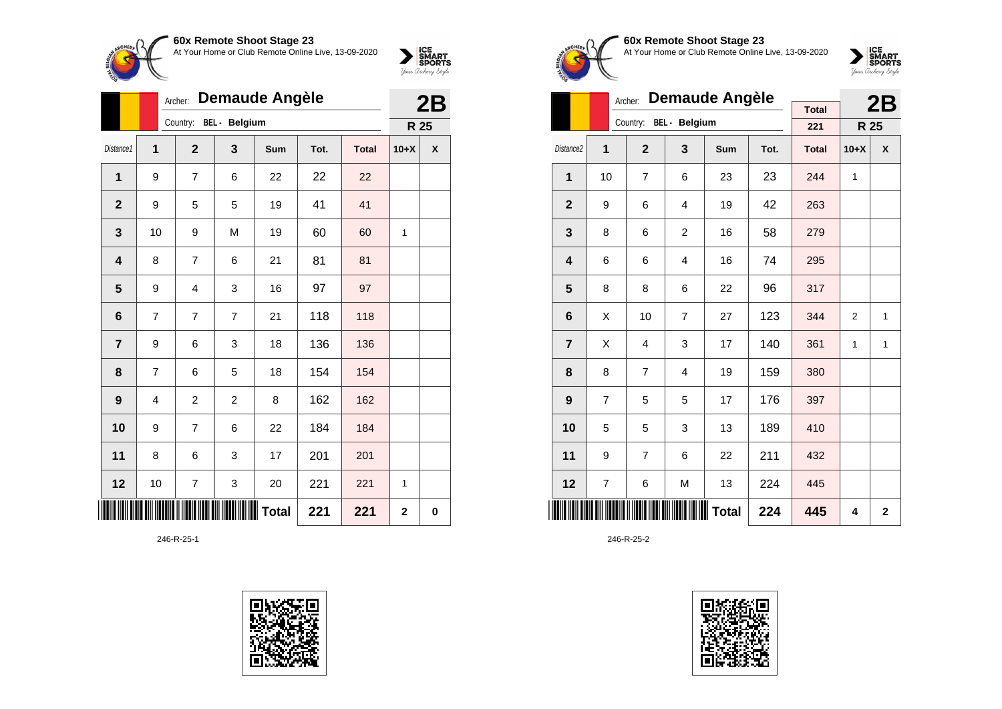

**60x Remote Shoot Stage 23**



|                |    | Archer:        |                      | <b>Demaude Angèle</b> |      |              |             | 2B       |
|----------------|----|----------------|----------------------|-----------------------|------|--------------|-------------|----------|
|                |    | Country:       | <b>BEL</b> - Belgium |                       |      |              | R 25        |          |
| Distance1      | 1  | $\mathbf{2}$   | 3                    | Sum                   | Tot. | <b>Total</b> | $10+X$      | X        |
| 1              | 9  | 7              | 6                    | 22                    | 22   | 22           |             |          |
| $\overline{2}$ | 9  | 5              | 5                    | 19                    | 41   | 41           |             |          |
| 3              | 10 | 9              | M                    | 19                    | 60   | 60           | 1           |          |
| 4              | 8  | 7              | 6                    | 21                    | 81   | 81           |             |          |
| 5              | 9  | 4              | 3                    | 16                    | 97   | 97           |             |          |
| 6              | 7  | 7              | 7                    | 21                    | 118  | 118          |             |          |
| 7              | 9  | 6              | 3                    | 18                    | 136  | 136          |             |          |
| 8              | 7  | 6              | 5                    | 18                    | 154  | 154          |             |          |
| 9              | 4  | $\overline{c}$ | $\overline{2}$       | 8                     | 162  | 162          |             |          |
| 10             | 9  | $\overline{7}$ | 6                    | 22                    | 184  | 184          |             |          |
| 11             | 8  | 6              | 3                    | 17                    | 201  | 201          |             |          |
| 12             | 10 | 7              | 3                    | 20                    | 221  | 221          | 1           |          |
|                |    |                |                      | Total                 | 221  | 221          | $\mathbf 2$ | $\bf{0}$ |

246-R-25-1





#### **60x Remote Shoot Stage 23** At Your Home or Club Remote Online Live, 13-09-2020



|                         |                | Archer:        |                        | <b>Demaude Angèle</b> |      |              |                | 2B             |
|-------------------------|----------------|----------------|------------------------|-----------------------|------|--------------|----------------|----------------|
|                         |                |                | Country: BEL - Belgium |                       |      | <b>Total</b> |                |                |
|                         |                |                |                        |                       |      | 221          | R 25           |                |
| Distance <sub>2</sub>   | 1              | $\overline{2}$ | 3                      | Sum                   | Tot. | <b>Total</b> | $10+X$         | X              |
| 1                       | 10             | $\overline{7}$ | 6                      | 23                    | 23   | 244          | $\mathbf{1}$   |                |
| $\overline{2}$          | 9              | 6              | $\overline{4}$         | 19                    | 42   | 263          |                |                |
| 3                       | 8              | 6              | $\overline{2}$         | 16                    | 58   | 279          |                |                |
| $\overline{\mathbf{4}}$ | 6              | 6              | 4                      | 16                    | 74   | 295          |                |                |
| 5                       | 8              | 8              | 6                      | 22                    | 96   | 317          |                |                |
| 6                       | Χ              | 10             | $\overline{7}$         | 27                    | 123  | 344          | $\overline{2}$ | 1              |
| $\overline{7}$          | Χ              | 4              | 3                      | 17                    | 140  | 361          | $\mathbf{1}$   | 1              |
| 8                       | 8              | 7              | $\overline{4}$         | 19                    | 159  | 380          |                |                |
| 9                       | $\overline{7}$ | 5              | 5                      | 17                    | 176  | 397          |                |                |
| 10                      | 5              | 5              | 3                      | 13                    | 189  | 410          |                |                |
| 11                      | 9              | $\overline{7}$ | 6                      | 22                    | 211  | 432          |                |                |
| 12                      | 7              | 6              | M                      | 13                    | 224  | 445          |                |                |
|                         |                |                |                        | Total                 | 224  | 445          | 4              | $\overline{2}$ |

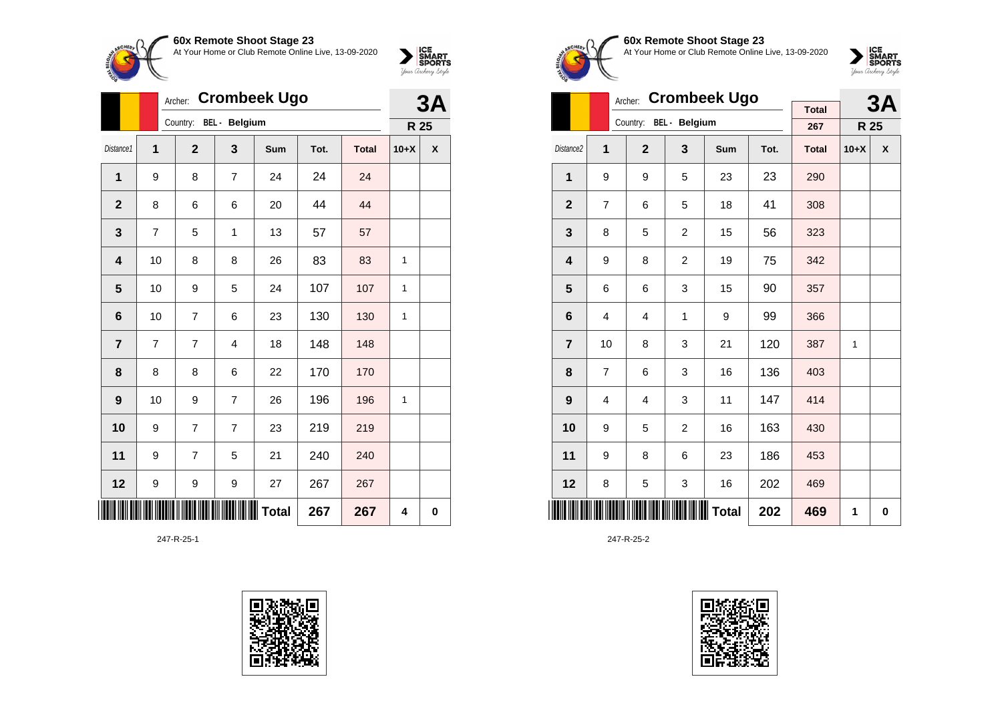

|                |                | Archer:        |                | <b>Crombeek Ugo</b> |      |              |        | 3A |
|----------------|----------------|----------------|----------------|---------------------|------|--------------|--------|----|
|                |                | Country:       | BEL - Belgium  |                     |      |              | R 25   |    |
| Distance1      | $\overline{1}$ | $\overline{2}$ | 3              | Sum                 | Tot. | <b>Total</b> | $10+X$ | X  |
| 1              | 9              | 8              | $\overline{7}$ | 24                  | 24   | 24           |        |    |
| $\overline{2}$ | 8              | 6              | 6              | 20                  | 44   | 44           |        |    |
| 3              | 7              | 5              | 1              | 13                  | 57   | 57           |        |    |
| 4              | 10             | 8              | 8              | 26                  | 83   | 83           | 1      |    |
| 5              | 10             | 9              | 5              | 24                  | 107  | 107          | 1      |    |
| 6              | 10             | 7              | 6              | 23                  | 130  | 130          | 1      |    |
| 7              | 7              | 7              | 4              | 18                  | 148  | 148          |        |    |
| 8              | 8              | 8              | 6              | 22                  | 170  | 170          |        |    |
| 9              | 10             | 9              | $\overline{7}$ | 26                  | 196  | 196          | 1      |    |
| 10             | 9              | $\overline{7}$ | $\overline{7}$ | 23                  | 219  | 219          |        |    |
| 11             | 9              | 7              | 5              | 21                  | 240  | 240          |        |    |
| 12             | 9              | 9              | 9              | 27                  | 267  | 267          |        |    |
|                |                |                |                | Total               | 267  | 267          | 4      | 0  |

247-R-25-1





**60x Remote Shoot Stage 23** At Your Home or Club Remote Online Live, 13-09-2020

 $\sum_{\text{Jour} \text{C} \text{under}} \left| \begin{matrix} \text{ICE} \\ \text{SDORTS} \\ \text{SPORTS} \end{matrix} \right|_{\text{Jour} \text{d} \text{ref}}$ 

|                       |                | Archer:                |                | <b>Crombeek Ugo</b> |      |              |        | 3Α                 |
|-----------------------|----------------|------------------------|----------------|---------------------|------|--------------|--------|--------------------|
|                       |                | Country: BEL - Belgium |                |                     |      | <b>Total</b> |        |                    |
|                       |                |                        |                |                     |      | 267          | R 25   |                    |
| Distance <sub>2</sub> | 1              | $\overline{2}$         | 3              | <b>Sum</b>          | Tot. | <b>Total</b> | $10+X$ | $\pmb{\mathsf{X}}$ |
| $\mathbf{1}$          | 9              | 9                      | 5              | 23                  | 23   | 290          |        |                    |
| $\mathbf{2}$          | 7              | 6                      | 5              | 18                  | 41   | 308          |        |                    |
| 3                     | 8              | 5                      | $\overline{c}$ | 15                  | 56   | 323          |        |                    |
| 4                     | 9              | 8                      | 2              | 19                  | 75   | 342          |        |                    |
| 5                     | 6              | 6                      | 3              | 15                  | 90   | 357          |        |                    |
| 6                     | 4              | $\overline{4}$         | 1              | 9                   | 99   | 366          |        |                    |
| $\overline{7}$        | 10             | 8                      | 3              | 21                  | 120  | 387          | 1      |                    |
| 8                     | 7              | 6                      | 3              | 16                  | 136  | 403          |        |                    |
| 9                     | $\overline{4}$ | $\overline{4}$         | 3              | 11                  | 147  | 414          |        |                    |
| 10                    | 9              | 5                      | $\overline{2}$ | 16                  | 163  | 430          |        |                    |
| 11                    | 9              | 8                      | 6              | 23                  | 186  | 453          |        |                    |
| 12                    | 8              | 5                      | 3              | 16                  | 202  | 469          |        |                    |
| IIII                  |                |                        |                | Total               | 202  | 469          | 1      | 0                  |